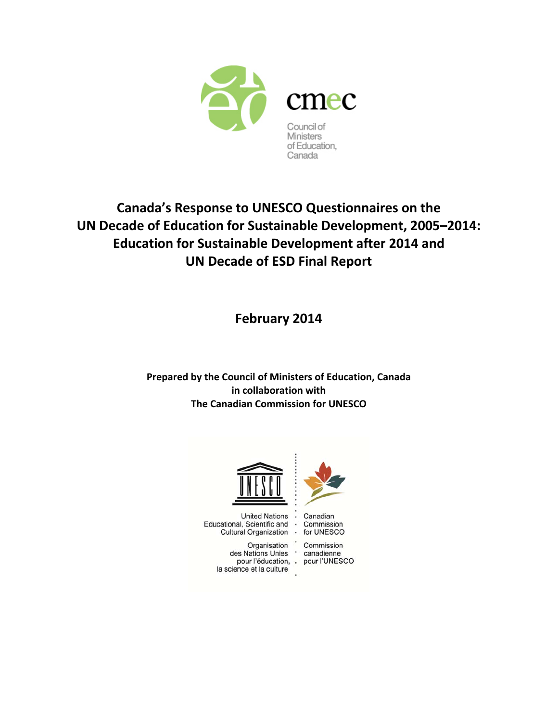

# **Canada's Response to UNESCO Questionnaires on the UN Decade of Education for Sustainable Development, 2005–2014: Education for Sustainable Development after 2014 and UN Decade of ESD Final Report**

**February 2014**

**Prepared by the Council of Ministers of Education, Canada in collaboration with The Canadian Commission for UNESCO**



United Nations • Canadian<br>Educational, Scientific and • Commission Cultural Organization .

Organisation Commission<br>des Nations Unies canadienne la science et la culture



for UNESCO

Commission pour l'éducation, . pour l'UNESCO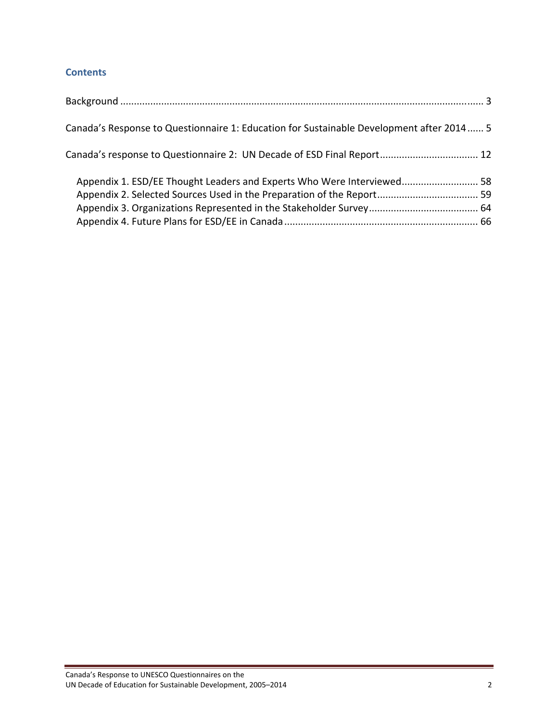# **Contents**

| Canada's Response to Questionnaire 1: Education for Sustainable Development after 2014 5 |  |
|------------------------------------------------------------------------------------------|--|
| Canada's response to Questionnaire 2: UN Decade of ESD Final Report 12                   |  |
| Appendix 1. ESD/EE Thought Leaders and Experts Who Were Interviewed 58                   |  |
|                                                                                          |  |
|                                                                                          |  |
|                                                                                          |  |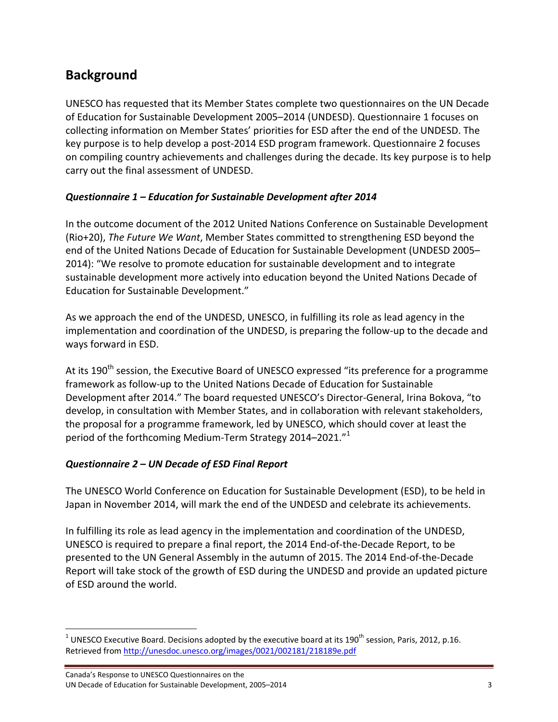# **Background**

UNESCO has requested that its Member States complete two questionnaires on the UN Decade of Education for Sustainable Development 2005–2014 (UNDESD). Questionnaire 1 focuses on collecting information on Member States' priorities for ESD after the end of the UNDESD. The key purpose is to help develop a post‐2014 ESD program framework. Questionnaire 2 focuses on compiling country achievements and challenges during the decade. Its key purpose is to help carry out the final assessment of UNDESD.

## *Questionnaire 1 – Education for Sustainable Development after 2014*

In the outcome document of the 2012 United Nations Conference on Sustainable Development (Rio+20), *The Future We Want*, Member States committed to strengthening ESD beyond the end of the United Nations Decade of Education for Sustainable Development (UNDESD 2005– 2014): "We resolve to promote education for sustainable development and to integrate sustainable development more actively into education beyond the United Nations Decade of Education for Sustainable Development."

As we approach the end of the UNDESD, UNESCO, in fulfilling its role as lead agency in the implementation and coordination of the UNDESD, is preparing the follow‐up to the decade and ways forward in ESD.

At its 190<sup>th</sup> session, the Executive Board of UNESCO expressed "its preference for a programme framework as follow‐up to the United Nations Decade of Education for Sustainable Development after 2014." The board requested UNESCO's Director‐General, Irina Bokova, "to develop, in consultation with Member States, and in collaboration with relevant stakeholders, the proposal for a programme framework, led by UNESCO, which should cover at least the period of the forthcoming Medium-Term Strategy 2014–2021."<sup>1</sup>

### *Questionnaire 2 – UN Decade of ESD Final Report*

The UNESCO World Conference on Education for Sustainable Development (ESD), to be held in Japan in November 2014, will mark the end of the UNDESD and celebrate its achievements.

In fulfilling its role as lead agency in the implementation and coordination of the UNDESD, UNESCO is required to prepare a final report, the 2014 End‐of‐the‐Decade Report, to be presented to the UN General Assembly in the autumn of 2015. The 2014 End‐of‐the‐Decade Report will take stock of the growth of ESD during the UNDESD and provide an updated picture of ESD around the world.

  $1$  UNESCO Executive Board. Decisions adopted by the executive board at its 190<sup>th</sup> session, Paris, 2012, p.16. Retrieved from http://unesdoc.unesco.org/images/0021/002181/218189e.pdf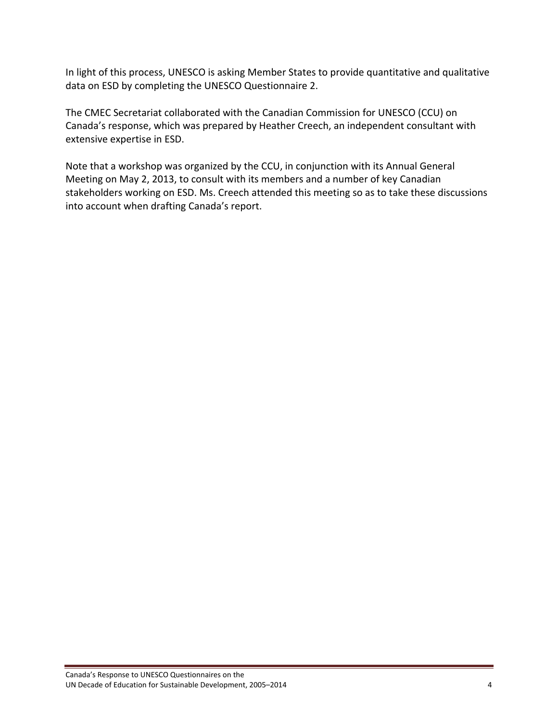In light of this process, UNESCO is asking Member States to provide quantitative and qualitative data on ESD by completing the UNESCO Questionnaire 2.

The CMEC Secretariat collaborated with the Canadian Commission for UNESCO (CCU) on Canada's response, which was prepared by Heather Creech, an independent consultant with extensive expertise in ESD.

Note that a workshop was organized by the CCU, in conjunction with its Annual General Meeting on May 2, 2013, to consult with its members and a number of key Canadian stakeholders working on ESD. Ms. Creech attended this meeting so as to take these discussions into account when drafting Canada's report.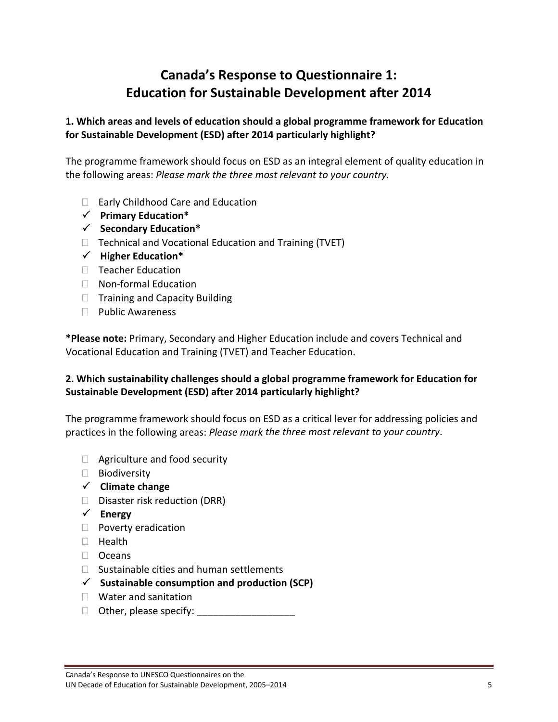# **Canada's Response to Questionnaire 1: Education for Sustainable Development after 2014**

## **1. Which areas and levels of education should a global programme framework for Education for Sustainable Development (ESD) after 2014 particularly highlight?**

The programme framework should focus on ESD as an integral element of quality education in the following areas: *Please mark the three most relevant to your country.*

- □ Early Childhood Care and Education
- **Primary Education\***
- **Secondary Education\***
- $\Box$  Technical and Vocational Education and Training (TVET)
- **Higher Education\***
- □ Teacher Education
- □ Non-formal Education
- $\Box$  Training and Capacity Building
- D Public Awareness

**\*Please note:** Primary, Secondary and Higher Education include and covers Technical and Vocational Education and Training (TVET) and Teacher Education.

## **2. Which sustainability challenges should a global programme framework for Education for Sustainable Development (ESD) after 2014 particularly highlight?**

The programme framework should focus on ESD as a critical lever for addressing policies and practices in the following areas: *Please mark the three most relevant to your country*.

- $\Box$  Agriculture and food security
- □ Biodiversity
- **Climate change**
- $\square$  Disaster risk reduction (DRR)
- **Energy**
- $\Box$  Poverty eradication
- $\Box$  Health
- □ Oceans
- $\Box$  Sustainable cities and human settlements
- **Sustainable consumption and production (SCP)**
- □ Water and sanitation
- Other, please specify: \_\_\_\_\_\_\_\_\_\_\_\_\_\_\_\_\_\_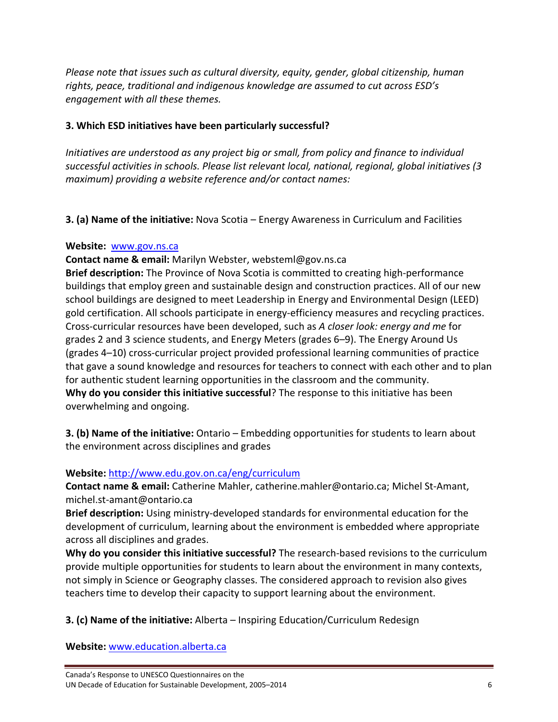*Please note that issues such as cultural diversity, equity, gender, global citizenship, human rights, peace, traditional and indigenous knowledge are assumed to cut across ESD's engagement with all these themes.*

## **3. Which ESD initiatives have been particularly successful?**

*Initiatives are understood as any project big or small, from policy and finance to individual successful activities in schools. Please list relevant local, national, regional, global initiatives (3 maximum) providing a website reference and/or contact names:*

**3. (a) Name of the initiative:** Nova Scotia – Energy Awareness in Curriculum and Facilities

#### **Website:** www.gov.ns.ca

**Contact name & email:** Marilyn Webster, websteml@gov.ns.ca **Brief description:** The Province of Nova Scotia is committed to creating high‐performance buildings that employ green and sustainable design and construction practices. All of our new school buildings are designed to meet Leadership in Energy and Environmental Design (LEED) gold certification. All schools participate in energy-efficiency measures and recycling practices. Cross‐curricular resources have been developed, such as *A closer look: energy and me* for grades 2 and 3 science students, and Energy Meters (grades 6–9). The Energy Around Us (grades 4–10) cross‐curricular project provided professional learning communities of practice that gave a sound knowledge and resources for teachers to connect with each other and to plan for authentic student learning opportunities in the classroom and the community. **Why do you consider this initiative successful**? The response to this initiative has been overwhelming and ongoing.

**3. (b) Name of the initiative:** Ontario – Embedding opportunities for students to learn about the environment across disciplines and grades

# **Website:** http://www.edu.gov.on.ca/eng/curriculum

**Contact name & email:** Catherine Mahler, catherine.mahler@ontario.ca; Michel St‐Amant, michel.st‐amant@ontario.ca

**Brief description:** Using ministry‐developed standards for environmental education for the development of curriculum, learning about the environment is embedded where appropriate across all disciplines and grades.

**Why do you consider this initiative successful?** The research‐based revisions to the curriculum provide multiple opportunities for students to learn about the environment in many contexts, not simply in Science or Geography classes. The considered approach to revision also gives teachers time to develop their capacity to support learning about the environment.

**3. (c) Name of the initiative:** Alberta – Inspiring Education/Curriculum Redesign

**Website:** www.education.alberta.ca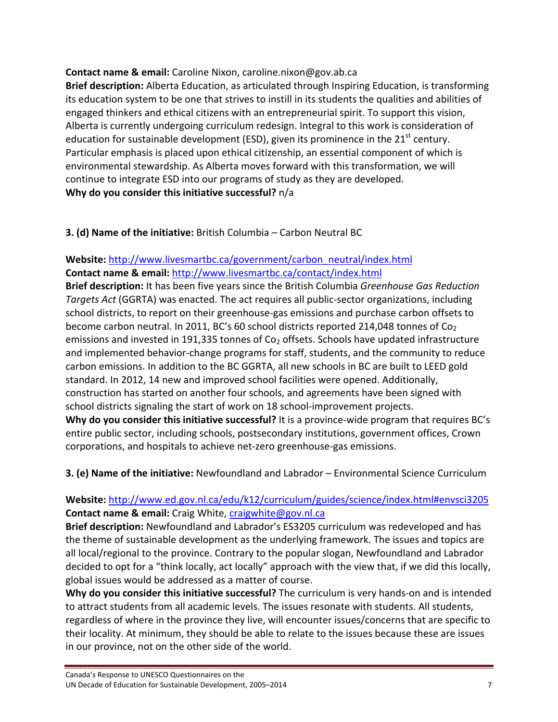## **Contact name & email:** Caroline Nixon, caroline.nixon@gov.ab.ca

**Brief description:** Alberta Education, as articulated through Inspiring Education, is transforming its education system to be one that strives to instill in its students the qualities and abilities of engaged thinkers and ethical citizens with an entrepreneurial spirit. To support this vision, Alberta is currently undergoing curriculum redesign. Integral to this work is consideration of education for sustainable development (ESD), given its prominence in the  $21<sup>st</sup>$  century. Particular emphasis is placed upon ethical citizenship, an essential component of which is environmental stewardship. As Alberta moves forward with this transformation, we will continue to integrate ESD into our programs of study as they are developed. **Why do you consider this initiative successful?** n/a

# **3. (d) Name of the initiative:** British Columbia – Carbon Neutral BC

# **Website:** http://www.livesmartbc.ca/government/carbon\_neutral/index.html **Contact name & email:** http://www.livesmartbc.ca/contact/index.html

**Brief description:** It has been five years since the British Columbia *Greenhouse Gas Reduction Targets Act* (GGRTA) was enacted. The act requires all public‐sector organizations, including school districts, to report on their greenhouse‐gas emissions and purchase carbon offsets to become carbon neutral. In 2011, BC's 60 school districts reported 214,048 tonnes of  $Co<sub>2</sub>$ emissions and invested in 191,335 tonnes of  $Co<sub>2</sub>$  offsets. Schools have updated infrastructure and implemented behavior-change programs for staff, students, and the community to reduce carbon emissions. In addition to the BC GGRTA, all new schools in BC are built to LEED gold standard. In 2012, 14 new and improved school facilities were opened. Additionally, construction has started on another four schools, and agreements have been signed with school districts signaling the start of work on 18 school‐improvement projects. **Why do you consider this initiative successful?** It is a province‐wide program that requires BC's entire public sector, including schools, postsecondary institutions, government offices, Crown corporations, and hospitals to achieve net‐zero greenhouse‐gas emissions.

**3. (e) Name of the initiative:** Newfoundland and Labrador – Environmental Science Curriculum

# **Website:** http://www.ed.gov.nl.ca/edu/k12/curriculum/guides/science/index.html#envsci3205 **Contact name & email:** Craig White, craigwhite@gov.nl.ca

**Brief description:** Newfoundland and Labrador's ES3205 curriculum was redeveloped and has the theme of sustainable development as the underlying framework. The issues and topics are all local/regional to the province. Contrary to the popular slogan, Newfoundland and Labrador decided to opt for a "think locally, act locally" approach with the view that, if we did this locally, global issues would be addressed as a matter of course.

**Why do you consider this initiative successful?** The curriculum is very hands‐on and is intended to attract students from all academic levels. The issues resonate with students. All students, regardless of where in the province they live, will encounter issues/concerns that are specific to their locality. At minimum, they should be able to relate to the issues because these are issues in our province, not on the other side of the world.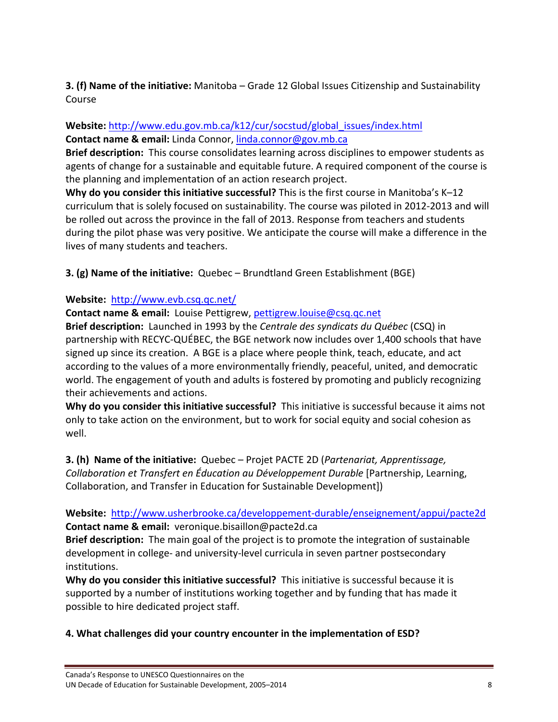**3. (f) Name of the initiative:** Manitoba – Grade 12 Global Issues Citizenship and Sustainability Course

#### **Website:** http://www.edu.gov.mb.ca/k12/cur/socstud/global\_issues/index.html **Contact name & email:** Linda Connor, linda.connor@gov.mb.ca

**Brief description:** This course consolidates learning across disciplines to empower students as agents of change for a sustainable and equitable future. A required component of the course is the planning and implementation of an action research project.

**Why do you consider this initiative successful?** This is the first course in Manitoba's K–12 curriculum that is solely focused on sustainability. The course was piloted in 2012‐2013 and will be rolled out across the province in the fall of 2013. Response from teachers and students during the pilot phase was very positive. We anticipate the course will make a difference in the lives of many students and teachers.

**3. (g) Name of the initiative:** Quebec – Brundtland Green Establishment (BGE)

## **Website:** http://www.evb.csq.qc.net/

**Contact name & email:** Louise Pettigrew, pettigrew.louise@csq.qc.net

**Brief description:** Launched in 1993 by the *Centrale des syndicats du Québec* (CSQ) in partnership with RECYC‐QUÉBEC, the BGE network now includes over 1,400 schools that have signed up since its creation. A BGE is a place where people think, teach, educate, and act according to the values of a more environmentally friendly, peaceful, united, and democratic world. The engagement of youth and adults is fostered by promoting and publicly recognizing their achievements and actions.

**Why do you consider this initiative successful?** This initiative is successful because it aims not only to take action on the environment, but to work for social equity and social cohesion as well.

**3. (h) Name of the initiative:** Quebec – Projet PACTE 2D (*Partenariat, Apprentissage, Collaboration et Transfert en Éducation au Développement Durable* [Partnership, Learning, Collaboration, and Transfer in Education for Sustainable Development])

**Website:** http://www.usherbrooke.ca/developpement‐durable/enseignement/appui/pacte2d **Contact name & email:** veronique.bisaillon@pacte2d.ca

**Brief description:** The main goal of the project is to promote the integration of sustainable development in college‐ and university‐level curricula in seven partner postsecondary institutions.

**Why do you consider this initiative successful?** This initiative is successful because it is supported by a number of institutions working together and by funding that has made it possible to hire dedicated project staff.

### **4. What challenges did your country encounter in the implementation of ESD?**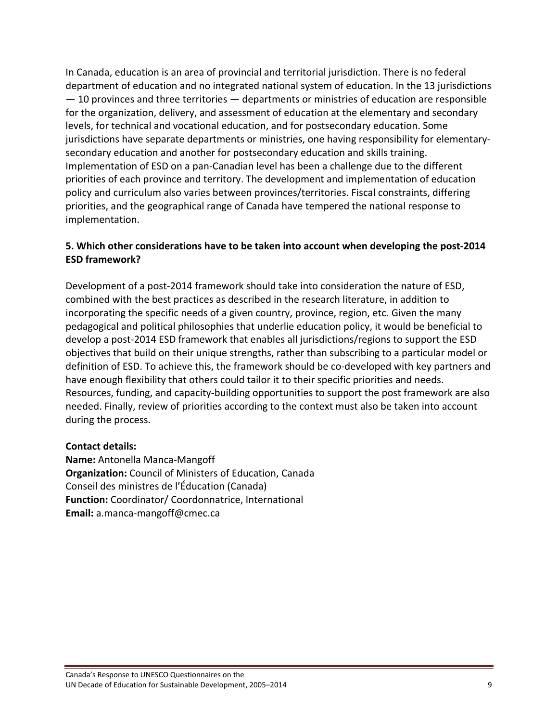In Canada, education is an area of provincial and territorial jurisdiction. There is no federal department of education and no integrated national system of education. In the 13 jurisdictions  $-$  10 provinces and three territories  $-$  departments or ministries of education are responsible for the organization, delivery, and assessment of education at the elementary and secondary levels, for technical and vocational education, and for postsecondary education. Some jurisdictions have separate departments or ministries, one having responsibility for elementary‐ secondary education and another for postsecondary education and skills training. Implementation of ESD on a pan‐Canadian level has been a challenge due to the different priorities of each province and territory. The development and implementation of education policy and curriculum also varies between provinces/territories. Fiscal constraints, differing priorities, and the geographical range of Canada have tempered the national response to implementation.

### **5. Which other considerations have to be taken into account when developing the post‐2014 ESD framework?**

Development of a post-2014 framework should take into consideration the nature of ESD, combined with the best practices as described in the research literature, in addition to incorporating the specific needs of a given country, province, region, etc. Given the many pedagogical and political philosophies that underlie education policy, it would be beneficial to develop a post‐2014 ESD framework that enables all jurisdictions/regions to support the ESD objectives that build on their unique strengths, rather than subscribing to a particular model or definition of ESD. To achieve this, the framework should be co-developed with key partners and have enough flexibility that others could tailor it to their specific priorities and needs. Resources, funding, and capacity‐building opportunities to support the post framework are also needed. Finally, review of priorities according to the context must also be taken into account during the process.

#### **Contact details:**

**Name:** Antonella Manca‐Mangoff **Organization:** Council of Ministers of Education, Canada Conseil des ministres de l'Éducation (Canada) **Function:** Coordinator/ Coordonnatrice, International **Email:** a.manca‐mangoff@cmec.ca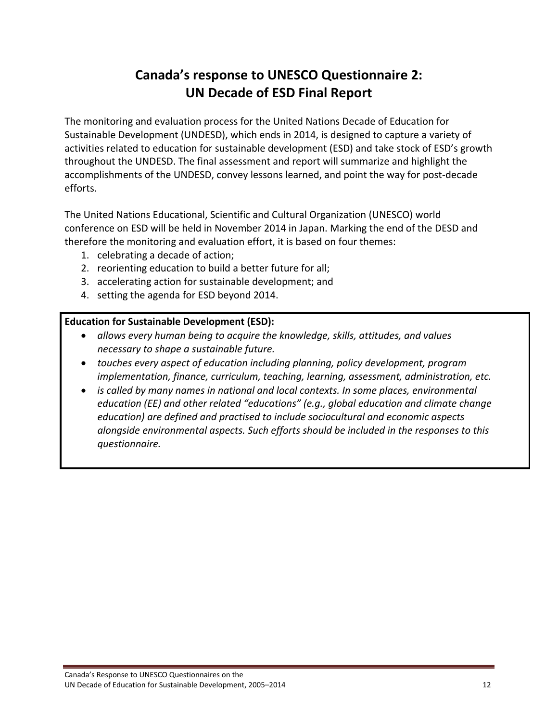# **Canada's response to UNESCO Questionnaire 2: UN Decade of ESD Final Report**

The monitoring and evaluation process for the United Nations Decade of Education for Sustainable Development (UNDESD), which ends in 2014, is designed to capture a variety of activities related to education for sustainable development (ESD) and take stock of ESD's growth throughout the UNDESD. The final assessment and report will summarize and highlight the accomplishments of the UNDESD, convey lessons learned, and point the way for post‐decade efforts.

The United Nations Educational, Scientific and Cultural Organization (UNESCO) world conference on ESD will be held in November 2014 in Japan. Marking the end of the DESD and therefore the monitoring and evaluation effort, it is based on four themes:

- 1. celebrating a decade of action;
- 2. reorienting education to build a better future for all;
- 3. accelerating action for sustainable development; and
- 4. setting the agenda for ESD beyond 2014.

### **Education for Sustainable Development (ESD):**

- *allows every human being to acquire the knowledge, skills, attitudes, and values necessary to shape a sustainable future.*
- *touches every aspect of education including planning, policy development, program implementation, finance, curriculum, teaching, learning, assessment, administration, etc.*
- *is called by many names in national and local contexts. In some places, environmental education (EE) and other related "educations" (e.g., global education and climate change education) are defined and practised to include sociocultural and economic aspects alongside environmental aspects. Such efforts should be included in the responses to this questionnaire.*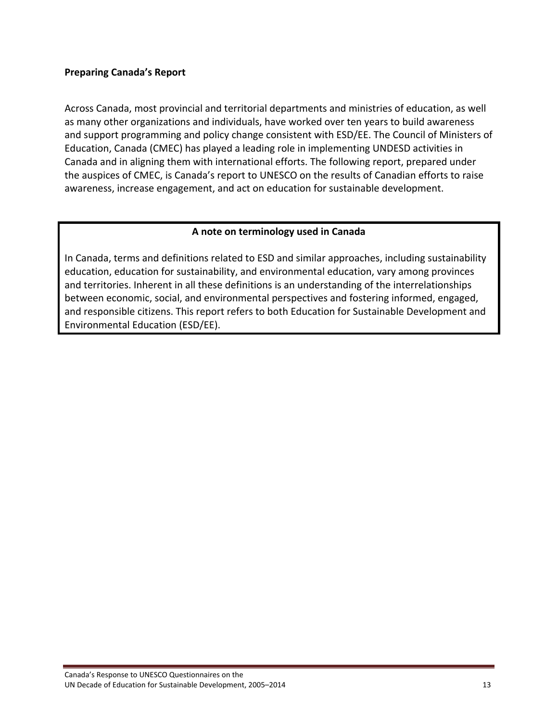#### **Preparing Canada's Report**

Across Canada, most provincial and territorial departments and ministries of education, as well as many other organizations and individuals, have worked over ten years to build awareness and support programming and policy change consistent with ESD/EE. The Council of Ministers of Education, Canada (CMEC) has played a leading role in implementing UNDESD activities in Canada and in aligning them with international efforts. The following report, prepared under the auspices of CMEC, is Canada's report to UNESCO on the results of Canadian efforts to raise awareness, increase engagement, and act on education for sustainable development.

#### **A note on terminology used in Canada**

In Canada, terms and definitions related to ESD and similar approaches, including sustainability education, education for sustainability, and environmental education, vary among provinces and territories. Inherent in all these definitions is an understanding of the interrelationships between economic, social, and environmental perspectives and fostering informed, engaged, and responsible citizens. This report refers to both Education for Sustainable Development and Environmental Education (ESD/EE).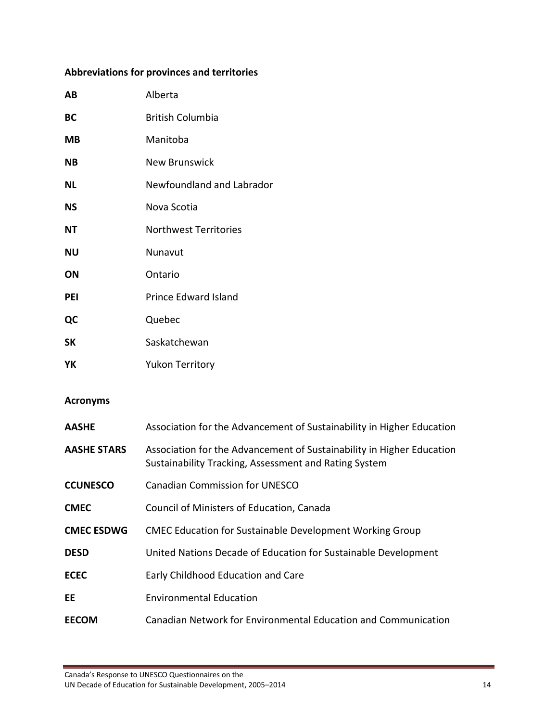# **Abbreviations for provinces and territories**

| AB         | Alberta                      |
|------------|------------------------------|
| <b>BC</b>  | <b>British Columbia</b>      |
| МB         | Manitoba                     |
| <b>NB</b>  | <b>New Brunswick</b>         |
| NL         | Newfoundland and Labrador    |
| <b>NS</b>  | Nova Scotia                  |
| <b>NT</b>  | <b>Northwest Territories</b> |
| <b>NU</b>  | Nunavut                      |
| ΟN         | Ontario                      |
| <b>PEI</b> | <b>Prince Edward Island</b>  |
| QC         | Quebec                       |
| <b>SK</b>  | Saskatchewan                 |
| YΚ         | <b>Yukon Territory</b>       |

#### **Acronyms**

| <b>AASHE</b>       | Association for the Advancement of Sustainability in Higher Education                                                          |
|--------------------|--------------------------------------------------------------------------------------------------------------------------------|
| <b>AASHE STARS</b> | Association for the Advancement of Sustainability in Higher Education<br>Sustainability Tracking, Assessment and Rating System |
| <b>CCUNESCO</b>    | Canadian Commission for UNESCO                                                                                                 |
| <b>CMEC</b>        | Council of Ministers of Education, Canada                                                                                      |
| <b>CMEC ESDWG</b>  | <b>CMEC Education for Sustainable Development Working Group</b>                                                                |
| <b>DESD</b>        | United Nations Decade of Education for Sustainable Development                                                                 |
| <b>ECEC</b>        | Early Childhood Education and Care                                                                                             |
| EE                 | <b>Environmental Education</b>                                                                                                 |
| EECOM              | Canadian Network for Environmental Education and Communication                                                                 |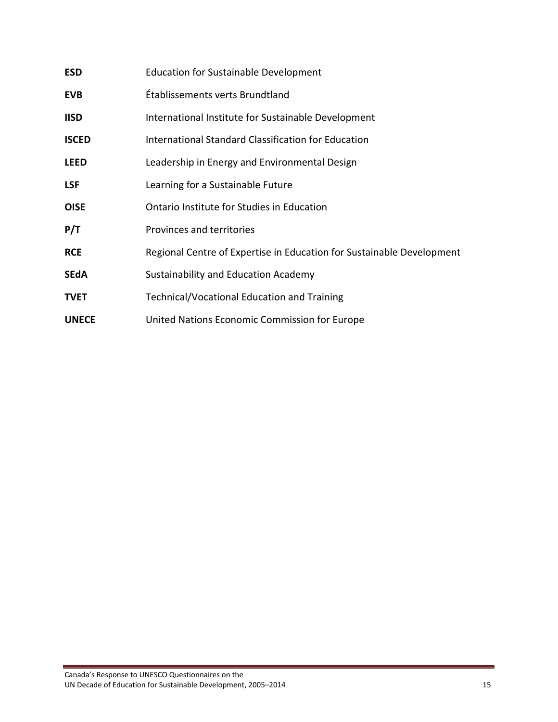| <b>ESD</b>   | <b>Education for Sustainable Development</b>                          |
|--------------|-----------------------------------------------------------------------|
| <b>EVB</b>   | Établissements verts Brundtland                                       |
| <b>IISD</b>  | International Institute for Sustainable Development                   |
| <b>ISCED</b> | International Standard Classification for Education                   |
| <b>LEED</b>  | Leadership in Energy and Environmental Design                         |
| <b>LSF</b>   | Learning for a Sustainable Future                                     |
| <b>OISE</b>  | Ontario Institute for Studies in Education                            |
| P/T          | Provinces and territories                                             |
| <b>RCE</b>   | Regional Centre of Expertise in Education for Sustainable Development |
| <b>SEdA</b>  | Sustainability and Education Academy                                  |
| <b>TVET</b>  | Technical/Vocational Education and Training                           |
| <b>UNECE</b> | United Nations Economic Commission for Europe                         |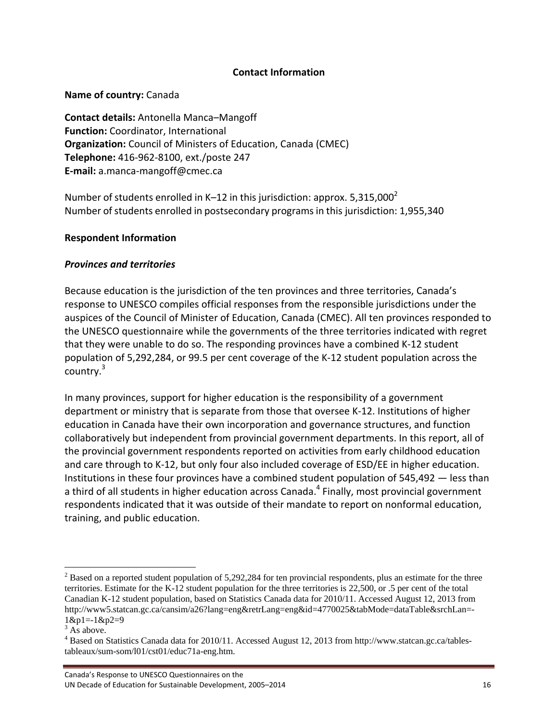#### **Contact Information**

#### **Name of country:** Canada

**Contact details:** Antonella Manca–Mangoff **Function:** Coordinator, International **Organization:** Council of Ministers of Education, Canada (CMEC) **Telephone:** 416‐962‐8100, ext./poste 247 **E‐mail:** a.manca‐mangoff@cmec.ca

Number of students enrolled in K–12 in this jurisdiction: approx.  $5,315,000<sup>2</sup>$ Number of students enrolled in postsecondary programs in this jurisdiction: 1,955,340

#### **Respondent Information**

#### *Provinces and territories*

Because education is the jurisdiction of the ten provinces and three territories, Canada's response to UNESCO compiles official responses from the responsible jurisdictions under the auspices of the Council of Minister of Education, Canada (CMEC). All ten provinces responded to the UNESCO questionnaire while the governments of the three territories indicated with regret that they were unable to do so. The responding provinces have a combined K‐12 student population of 5,292,284, or 99.5 per cent coverage of the K‐12 student population across the country.<sup>3</sup>

In many provinces, support for higher education is the responsibility of a government department or ministry that is separate from those that oversee K‐12. Institutions of higher education in Canada have their own incorporation and governance structures, and function collaboratively but independent from provincial government departments. In this report, all of the provincial government respondents reported on activities from early childhood education and care through to K-12, but only four also included coverage of ESD/EE in higher education. Institutions in these four provinces have a combined student population of 545,492 — less than a third of all students in higher education across Canada.<sup>4</sup> Finally, most provincial government respondents indicated that it was outside of their mandate to report on nonformal education, training, and public education.

 $2^2$  Based on a reported student population of 5,292,284 for ten provincial respondents, plus an estimate for the three territories. Estimate for the K-12 student population for the three territories is 22,500, or .5 per cent of the total Canadian K-12 student population, based on Statistics Canada data for 2010/11. Accessed August 12, 2013 from http://www5.statcan.gc.ca/cansim/a26?lang=eng&retrLang=eng&id=4770025&tabMode=dataTable&srchLan=- 1&p1=-1&p2=9

 $3$  As above.

<sup>&</sup>lt;sup>4</sup> Based on Statistics Canada data for 2010/11. Accessed August 12, 2013 from http://www.statcan.gc.ca/tablestableaux/sum-som/l01/cst01/educ71a-eng.htm.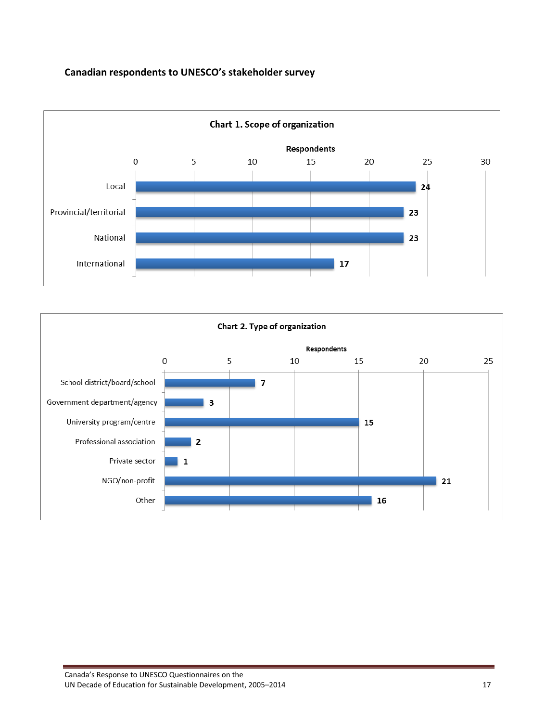## **Canadian respondents to UNESCO's stakeholder survey**



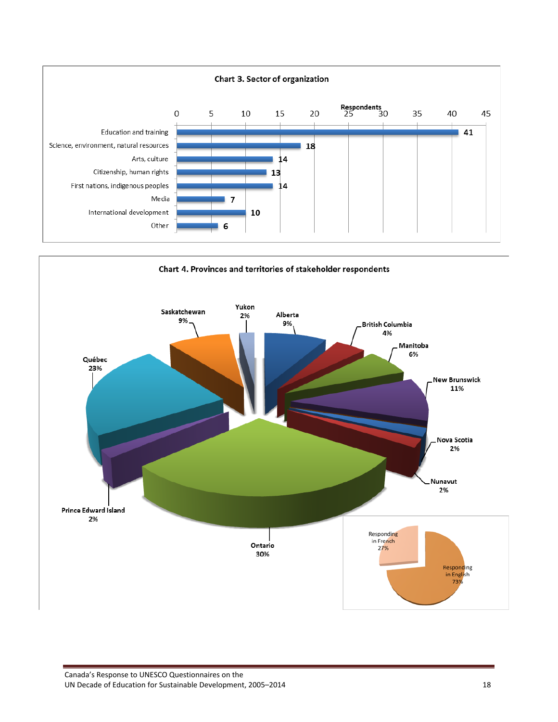

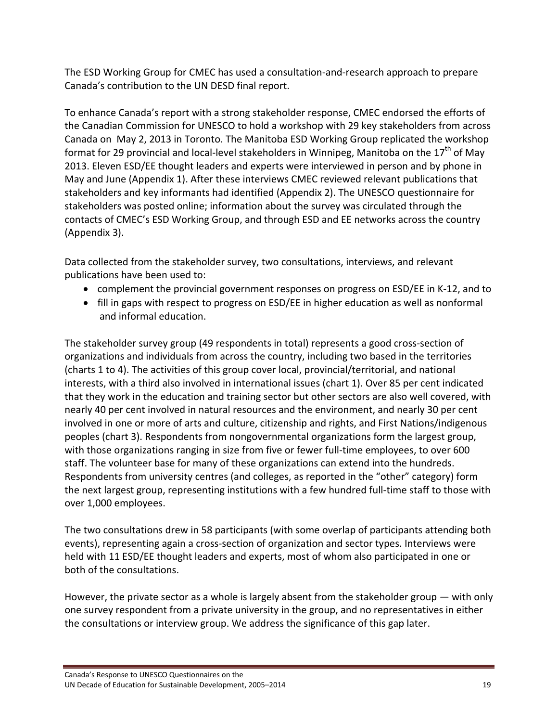The ESD Working Group for CMEC has used a consultation‐and‐research approach to prepare Canada's contribution to the UN DESD final report.

To enhance Canada's report with a strong stakeholder response, CMEC endorsed the efforts of the Canadian Commission for UNESCO to hold a workshop with 29 key stakeholders from across Canada on May 2, 2013 in Toronto. The Manitoba ESD Working Group replicated the workshop format for 29 provincial and local-level stakeholders in Winnipeg, Manitoba on the  $17<sup>th</sup>$  of May 2013. Eleven ESD/EE thought leaders and experts were interviewed in person and by phone in May and June (Appendix 1). After these interviews CMEC reviewed relevant publications that stakeholders and key informants had identified (Appendix 2). The UNESCO questionnaire for stakeholders was posted online; information about the survey was circulated through the contacts of CMEC's ESD Working Group, and through ESD and EE networks across the country (Appendix 3).

Data collected from the stakeholder survey, two consultations, interviews, and relevant publications have been used to:

- complement the provincial government responses on progress on ESD/EE in K-12, and to
- fill in gaps with respect to progress on ESD/EE in higher education as well as nonformal and informal education.

The stakeholder survey group (49 respondents in total) represents a good cross‐section of organizations and individuals from across the country, including two based in the territories (charts 1 to 4). The activities of this group cover local, provincial/territorial, and national interests, with a third also involved in international issues (chart 1). Over 85 per cent indicated that they work in the education and training sector but other sectors are also well covered, with nearly 40 per cent involved in natural resources and the environment, and nearly 30 per cent involved in one or more of arts and culture, citizenship and rights, and First Nations/indigenous peoples (chart 3). Respondents from nongovernmental organizations form the largest group, with those organizations ranging in size from five or fewer full-time employees, to over 600 staff. The volunteer base for many of these organizations can extend into the hundreds. Respondents from university centres (and colleges, as reported in the "other" category) form the next largest group, representing institutions with a few hundred full‐time staff to those with over 1,000 employees.

The two consultations drew in 58 participants (with some overlap of participants attending both events), representing again a cross‐section of organization and sector types. Interviews were held with 11 ESD/EE thought leaders and experts, most of whom also participated in one or both of the consultations.

However, the private sector as a whole is largely absent from the stakeholder group — with only one survey respondent from a private university in the group, and no representatives in either the consultations or interview group. We address the significance of this gap later.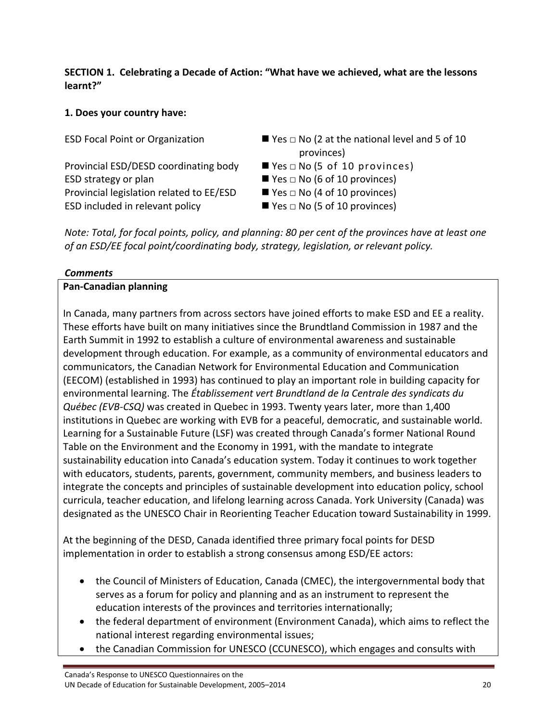**SECTION 1. Celebrating a Decade of Action: "What have we achieved, what are the lessons learnt?"**

# **1. Does your country have:**

Provincial ESD/DESD coordinating body  $\blacksquare$  Yes  $\Box$  No (5 of 10 provinces) ESD strategy or plan  $\blacksquare$  Yes  $\square$  No (6 of 10 provinces) Provincial legislation related to  $EE/ESD$  **■** Yes  $\Box$  No (4 of 10 provinces) ESD included in relevant policy  $\blacksquare$  Yes  $\square$  No (5 of 10 provinces)

- ESD Focal Point or Organization  $\blacksquare$  Yes  $\square$  No (2 at the national level and 5 of 10 provinces)
	-
	-
	-
	-

Note: Total, for focal points, policy, and planning: 80 per cent of the provinces have at least one *of an ESD/EE focal point/coordinating body, strategy, legislation, or relevant policy.*

## *Comments*

## **Pan‐Canadian planning**

In Canada, many partners from across sectors have joined efforts to make ESD and EE a reality. These efforts have built on many initiatives since the Brundtland Commission in 1987 and the Earth Summit in 1992 to establish a culture of environmental awareness and sustainable development through education. For example, as a community of environmental educators and communicators, the Canadian Network for Environmental Education and Communication (EECOM) (established in 1993) has continued to play an important role in building capacity for environmental learning. The *Établissement vert Brundtland de la Centrale des syndicats du Québec (EVB‐CSQ)* was created in Quebec in 1993. Twenty years later, more than 1,400 institutions in Quebec are working with EVB for a peaceful, democratic, and sustainable world. Learning for a Sustainable Future (LSF) was created through Canada's former National Round Table on the Environment and the Economy in 1991, with the mandate to integrate sustainability education into Canada's education system. Today it continues to work together with educators, students, parents, government, community members, and business leaders to integrate the concepts and principles of sustainable development into education policy, school curricula, teacher education, and lifelong learning across Canada. York University (Canada) was designated as the UNESCO Chair in Reorienting Teacher Education toward Sustainability in 1999.

At the beginning of the DESD, Canada identified three primary focal points for DESD implementation in order to establish a strong consensus among ESD/EE actors:

- the Council of Ministers of Education, Canada (CMEC), the intergovernmental body that serves as a forum for policy and planning and as an instrument to represent the education interests of the provinces and territories internationally;
- the federal department of environment (Environment Canada), which aims to reflect the national interest regarding environmental issues;
- the Canadian Commission for UNESCO (CCUNESCO), which engages and consults with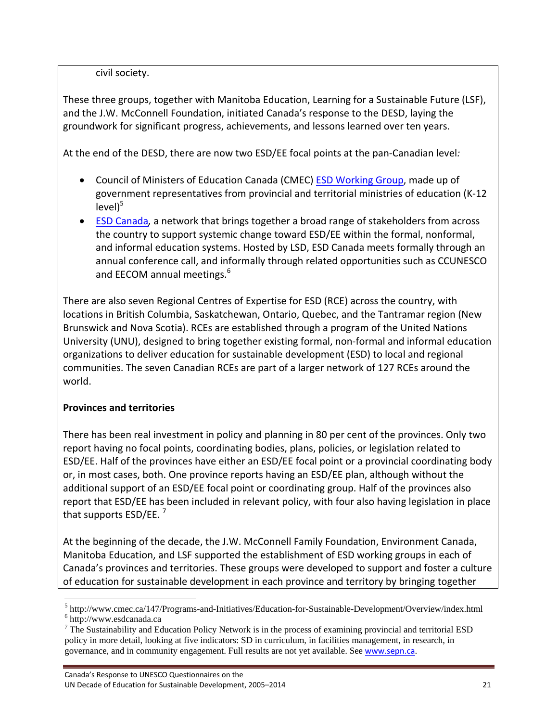civil society.

These three groups, together with Manitoba Education, Learning for a Sustainable Future (LSF), and the J.W. McConnell Foundation, initiated Canada's response to the DESD, laying the groundwork for significant progress, achievements, and lessons learned over ten years.

At the end of the DESD, there are now two ESD/EE focal points at the pan‐Canadian level*:*

- Council of Ministers of Education Canada (CMEC) **ESD Working Group**, made up of government representatives from provincial and territorial ministries of education (K‐12  $level)^5$
- ESD Canada*,* a network that brings together a broad range of stakeholders from across the country to support systemic change toward ESD/EE within the formal, nonformal, and informal education systems. Hosted by LSD, ESD Canada meets formally through an annual conference call, and informally through related opportunities such as CCUNESCO and EECOM annual meetings.<sup>6</sup>

There are also seven Regional Centres of Expertise for ESD (RCE) across the country, with locations in British Columbia, Saskatchewan, Ontario, Quebec, and the Tantramar region (New Brunswick and Nova Scotia). RCEs are established through a program of the United Nations University (UNU), designed to bring together existing formal, non‐formal and informal education organizations to deliver education for sustainable development (ESD) to local and regional communities. The seven Canadian RCEs are part of a larger network of 127 RCEs around the world.

### **Provinces and territories**

There has been real investment in policy and planning in 80 per cent of the provinces. Only two report having no focal points, coordinating bodies, plans, policies, or legislation related to ESD/EE. Half of the provinces have either an ESD/EE focal point or a provincial coordinating body or, in most cases, both. One province reports having an ESD/EE plan, although without the additional support of an ESD/EE focal point or coordinating group. Half of the provinces also report that ESD/EE has been included in relevant policy, with four also having legislation in place that supports ESD/EE.

At the beginning of the decade, the J.W. McConnell Family Foundation, Environment Canada, Manitoba Education, and LSF supported the establishment of ESD working groups in each of Canada's provinces and territories. These groups were developed to support and foster a culture of education for sustainable development in each province and territory by bringing together

  $^{5}$  http://www.cmec.ca/147/Programs-and-Initiatives/Education-for-Sustainable-Development/Overview/index.html  $^{6}$  http://www.codeonade.co

http://www.esdcanada.ca

 $<sup>7</sup>$  The Sustainability and Education Policy Network is in the process of examining provincial and territorial ESD</sup> policy in more detail, looking at five indicators: SD in curriculum, in facilities management, in research, in governance, and in community engagement. Full results are not yet available. See www.sepn.ca.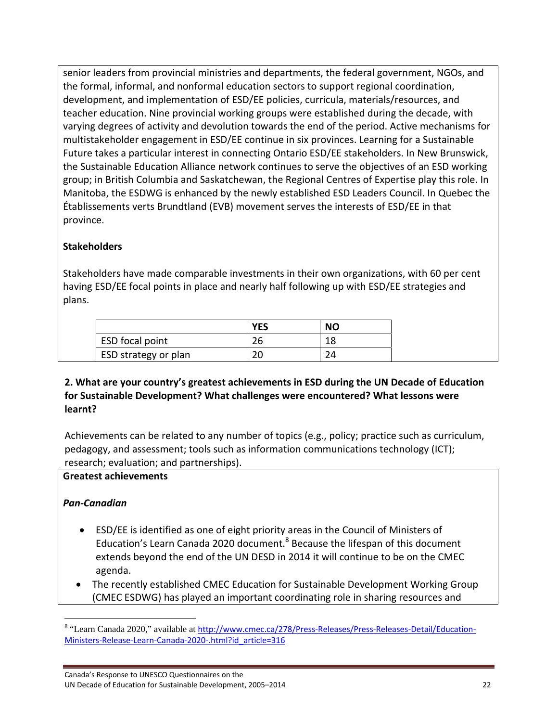senior leaders from provincial ministries and departments, the federal government, NGOs, and the formal, informal, and nonformal education sectors to support regional coordination, development, and implementation of ESD/EE policies, curricula, materials/resources, and teacher education. Nine provincial working groups were established during the decade, with varying degrees of activity and devolution towards the end of the period. Active mechanisms for multistakeholder engagement in ESD/EE continue in six provinces. Learning for a Sustainable Future takes a particular interest in connecting Ontario ESD/EE stakeholders. In New Brunswick, the Sustainable Education Alliance network continues to serve the objectives of an ESD working group; in British Columbia and Saskatchewan, the Regional Centres of Expertise play this role. In Manitoba, the ESDWG is enhanced by the newly established ESD Leaders Council. In Quebec the Établissements verts Brundtland (EVB) movement serves the interests of ESD/EE in that province.

# **Stakeholders**

Stakeholders have made comparable investments in their own organizations, with 60 per cent having ESD/EE focal points in place and nearly half following up with ESD/EE strategies and plans.

|                        | <b>YES</b> | <b>NO</b> |
|------------------------|------------|-----------|
| <b>ESD</b> focal point | 26         | 18        |
| ESD strategy or plan   | 20         | 24        |

# **2. What are your country's greatest achievements in ESD during the UN Decade of Education for Sustainable Development? What challenges were encountered? What lessons were learnt?**

Achievements can be related to any number of topics (e.g., policy; practice such as curriculum, pedagogy, and assessment; tools such as information communications technology (ICT); research; evaluation; and partnerships).

### **Greatest achievements**

### *Pan‐Canadian*

- ESD/EE is identified as one of eight priority areas in the Council of Ministers of Education's Learn Canada 2020 document.<sup>8</sup> Because the lifespan of this document extends beyond the end of the UN DESD in 2014 it will continue to be on the CMEC agenda.
- The recently established CMEC Education for Sustainable Development Working Group (CMEC ESDWG) has played an important coordinating role in sharing resources and

<sup>&</sup>lt;sup>8</sup> "Learn Canada 2020," available at <u>http://www.cmec.ca/278/Press-Releases/Press-Releases-Detail/Education-</u> Ministers‐Release‐Learn‐Canada‐2020‐.html?id\_article=316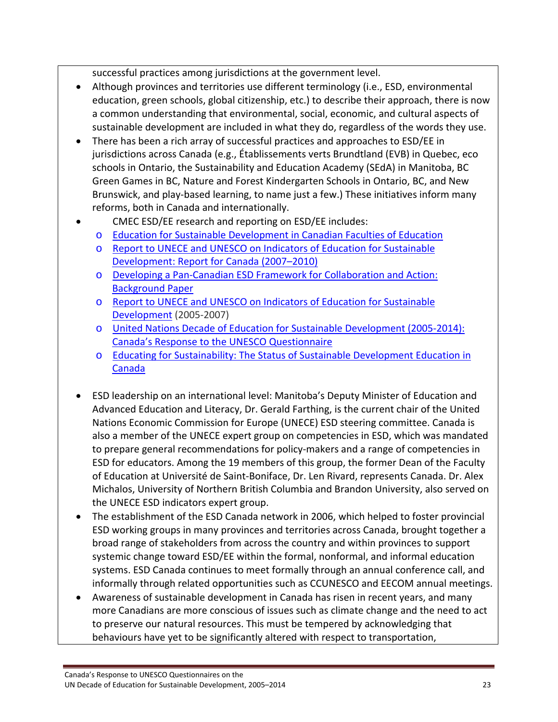successful practices among jurisdictions at the government level.

- Although provinces and territories use different terminology (i.e., ESD, environmental education, green schools, global citizenship, etc.) to describe their approach, there is now a common understanding that environmental, social, economic, and cultural aspects of sustainable development are included in what they do, regardless of the words they use.
- There has been a rich array of successful practices and approaches to ESD/EE in jurisdictions across Canada (e.g., Établissements verts Brundtland (EVB) in Quebec, eco schools in Ontario, the Sustainability and Education Academy (SEdA) in Manitoba, BC Green Games in BC, Nature and Forest Kindergarten Schools in Ontario, BC, and New Brunswick, and play‐based learning, to name just a few.) These initiatives inform many reforms, both in Canada and internationally.
	- CMEC ESD/EE research and reporting on ESD/EE includes:
	- o Education for Sustainable Development in Canadian Faculties of Education
	- o Report to UNECE and UNESCO on Indicators of Education for Sustainable Development: Report for Canada (2007–2010)
	- o Developing a Pan‐Canadian ESD Framework for Collaboration and Action: Background Paper
	- o Report to UNECE and UNESCO on Indicators of Education for Sustainable Development (2005‐2007)
	- o United Nations Decade of Education for Sustainable Development (2005‐2014): Canada's Response to the UNESCO Questionnaire
	- o Educating for Sustainability: The Status of Sustainable Development Education in Canada
- ESD leadership on an international level: Manitoba's Deputy Minister of Education and Advanced Education and Literacy, Dr. Gerald Farthing, is the current chair of the United Nations Economic Commission for Europe (UNECE) ESD steering committee. Canada is also a member of the UNECE expert group on competencies in ESD, which was mandated to prepare general recommendations for policy‐makers and a range of competencies in ESD for educators. Among the 19 members of this group, the former Dean of the Faculty of Education at Université de Saint‐Boniface, Dr. Len Rivard, represents Canada. Dr. Alex Michalos, University of Northern British Columbia and Brandon University, also served on the UNECE ESD indicators expert group.
- The establishment of the ESD Canada network in 2006, which helped to foster provincial ESD working groups in many provinces and territories across Canada, brought together a broad range of stakeholders from across the country and within provinces to support systemic change toward ESD/EE within the formal, nonformal, and informal education systems. ESD Canada continues to meet formally through an annual conference call, and informally through related opportunities such as CCUNESCO and EECOM annual meetings.
- Awareness of sustainable development in Canada has risen in recent years, and many more Canadians are more conscious of issues such as climate change and the need to act to preserve our natural resources. This must be tempered by acknowledging that behaviours have yet to be significantly altered with respect to transportation,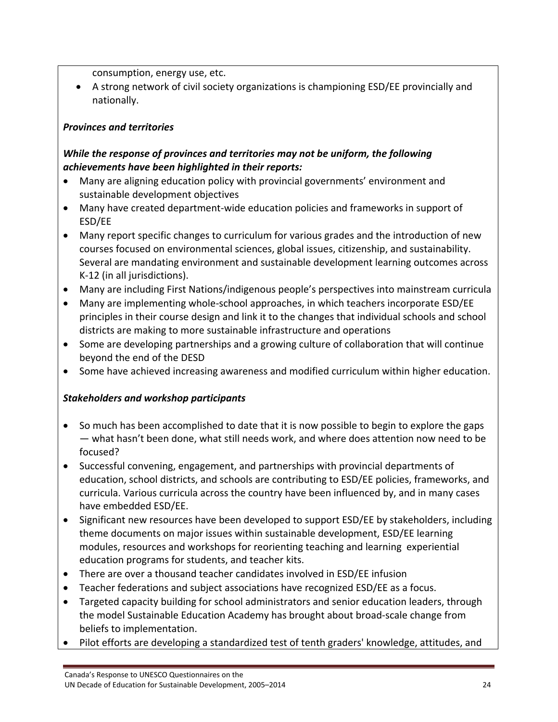consumption, energy use, etc.

 A strong network of civil society organizations is championing ESD/EE provincially and nationally.

# *Provinces and territories*

# *While the response of provinces and territories may not be uniform, the following achievements have been highlighted in their reports:*

- Many are aligning education policy with provincial governments' environment and sustainable development objectives
- Many have created department-wide education policies and frameworks in support of ESD/EE
- Many report specific changes to curriculum for various grades and the introduction of new courses focused on environmental sciences, global issues, citizenship, and sustainability. Several are mandating environment and sustainable development learning outcomes across K‐12 (in all jurisdictions).
- Many are including First Nations/indigenous people's perspectives into mainstream curricula
- Many are implementing whole-school approaches, in which teachers incorporate ESD/EE principles in their course design and link it to the changes that individual schools and school districts are making to more sustainable infrastructure and operations
- Some are developing partnerships and a growing culture of collaboration that will continue beyond the end of the DESD
- Some have achieved increasing awareness and modified curriculum within higher education.

# *Stakeholders and workshop participants*

- So much has been accomplished to date that it is now possible to begin to explore the gaps — what hasn't been done, what still needs work, and where does attention now need to be focused?
- Successful convening, engagement, and partnerships with provincial departments of education, school districts, and schools are contributing to ESD/EE policies, frameworks, and curricula. Various curricula across the country have been influenced by, and in many cases have embedded ESD/EE.
- Significant new resources have been developed to support ESD/EE by stakeholders, including theme documents on major issues within sustainable development, ESD/EE learning modules, resources and workshops for reorienting teaching and learning experiential education programs for students, and teacher kits.
- There are over a thousand teacher candidates involved in ESD/EE infusion
- Teacher federations and subject associations have recognized ESD/EE as a focus.
- Targeted capacity building for school administrators and senior education leaders, through the model Sustainable Education Academy has brought about broad‐scale change from beliefs to implementation.
- Pilot efforts are developing a standardized test of tenth graders' knowledge, attitudes, and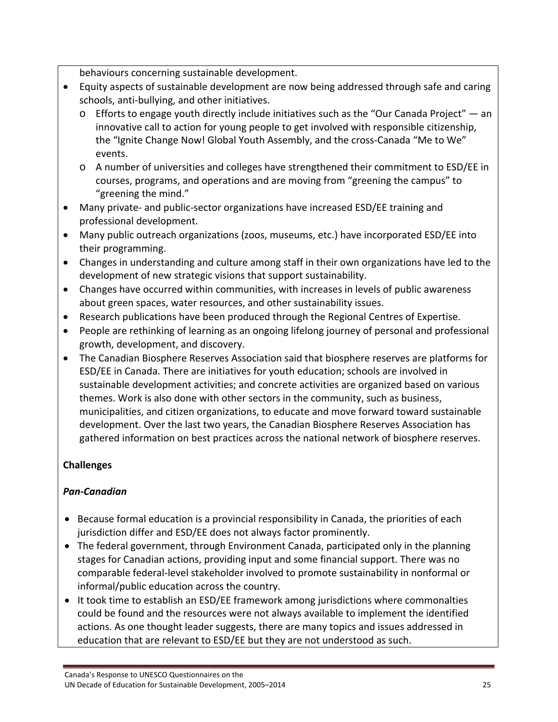behaviours concerning sustainable development.

- Equity aspects of sustainable development are now being addressed through safe and caring schools, anti‐bullying, and other initiatives.
	- $\circ$  Efforts to engage youth directly include initiatives such as the "Our Canada Project" an innovative call to action for young people to get involved with responsible citizenship, the "Ignite Change Now! Global Youth Assembly, and the cross-Canada "Me to We" events.
	- o A number of universities and colleges have strengthened their commitment to ESD/EE in courses, programs, and operations and are moving from "greening the campus" to "greening the mind."
- Many private- and public-sector organizations have increased ESD/EE training and professional development.
- Many public outreach organizations (zoos, museums, etc.) have incorporated ESD/EE into their programming.
- Changes in understanding and culture among staff in their own organizations have led to the development of new strategic visions that support sustainability.
- Changes have occurred within communities, with increases in levels of public awareness about green spaces, water resources, and other sustainability issues.
- Research publications have been produced through the Regional Centres of Expertise.
- People are rethinking of learning as an ongoing lifelong journey of personal and professional growth, development, and discovery.
- The Canadian Biosphere Reserves Association said that biosphere reserves are platforms for ESD/EE in Canada. There are initiatives for youth education; schools are involved in sustainable development activities; and concrete activities are organized based on various themes. Work is also done with other sectors in the community, such as business, municipalities, and citizen organizations, to educate and move forward toward sustainable development. Over the last two years, the Canadian Biosphere Reserves Association has gathered information on best practices across the national network of biosphere reserves.

# **Challenges**

### *Pan‐Canadian*

- **Because formal education is a provincial responsibility in Canada, the priorities of each** jurisdiction differ and ESD/EE does not always factor prominently.
- The federal government, through Environment Canada, participated only in the planning stages for Canadian actions, providing input and some financial support. There was no comparable federal‐level stakeholder involved to promote sustainability in nonformal or informal/public education across the country.
- It took time to establish an ESD/EE framework among jurisdictions where commonalties could be found and the resources were not always available to implement the identified actions. As one thought leader suggests, there are many topics and issues addressed in education that are relevant to ESD/EE but they are not understood as such.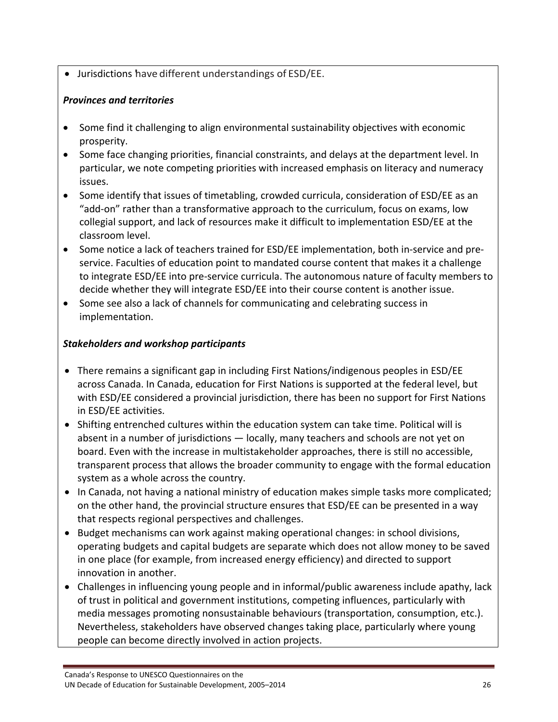Jurisdictions 'have different understandings of ESD/EE.

## *Provinces and territories*

- Some find it challenging to align environmental sustainability objectives with economic prosperity.
- Some face changing priorities, financial constraints, and delays at the department level. In particular, we note competing priorities with increased emphasis on literacy and numeracy issues.
- Some identify that issues of timetabling, crowded curricula, consideration of ESD/EE as an "add‐on" rather than a transformative approach to the curriculum, focus on exams, low collegial support, and lack of resources make it difficult to implementation ESD/EE at the classroom level.
- Some notice a lack of teachers trained for ESD/EE implementation, both in-service and preservice. Faculties of education point to mandated course content that makes it a challenge to integrate ESD/EE into pre‐service curricula. The autonomous nature of faculty members to decide whether they will integrate ESD/EE into their course content is another issue.
- Some see also a lack of channels for communicating and celebrating success in implementation.

## *Stakeholders and workshop participants*

- There remains a significant gap in including First Nations/indigenous peoples in ESD/EE across Canada. In Canada, education for First Nations is supported at the federal level, but with ESD/EE considered a provincial jurisdiction, there has been no support for First Nations in ESD/EE activities.
- Shifting entrenched cultures within the education system can take time. Political will is absent in a number of jurisdictions — locally, many teachers and schools are not yet on board. Even with the increase in multistakeholder approaches, there is still no accessible, transparent process that allows the broader community to engage with the formal education system as a whole across the country.
- In Canada, not having a national ministry of education makes simple tasks more complicated; on the other hand, the provincial structure ensures that ESD/EE can be presented in a way that respects regional perspectives and challenges.
- Budget mechanisms can work against making operational changes: in school divisions, operating budgets and capital budgets are separate which does not allow money to be saved in one place (for example, from increased energy efficiency) and directed to support innovation in another.
- Challenges in influencing young people and in informal/public awareness include apathy, lack of trust in political and government institutions, competing influences, particularly with media messages promoting nonsustainable behaviours (transportation, consumption, etc.). Nevertheless, stakeholders have observed changes taking place, particularly where young people can become directly involved in action projects.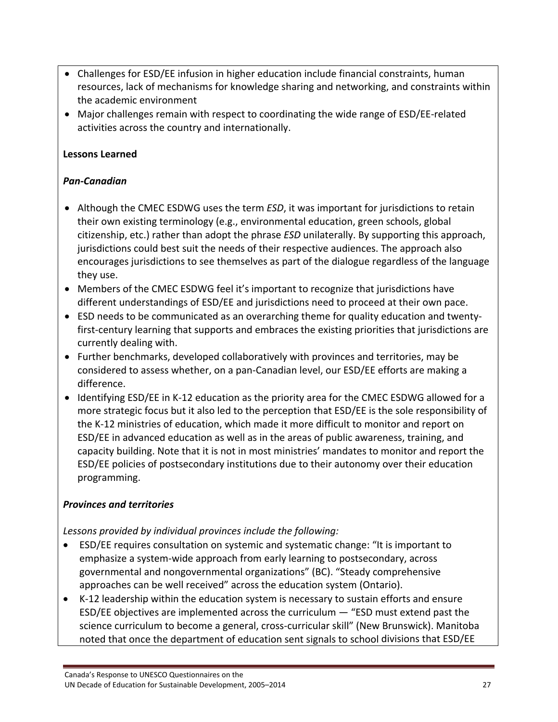- Challenges for ESD/EE infusion in higher education include financial constraints, human resources, lack of mechanisms for knowledge sharing and networking, and constraints within the academic environment
- Major challenges remain with respect to coordinating the wide range of ESD/EE-related activities across the country and internationally.

## **Lessons Learned**

## *Pan‐Canadian*

- Although the CMEC ESDWG uses the term *ESD*, it was important for jurisdictions to retain their own existing terminology (e.g., environmental education, green schools, global citizenship, etc.) rather than adopt the phrase *ESD* unilaterally. By supporting this approach, jurisdictions could best suit the needs of their respective audiences. The approach also encourages jurisdictions to see themselves as part of the dialogue regardless of the language they use.
- Members of the CMEC ESDWG feel it's important to recognize that jurisdictions have different understandings of ESD/EE and jurisdictions need to proceed at their own pace.
- ESD needs to be communicated as an overarching theme for quality education and twentyfirst-century learning that supports and embraces the existing priorities that jurisdictions are currently dealing with.
- Further benchmarks, developed collaboratively with provinces and territories, may be considered to assess whether, on a pan‐Canadian level, our ESD/EE efforts are making a difference.
- Identifying ESD/EE in K-12 education as the priority area for the CMEC ESDWG allowed for a more strategic focus but it also led to the perception that ESD/EE is the sole responsibility of the K‐12 ministries of education, which made it more difficult to monitor and report on ESD/EE in advanced education as well as in the areas of public awareness, training, and capacity building. Note that it is not in most ministries' mandates to monitor and report the ESD/EE policies of postsecondary institutions due to their autonomy over their education programming.

# *Provinces and territories*

*Lessons provided by individual provinces include the following:*

- ESD/EE requires consultation on systemic and systematic change: "It is important to emphasize a system‐wide approach from early learning to postsecondary, across governmental and nongovernmental organizations" (BC). "Steady comprehensive approaches can be well received" across the education system (Ontario).
- K-12 leadership within the education system is necessary to sustain efforts and ensure ESD/EE objectives are implemented across the curriculum — "ESD must extend past the science curriculum to become a general, cross‐curricular skill" (New Brunswick). Manitoba noted that once the department of education sent signals to school divisions that ESD/EE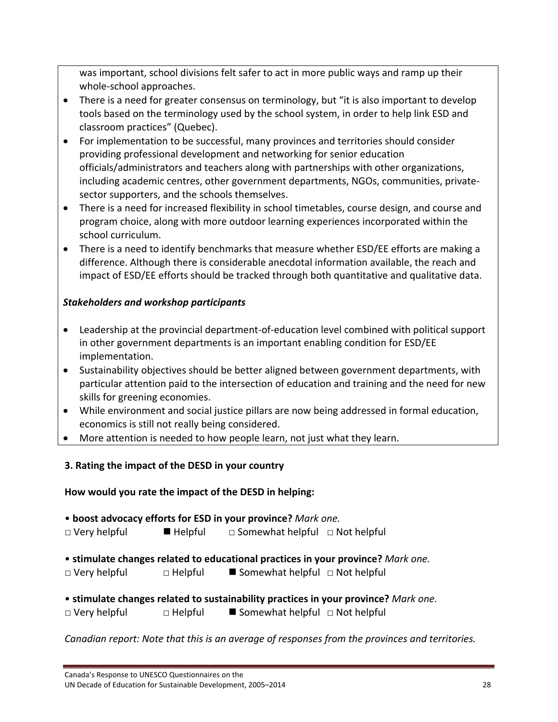was important, school divisions felt safer to act in more public ways and ramp up their whole‐school approaches.

- There is a need for greater consensus on terminology, but "it is also important to develop tools based on the terminology used by the school system, in order to help link ESD and classroom practices" (Quebec).
- For implementation to be successful, many provinces and territories should consider providing professional development and networking for senior education officials/administrators and teachers along with partnerships with other organizations, including academic centres, other government departments, NGOs, communities, private‐ sector supporters, and the schools themselves.
- There is a need for increased flexibility in school timetables, course design, and course and program choice, along with more outdoor learning experiences incorporated within the school curriculum.
- There is a need to identify benchmarks that measure whether ESD/EE efforts are making a difference. Although there is considerable anecdotal information available, the reach and impact of ESD/EE efforts should be tracked through both quantitative and qualitative data.

# *Stakeholders and workshop participants*

- Leadership at the provincial department-of-education level combined with political support in other government departments is an important enabling condition for ESD/EE implementation.
- Sustainability objectives should be better aligned between government departments, with particular attention paid to the intersection of education and training and the need for new skills for greening economies.
- While environment and social justice pillars are now being addressed in formal education, economics is still not really being considered.
- More attention is needed to how people learn, not just what they learn.

# **3. Rating the impact of the DESD in your country**

### **How would you rate the impact of the DESD in helping:**

- **boost advocacy efforts for ESD in your province?** *Mark one.*
- □ Very helpful Helpful □ Somewhat helpful □ Not helpful
- **stimulate changes related to educational practices in your province?** *Mark one.*
- □ Very helpful □ Helpful Somewhat helpful □ Not helpful
- **stimulate changes related to sustainability practices in your province?** *Mark one.*
- □ Very helpful □ Helpful Somewhat helpful □ Not helpful

### *Canadian report: Note that this is an average of responses from the provinces and territories.*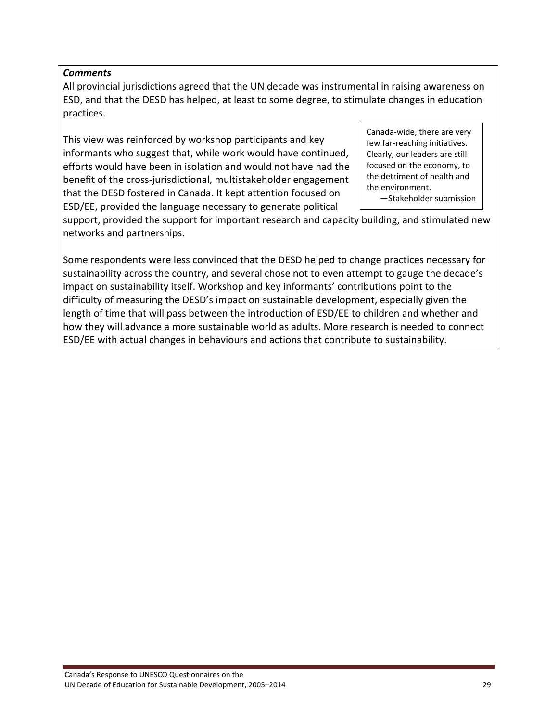#### *Comments*

All provincial jurisdictions agreed that the UN decade was instrumental in raising awareness on ESD, and that the DESD has helped, at least to some degree, to stimulate changes in education practices.

This view was reinforced by workshop participants and key informants who suggest that, while work would have continued, efforts would have been in isolation and would not have had the benefit of the cross‐jurisdictional, multistakeholder engagement that the DESD fostered in Canada. It kept attention focused on ESD/EE, provided the language necessary to generate political

Canada‐wide, there are very few far‐reaching initiatives. Clearly, our leaders are still focused on the economy, to the detriment of health and the environment. —Stakeholder submission

support, provided the support for important research and capacity building, and stimulated new networks and partnerships.

Some respondents were less convinced that the DESD helped to change practices necessary for sustainability across the country, and several chose not to even attempt to gauge the decade's impact on sustainability itself. Workshop and key informants' contributions point to the difficulty of measuring the DESD's impact on sustainable development, especially given the length of time that will pass between the introduction of ESD/EE to children and whether and how they will advance a more sustainable world as adults. More research is needed to connect ESD/EE with actual changes in behaviours and actions that contribute to sustainability.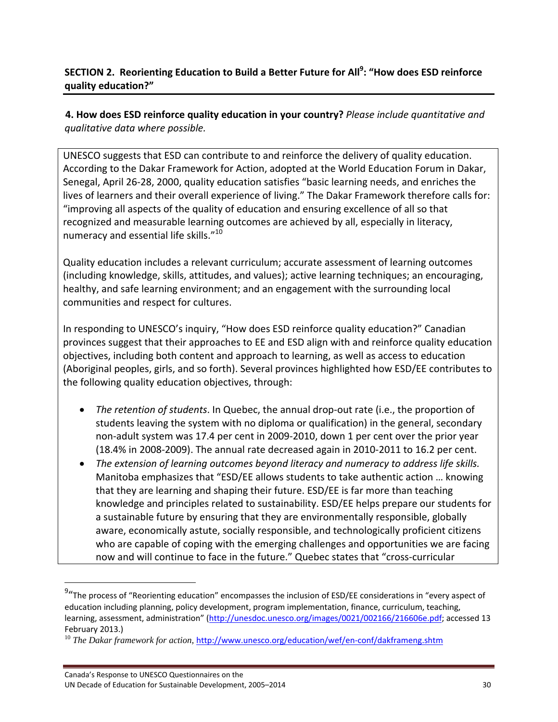# **SECTION 2. Reorienting Education to Build a Better Future for All9 : "How does ESD reinforce quality education?"**

**4. How does ESD reinforce quality education in your country?** *Please include quantitative and qualitative data where possible.*

UNESCO suggests that ESD can contribute to and reinforce the delivery of quality education. According to the Dakar Framework for Action, adopted at the World Education Forum in Dakar, Senegal, April 26‐28, 2000, quality education satisfies "basic learning needs, and enriches the lives of learners and their overall experience of living." The Dakar Framework therefore calls for: "improving all aspects of the quality of education and ensuring excellence of all so that recognized and measurable learning outcomes are achieved by all, especially in literacy, numeracy and essential life skills."<sup>10</sup>

Quality education includes a relevant curriculum; accurate assessment of learning outcomes (including knowledge, skills, attitudes, and values); active learning techniques; an encouraging, healthy, and safe learning environment; and an engagement with the surrounding local communities and respect for cultures.

In responding to UNESCO's inquiry, "How does ESD reinforce quality education?" Canadian provinces suggest that their approaches to EE and ESD align with and reinforce quality education objectives, including both content and approach to learning, as well as access to education (Aboriginal peoples, girls, and so forth). Several provinces highlighted how ESD/EE contributes to the following quality education objectives, through:

- *The retention of students*. In Quebec, the annual drop-out rate (i.e., the proportion of students leaving the system with no diploma or qualification) in the general, secondary non‐adult system was 17.4 per cent in 2009‐2010, down 1 per cent over the prior year (18.4% in 2008‐2009). The annual rate decreased again in 2010‐2011 to 16.2 per cent.
- *The extension of learning outcomes beyond literacy and numeracy to address life skills.* Manitoba emphasizes that "ESD/EE allows students to take authentic action … knowing that they are learning and shaping their future. ESD/EE is far more than teaching knowledge and principles related to sustainability. ESD/EE helps prepare our students for a sustainable future by ensuring that they are environmentally responsible, globally aware, economically astute, socially responsible, and technologically proficient citizens who are capable of coping with the emerging challenges and opportunities we are facing now and will continue to face in the future." Quebec states that "cross-curricular

<sup>&</sup>lt;sup>9</sup>"The process of "Reorienting education" encompasses the inclusion of ESD/EE considerations in "every aspect of education including planning, policy development, program implementation, finance, curriculum, teaching, learning, assessment, administration" (http://unesdoc.unesco.org/images/0021/002166/216606e.pdf; accessed 13 February 2013.)<br><sup>10</sup> *The Dakar framework for action,* http://www.unesco.org/education/wef/en-conf/dakframeng.shtm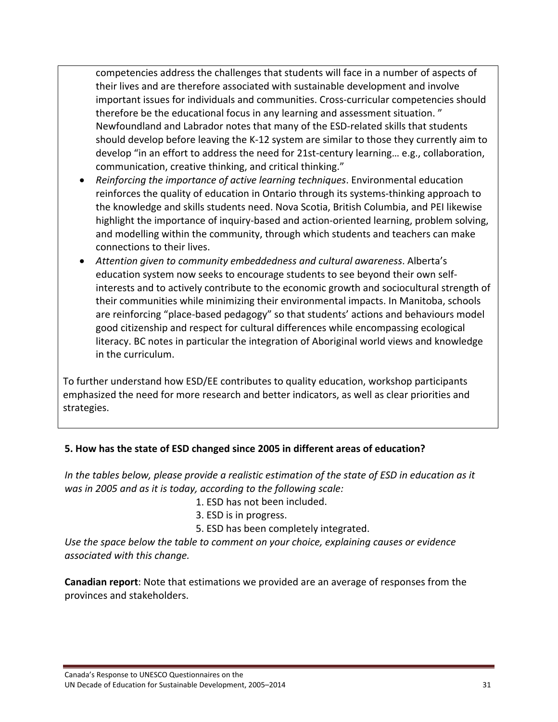competencies address the challenges that students will face in a number of aspects of their lives and are therefore associated with sustainable development and involve important issues for individuals and communities. Cross‐curricular competencies should therefore be the educational focus in any learning and assessment situation. " Newfoundland and Labrador notes that many of the ESD‐related skills that students should develop before leaving the K‐12 system are similar to those they currently aim to develop "in an effort to address the need for 21st‐century learning… e.g., collaboration, communication, creative thinking, and critical thinking."

- *Reinforcing the importance of active learning techniques*. Environmental education reinforces the quality of education in Ontario through its systems‐thinking approach to the knowledge and skills students need. Nova Scotia, British Columbia, and PEI likewise highlight the importance of inquiry-based and action-oriented learning, problem solving, and modelling within the community, through which students and teachers can make connections to their lives.
- *Attention given to community embeddedness and cultural awareness*. Alberta's education system now seeks to encourage students to see beyond their own self‐ interests and to actively contribute to the economic growth and sociocultural strength of their communities while minimizing their environmental impacts. In Manitoba, schools are reinforcing "place‐based pedagogy" so that students' actions and behaviours model good citizenship and respect for cultural differences while encompassing ecological literacy. BC notes in particular the integration of Aboriginal world views and knowledge in the curriculum.

To further understand how ESD/EE contributes to quality education, workshop participants emphasized the need for more research and better indicators, as well as clear priorities and strategies.

### **5. How has the state of ESD changed since 2005 in different areas of education?**

*In the tables below, please provide a realistic estimation of the state of ESD in education as it was in 2005 and as it is today, according to the following scale:* 

1. ESD has not been included.

3. ESD is in progress.

5. ESD has been completely integrated.

*Use the space below the table to comment on your choice, explaining causes or evidence associated with this change.*

**Canadian report**: Note that estimations we provided are an average of responses from the provinces and stakeholders.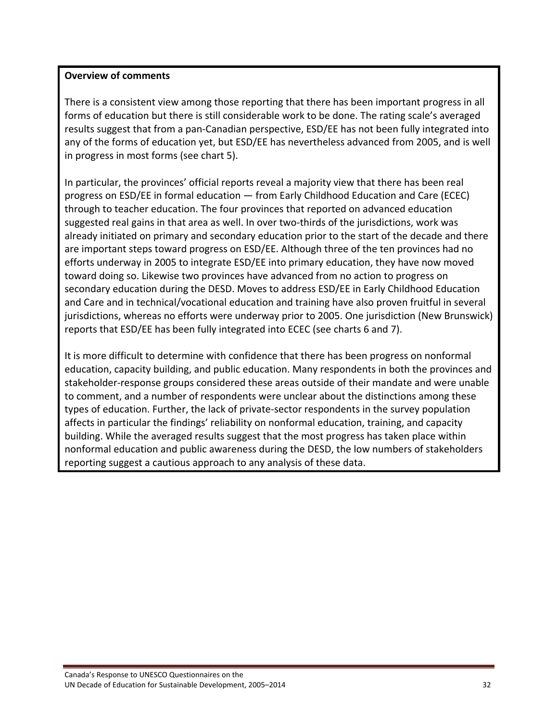#### **Overview of comments**

There is a consistent view among those reporting that there has been important progress in all forms of education but there is still considerable work to be done. The rating scale's averaged results suggest that from a pan‐Canadian perspective, ESD/EE has not been fully integrated into any of the forms of education yet, but ESD/EE has nevertheless advanced from 2005, and is well in progress in most forms (see chart 5).

In particular, the provinces' official reports reveal a majority view that there has been real progress on ESD/EE in formal education — from Early Childhood Education and Care (ECEC) through to teacher education. The four provinces that reported on advanced education suggested real gains in that area as well. In over two‐thirds of the jurisdictions, work was already initiated on primary and secondary education prior to the start of the decade and there are important steps toward progress on ESD/EE. Although three of the ten provinces had no efforts underway in 2005 to integrate ESD/EE into primary education, they have now moved toward doing so. Likewise two provinces have advanced from no action to progress on secondary education during the DESD. Moves to address ESD/EE in Early Childhood Education and Care and in technical/vocational education and training have also proven fruitful in several jurisdictions, whereas no efforts were underway prior to 2005. One jurisdiction (New Brunswick) reports that ESD/EE has been fully integrated into ECEC (see charts 6 and 7).

It is more difficult to determine with confidence that there has been progress on nonformal education, capacity building, and public education. Many respondents in both the provinces and stakeholder‐response groups considered these areas outside of their mandate and were unable to comment, and a number of respondents were unclear about the distinctions among these types of education. Further, the lack of private‐sector respondents in the survey population affects in particular the findings' reliability on nonformal education, training, and capacity building. While the averaged results suggest that the most progress has taken place within nonformal education and public awareness during the DESD, the low numbers of stakeholders reporting suggest a cautious approach to any analysis of these data.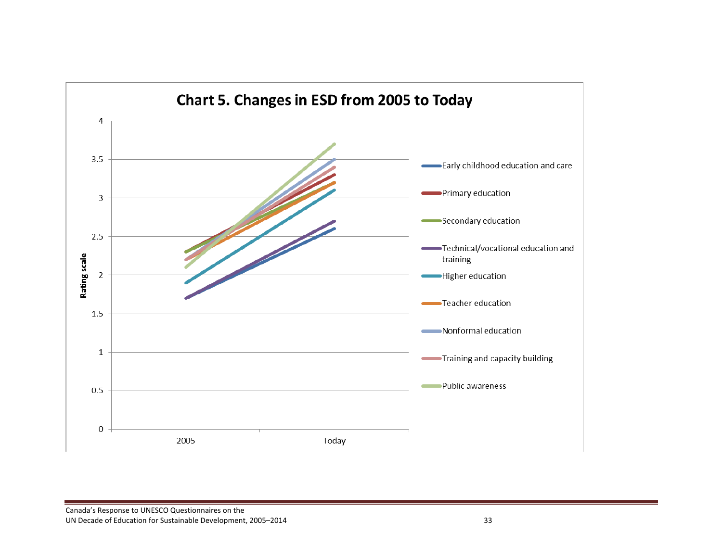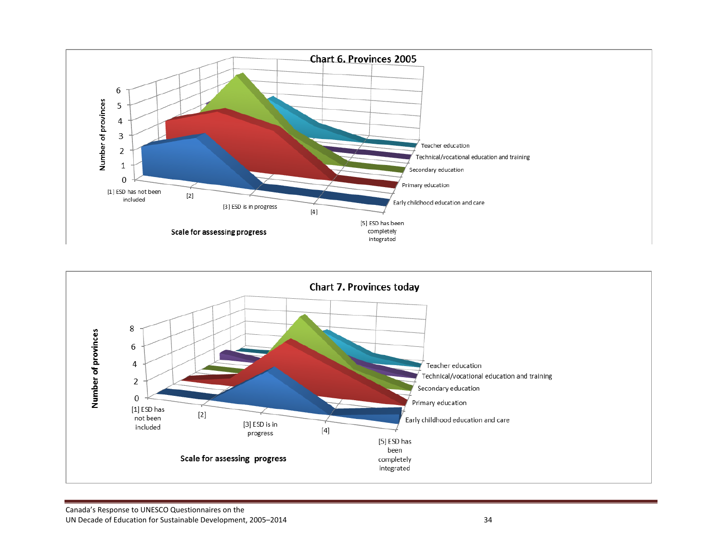

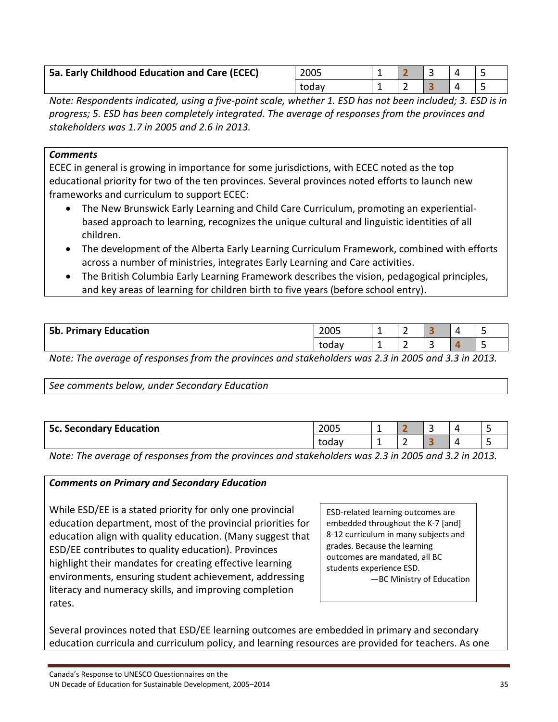| 5a. Early Childhood Education and Care (ECEC) | 2005  |  |  |  |
|-----------------------------------------------|-------|--|--|--|
|                                               | todav |  |  |  |

Note: Respondents indicated, using a five-point scale, whether 1. ESD has not been included; 3. ESD is in *progress; 5. ESD has been completely integrated. The average of responses from the provinces and stakeholders was 1.7 in 2005 and 2.6 in 2013.* 

#### *Comments*

ECEC in general is growing in importance for some jurisdictions, with ECEC noted as the top educational priority for two of the ten provinces. Several provinces noted efforts to launch new frameworks and curriculum to support ECEC:

- The New Brunswick Early Learning and Child Care Curriculum, promoting an experientialbased approach to learning, recognizes the unique cultural and linguistic identities of all children.
- The development of the Alberta Early Learning Curriculum Framework, combined with efforts across a number of ministries, integrates Early Learning and Care activities.
- The British Columbia Early Learning Framework describes the vision, pedagogical principles, and key areas of learning for children birth to five years (before school entry).

| . Primary Education<br>5b. F |  | 2005 | -   | - |          | $\overline{a}$ | - |        |   |   |
|------------------------------|--|------|-----|---|----------|----------------|---|--------|---|---|
|                              |  |      |     |   | today    | -              | - | -<br>ے |   | - |
|                              |  |      | $-$ |   | .<br>. . |                | . |        | . |   |

Note: The average of responses from the provinces and stakeholders was 2.3 in 2005 and 3.3 in 2013.

#### *See comments below, under Secondary Education*

| <b>5c. Secondary Education</b> | 2005  | -- |   | - |  |
|--------------------------------|-------|----|---|---|--|
|                                | today | -- | - |   |  |

Note: The average of responses from the provinces and stakeholders was 2.3 in 2005 and 3.2 in 2013.

### *Comments on Primary and Secondary Education*

While ESD/EE is a stated priority for only one provincial education department, most of the provincial priorities for education align with quality education. (Many suggest that ESD/EE contributes to quality education). Provinces highlight their mandates for creating effective learning environments, ensuring student achievement, addressing literacy and numeracy skills, and improving completion rates.

ESD‐related learning outcomes are embedded throughout the K‐7 [and] 8‐12 curriculum in many subjects and grades. Because the learning outcomes are mandated, all BC students experience ESD. —BC Ministry of Education

Several provinces noted that ESD/EE learning outcomes are embedded in primary and secondary education curricula and curriculum policy, and learning resources are provided for teachers. As one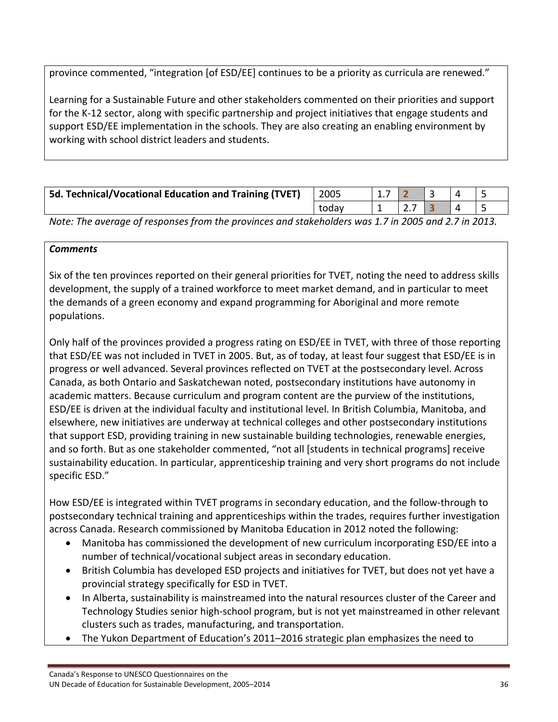province commented, "integration [of ESD/EE] continues to be a priority as curricula are renewed."

Learning for a Sustainable Future and other stakeholders commented on their priorities and support for the K-12 sector, along with specific partnership and project initiatives that engage students and support ESD/EE implementation in the schools. They are also creating an enabling environment by working with school district leaders and students.

| <b>5d. Technical/Vocational Education and Training (TVET)</b> | 2005  |  |  |  |
|---------------------------------------------------------------|-------|--|--|--|
|                                                               | todav |  |  |  |
|                                                               |       |  |  |  |

Note: The average of responses from the provinces and stakeholders was 1.7 in 2005 and 2.7 in 2013.

### *Comments*

Six of the ten provinces reported on their general priorities for TVET, noting the need to address skills development, the supply of a trained workforce to meet market demand, and in particular to meet the demands of a green economy and expand programming for Aboriginal and more remote populations.

Only half of the provinces provided a progress rating on ESD/EE in TVET, with three of those reporting that ESD/EE was not included in TVET in 2005. But, as of today, at least four suggest that ESD/EE is in progress or well advanced. Several provinces reflected on TVET at the postsecondary level. Across Canada, as both Ontario and Saskatchewan noted, postsecondary institutions have autonomy in academic matters. Because curriculum and program content are the purview of the institutions, ESD/EE is driven at the individual faculty and institutional level. In British Columbia, Manitoba, and elsewhere, new initiatives are underway at technical colleges and other postsecondary institutions that support ESD, providing training in new sustainable building technologies, renewable energies, and so forth. But as one stakeholder commented, "not all [students in technical programs] receive sustainability education. In particular, apprenticeship training and very short programs do not include specific ESD."

How ESD/EE is integrated within TVET programs in secondary education, and the follow‐through to postsecondary technical training and apprenticeships within the trades, requires further investigation across Canada. Research commissioned by Manitoba Education in 2012 noted the following:

- Manitoba has commissioned the development of new curriculum incorporating ESD/EE into a number of technical/vocational subject areas in secondary education.
- British Columbia has developed ESD projects and initiatives for TVET, but does not yet have a provincial strategy specifically for ESD in TVET.
- In Alberta, sustainability is mainstreamed into the natural resources cluster of the Career and Technology Studies senior high‐school program, but is not yet mainstreamed in other relevant clusters such as trades, manufacturing, and transportation.
- The Yukon Department of Education's 2011–2016 strategic plan emphasizes the need to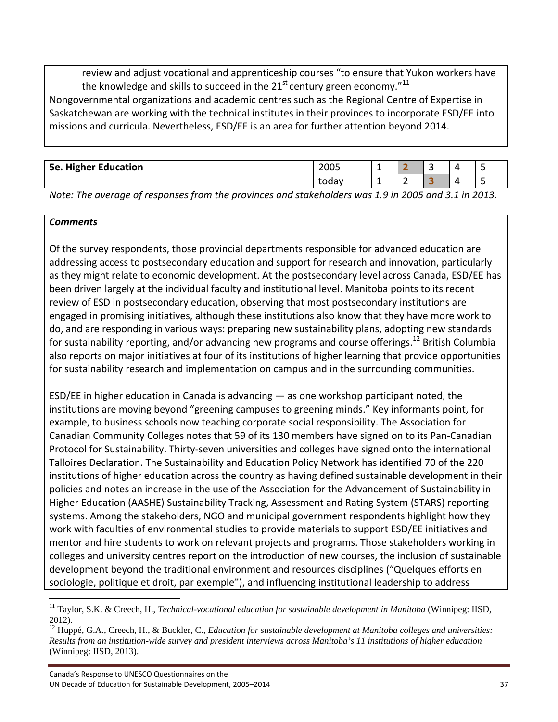review and adjust vocational and apprenticeship courses "to ensure that Yukon workers have the knowledge and skills to succeed in the 21<sup>st</sup> century green economy."<sup>11</sup>

Nongovernmental organizations and academic centres such as the Regional Centre of Expertise in Saskatchewan are working with the technical institutes in their provinces to incorporate ESD/EE into missions and curricula. Nevertheless, ESD/EE is an area for further attention beyond 2014.

| <b>5e. Higher Education</b> | 2005  |   |   | 4 |  |
|-----------------------------|-------|---|---|---|--|
|                             | todav | - | ۰ | 4 |  |
|                             |       |   |   |   |  |

Note: The average of responses from the provinces and stakeholders was 1.9 in 2005 and 3.1 in 2013.

#### *Comments*

Of the survey respondents, those provincial departments responsible for advanced education are addressing access to postsecondary education and support for research and innovation, particularly as they might relate to economic development. At the postsecondary level across Canada, ESD/EE has been driven largely at the individual faculty and institutional level. Manitoba points to its recent review of ESD in postsecondary education, observing that most postsecondary institutions are engaged in promising initiatives, although these institutions also know that they have more work to do, and are responding in various ways: preparing new sustainability plans, adopting new standards for sustainability reporting, and/or advancing new programs and course offerings.<sup>12</sup> British Columbia also reports on major initiatives at four of its institutions of higher learning that provide opportunities for sustainability research and implementation on campus and in the surrounding communities.

ESD/EE in higher education in Canada is advancing — as one workshop participant noted, the institutions are moving beyond "greening campuses to greening minds." Key informants point, for example, to business schools now teaching corporate social responsibility. The Association for Canadian Community Colleges notes that 59 of its 130 members have signed on to its Pan‐Canadian Protocol for Sustainability. Thirty‐seven universities and colleges have signed onto the international Talloires Declaration. The Sustainability and Education Policy Network has identified 70 of the 220 institutions of higher education across the country as having defined sustainable development in their policies and notes an increase in the use of the Association for the Advancement of Sustainability in Higher Education (AASHE) Sustainability Tracking, Assessment and Rating System (STARS) reporting systems. Among the stakeholders, NGO and municipal government respondents highlight how they work with faculties of environmental studies to provide materials to support ESD/EE initiatives and mentor and hire students to work on relevant projects and programs. Those stakeholders working in colleges and university centres report on the introduction of new courses, the inclusion of sustainable development beyond the traditional environment and resources disciplines ("Quelques efforts en sociologie, politique et droit, par exemple"), and influencing institutional leadership to address

 <sup>11</sup> Taylor, S.K. & Creech, H., *Technical-vocational education for sustainable development in Manitoba* (Winnipeg: IISD, 2012).

<sup>&</sup>lt;sup>12</sup> Huppé, G.A., Creech, H., & Buckler, C., *Education for sustainable development at Manitoba colleges and universities: Results from an institution-wide survey and president interviews across Manitoba's 11 institutions of higher education* (Winnipeg: IISD, 2013).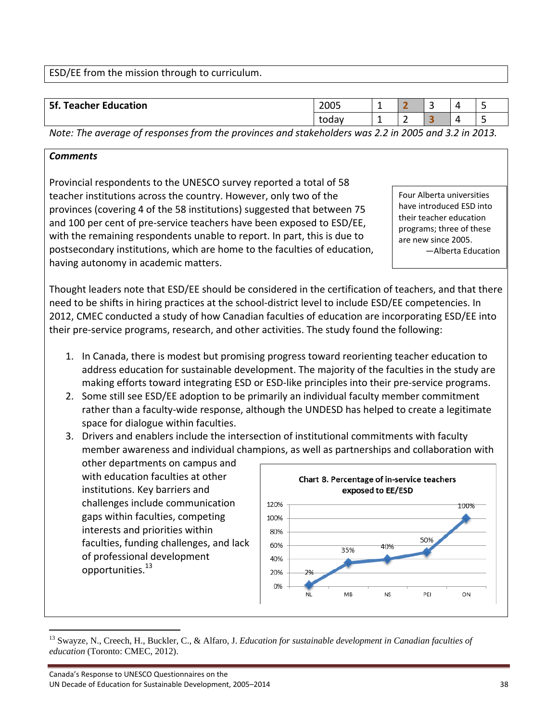ESD/EE from the mission through to curriculum.

| ↵<br>۔<br>$\Delta$ |                                 |  |  |  |      | todav | - | - |  |  |  |
|--------------------|---------------------------------|--|--|--|------|-------|---|---|--|--|--|
|                    |                                 |  |  |  |      |       |   |   |  |  |  |
|                    | 5f.<br><b>Teacher Education</b> |  |  |  | 2005 |       |   | - |  |  |  |

Note: The average of responses from the provinces and stakeholders was 2.2 in 2005 and 3.2 in 2013.

## *Comments*

Provincial respondents to the UNESCO survey reported a total of 58 teacher institutions across the country. However, only two of the provinces (covering 4 of the 58 institutions) suggested that between 75 and 100 per cent of pre‐service teachers have been exposed to ESD/EE, with the remaining respondents unable to report. In part, this is due to postsecondary institutions, which are home to the faculties of education, having autonomy in academic matters.

Four Alberta universities have introduced ESD into their teacher education programs; three of these are new since 2005. —Alberta Education

Thought leaders note that ESD/EE should be considered in the certification of teachers, and that there need to be shifts in hiring practices at the school‐district level to include ESD/EE competencies. In 2012, CMEC conducted a study of how Canadian faculties of education are incorporating ESD/EE into their pre‐service programs, research, and other activities. The study found the following:

- 1. In Canada, there is modest but promising progress toward reorienting teacher education to address education for sustainable development. The majority of the faculties in the study are making efforts toward integrating ESD or ESD-like principles into their pre-service programs.
- 2. Some still see ESD/EE adoption to be primarily an individual faculty member commitment rather than a faculty‐wide response, although the UNDESD has helped to create a legitimate space for dialogue within faculties.
- 3. Drivers and enablers include the intersection of institutional commitments with faculty member awareness and individual champions, as well as partnerships and collaboration with

other departments on campus and with education faculties at other institutions. Key barriers and challenges include communication gaps within faculties, competing interests and priorities within faculties, funding challenges, and lack of professional development opportunities.<sup>13</sup>



<sup>&</sup>lt;sup>13</sup> Swayze, N., Creech, H., Buckler, C., & Alfaro, J. *Education for sustainable development in Canadian faculties of education* (Toronto: CMEC, 2012).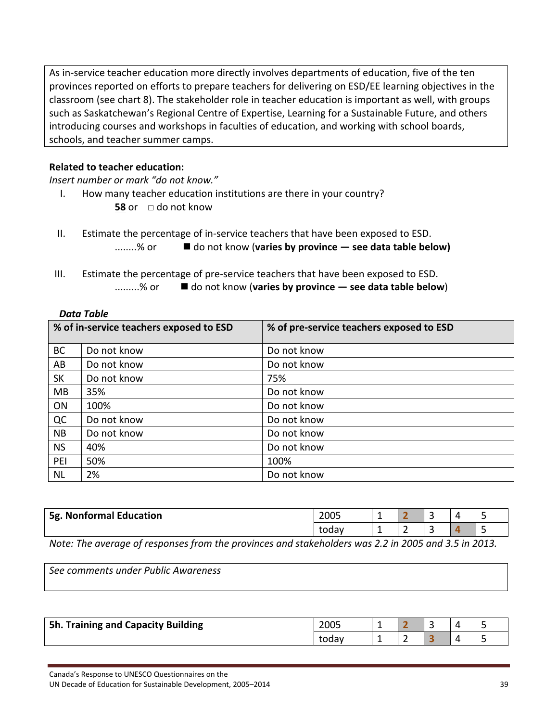As in-service teacher education more directly involves departments of education, five of the ten provinces reported on efforts to prepare teachers for delivering on ESD/EE learning objectives in the classroom (see chart 8). The stakeholder role in teacher education is important as well, with groups such as Saskatchewan's Regional Centre of Expertise, Learning for a Sustainable Future, and others introducing courses and workshops in faculties of education, and working with school boards, schools, and teacher summer camps.

#### **Related to teacher education:**

*Insert number or mark "do not know."*

- I. How many teacher education institutions are there in your country?
	- **58** or □ do not know
- II. Estimate the percentage of in‐service teachers that have been exposed to ESD. ........% or do not know (**varies by province — see data table below)**
- III. Estimate the percentage of pre‐service teachers that have been exposed to ESD.
	- .........% or do not know (**varies by province — see data table below**)

#### *Data Table*

|           | % of in-service teachers exposed to ESD | % of pre-service teachers exposed to ESD |
|-----------|-----------------------------------------|------------------------------------------|
| <b>BC</b> | Do not know                             | Do not know                              |
| AB        | Do not know                             | Do not know                              |
| <b>SK</b> | Do not know                             | 75%                                      |
| <b>MB</b> | 35%                                     | Do not know                              |
| ON        | 100%                                    | Do not know                              |
| QC        | Do not know                             | Do not know                              |
| <b>NB</b> | Do not know                             | Do not know                              |
| <b>NS</b> | 40%                                     | Do not know                              |
| PEI       | 50%                                     | 100%                                     |
| <b>NL</b> | 2%                                      | Do not know                              |

|   | <b>5g. Nonformal Education</b> |  |  | 2005  | - |                                    | ∽<br>- |            |  |
|---|--------------------------------|--|--|-------|---|------------------------------------|--------|------------|--|
|   |                                |  |  | todav | - | -                                  | ۔      |            |  |
| . | $-$                            |  |  |       |   | $\sim$ $\sim$ $\sim$ $\sim$ $\sim$ |        | $10 = 100$ |  |

Note: The average of responses from the provinces and stakeholders was 2.2 in 2005 and 3.5 in 2013.

*See comments under Public Awareness*

| Training and Capacity Building<br>5h. | 2005  |   | $\Delta$ |  |
|---------------------------------------|-------|---|----------|--|
|                                       | today | - | $\Delta$ |  |

Canada's Response to UNESCO Questionnaires on the

UN Decade of Education for Sustainable Development, 2005–2014 **Intervention Contract Contract Contract Contract Contract Contract Contract Contract Contract Contract Contract Contract Contract Contract Contract Contract Co**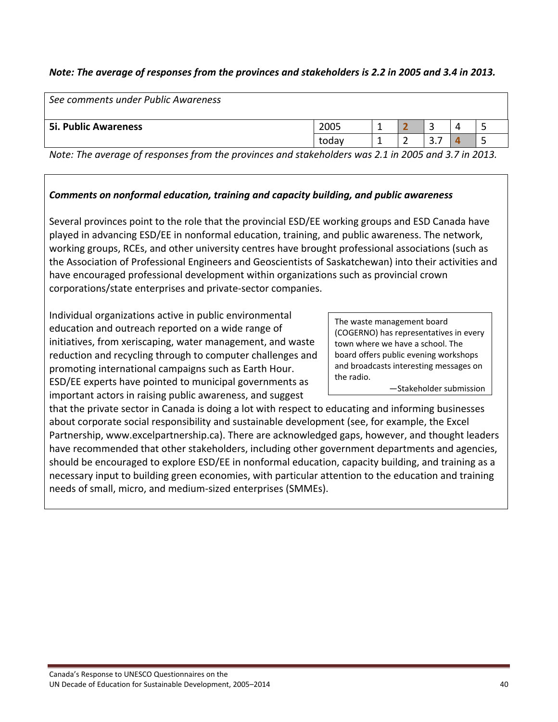## Note: The average of responses from the provinces and stakeholders is 2.2 in 2005 and 3.4 in 2013.

| See comments under Public Awareness |       |               |    |   |      |
|-------------------------------------|-------|---------------|----|---|------|
| <b>5i. Public Awareness</b>         | 2005  |               |    |   |      |
|                                     | todav |               | J. |   |      |
| -<br>. .                            | .     | - - - - - - - |    | . | ---- |

Note: The average of responses from the provinces and stakeholders was 2.1 in 2005 and 3.7 in 2013.

#### *Comments on nonformal education, training and capacity building, and public awareness*

Several provinces point to the role that the provincial ESD/EE working groups and ESD Canada have played in advancing ESD/EE in nonformal education, training, and public awareness. The network, working groups, RCEs, and other university centres have brought professional associations (such as the Association of Professional Engineers and Geoscientists of Saskatchewan) into their activities and have encouraged professional development within organizations such as provincial crown corporations/state enterprises and private‐sector companies.

Individual organizations active in public environmental education and outreach reported on a wide range of initiatives, from xeriscaping, water management, and waste reduction and recycling through to computer challenges and promoting international campaigns such as Earth Hour. ESD/EE experts have pointed to municipal governments as important actors in raising public awareness, and suggest

The waste management board (COGERNO) has representatives in every town where we have a school. The board offers public evening workshops and broadcasts interesting messages on the radio.

—Stakeholder submission

that the private sector in Canada is doing a lot with respect to educating and informing businesses about corporate social responsibility and sustainable development (see, for example, the Excel Partnership, www.excelpartnership.ca). There are acknowledged gaps, however, and thought leaders have recommended that other stakeholders, including other government departments and agencies, should be encouraged to explore ESD/EE in nonformal education, capacity building, and training as a necessary input to building green economies, with particular attention to the education and training needs of small, micro, and medium‐sized enterprises (SMMEs).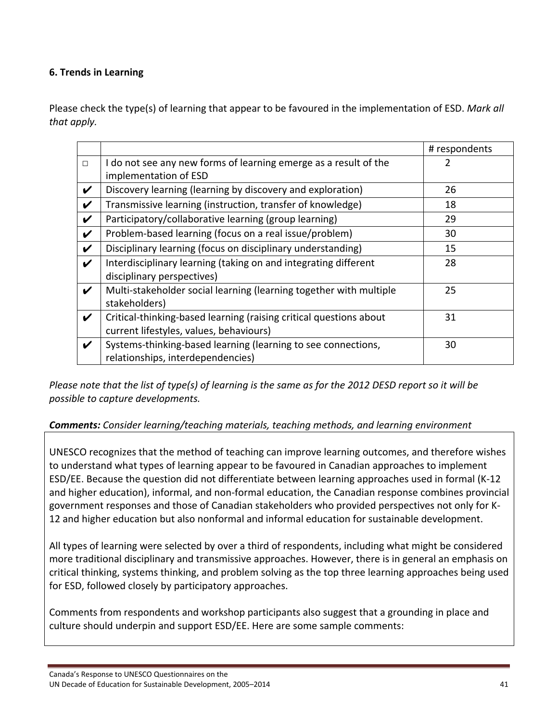## **6. Trends in Learning**

Please check the type(s) of learning that appear to be favoured in the implementation of ESD. *Mark all that apply.*

|   |                                                                    | # respondents |
|---|--------------------------------------------------------------------|---------------|
| П | I do not see any new forms of learning emerge as a result of the   |               |
|   | implementation of ESD                                              |               |
| V | Discovery learning (learning by discovery and exploration)         | 26            |
| V | Transmissive learning (instruction, transfer of knowledge)         | 18            |
| V | Participatory/collaborative learning (group learning)              | 29            |
| V | Problem-based learning (focus on a real issue/problem)             | 30            |
| V | Disciplinary learning (focus on disciplinary understanding)        | 15            |
| V | Interdisciplinary learning (taking on and integrating different    | 28            |
|   | disciplinary perspectives)                                         |               |
| V | Multi-stakeholder social learning (learning together with multiple | 25            |
|   | stakeholders)                                                      |               |
| V | Critical-thinking-based learning (raising critical questions about | 31            |
|   | current lifestyles, values, behaviours)                            |               |
| V | Systems-thinking-based learning (learning to see connections,      | 30            |
|   | relationships, interdependencies)                                  |               |

Please note that the list of type(s) of learning is the same as for the 2012 DESD report so it will be *possible to capture developments.*

### *Comments: Consider learning/teaching materials, teaching methods, and learning environment*

UNESCO recognizes that the method of teaching can improve learning outcomes, and therefore wishes to understand what types of learning appear to be favoured in Canadian approaches to implement ESD/EE. Because the question did not differentiate between learning approaches used in formal (K‐12 and higher education), informal, and non‐formal education, the Canadian response combines provincial government responses and those of Canadian stakeholders who provided perspectives not only for K‐ 12 and higher education but also nonformal and informal education for sustainable development.

All types of learning were selected by over a third of respondents, including what might be considered more traditional disciplinary and transmissive approaches. However, there is in general an emphasis on critical thinking, systems thinking, and problem solving as the top three learning approaches being used for ESD, followed closely by participatory approaches.

Comments from respondents and workshop participants also suggest that a grounding in place and culture should underpin and support ESD/EE. Here are some sample comments: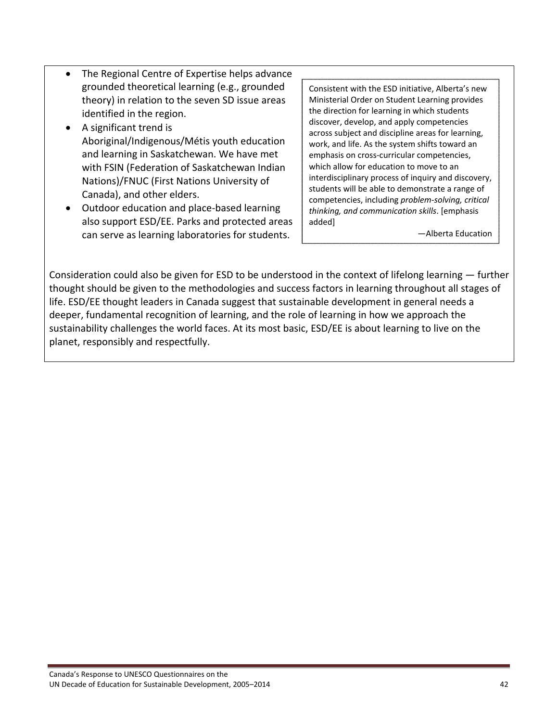- The Regional Centre of Expertise helps advance grounded theoretical learning (e.g., grounded theory) in relation to the seven SD issue areas identified in the region.
- A significant trend is Aboriginal/Indigenous/Métis youth education and learning in Saskatchewan. We have met with FSIN (Federation of Saskatchewan Indian Nations)/FNUC (First Nations University of Canada), and other elders.
- Outdoor education and place-based learning also support ESD/EE. Parks and protected areas can serve as learning laboratories for students.

Consistent with the ESD initiative, Alberta's new Ministerial Order on Student Learning provides the direction for learning in which students discover, develop, and apply competencies across subject and discipline areas for learning, work, and life. As the system shifts toward an emphasis on cross‐curricular competencies, which allow for education to move to an interdisciplinary process of inquiry and discovery, students will be able to demonstrate a range of competencies, including *problem‐solving, critical thinking, and communication skills*. [emphasis added]

—Alberta Education

Consideration could also be given for ESD to be understood in the context of lifelong learning — further thought should be given to the methodologies and success factors in learning throughout all stages of life. ESD/EE thought leaders in Canada suggest that sustainable development in general needs a deeper, fundamental recognition of learning, and the role of learning in how we approach the sustainability challenges the world faces. At its most basic, ESD/EE is about learning to live on the planet, responsibly and respectfully.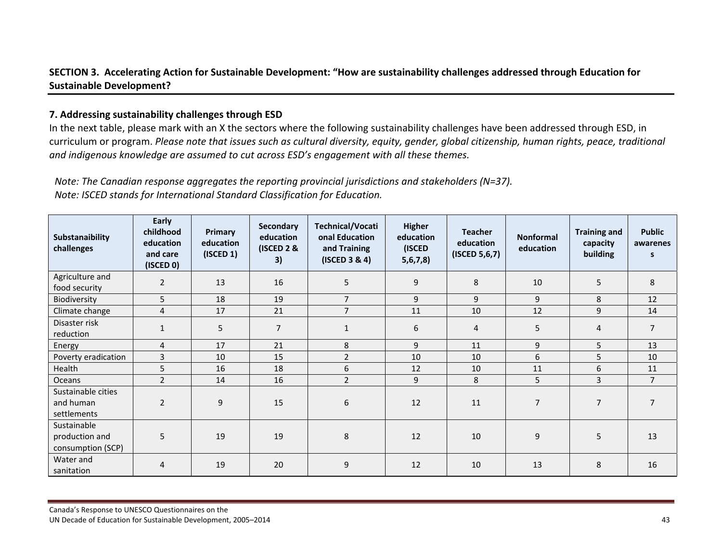### SECTION 3. Accelerating Action for Sustainable Development: "How are sustainability challenges addressed through Education for **Sustainable Development?**

#### **7. Addressing sustainability challenges through ESD**

In the next table, please mark with an X the sectors where the following sustainability challenges have been addressed through ESD, in curriculum or program. Please note that issues such as cultural diversity, equity, gender, global citizenship, human rights, peace, traditional *and indigenous knowledge are assumed to cut across ESD's engagement with all these themes.*

*Note: The Canadian response aggregates the reporting provincial jurisdictions and stakeholders (N=37). Note: ISCED stands for International Standard Classification for Education.*

| Substanaibility<br>challenges                      | Early<br>childhood<br>education<br>and care<br>$($ ISCED 0 $)$ | Primary<br>education<br>$($ ISCED 1 $)$ | Secondary<br>education<br>(ISCED 2 &<br>3) | Technical/Vocati<br>onal Education<br>and Training<br>$($ ISCED 3 & 4 $)$ | <b>Higher</b><br>education<br>(ISCED<br>5, 6, 7, 8 | <b>Teacher</b><br>education<br>$($ ISCED 5,6,7 $)$ | <b>Nonformal</b><br>education | <b>Training and</b><br>capacity<br>building | <b>Public</b><br>awarenes<br>s |
|----------------------------------------------------|----------------------------------------------------------------|-----------------------------------------|--------------------------------------------|---------------------------------------------------------------------------|----------------------------------------------------|----------------------------------------------------|-------------------------------|---------------------------------------------|--------------------------------|
| Agriculture and<br>food security                   | $\overline{2}$                                                 | 13                                      | 16                                         | 5                                                                         | 9                                                  | 8                                                  | 10                            | 5                                           | 8                              |
| Biodiversity                                       | 5                                                              | 18                                      | 19                                         | $\overline{7}$                                                            | 9                                                  | 9                                                  | 9                             | 8                                           | 12                             |
| Climate change                                     | $\overline{4}$                                                 | 17                                      | 21                                         | $\overline{7}$                                                            | 11                                                 | 10                                                 | 12                            | 9                                           | 14                             |
| Disaster risk<br>reduction                         | 1                                                              | 5                                       | $\overline{7}$                             | $\mathbf{1}$                                                              | 6                                                  | 4                                                  | 5                             | 4                                           | $\overline{7}$                 |
| Energy                                             | $\overline{4}$                                                 | 17                                      | 21                                         | 8                                                                         | 9                                                  | 11                                                 | 9                             | 5                                           | 13                             |
| Poverty eradication                                | 3                                                              | 10                                      | 15                                         | $\overline{2}$                                                            | 10                                                 | 10                                                 | 6                             | 5                                           | 10                             |
| Health                                             | 5                                                              | 16                                      | 18                                         | 6                                                                         | 12                                                 | 10                                                 | 11                            | 6                                           | 11                             |
| Oceans                                             | $\overline{2}$                                                 | 14                                      | 16                                         | $\overline{2}$                                                            | 9                                                  | 8                                                  | 5                             | 3                                           | $\overline{7}$                 |
| Sustainable cities<br>and human<br>settlements     | $\overline{2}$                                                 | 9                                       | 15                                         | 6                                                                         | 12                                                 | 11                                                 | $\overline{7}$                | $\overline{7}$                              | 7                              |
| Sustainable<br>production and<br>consumption (SCP) | 5                                                              | 19                                      | 19                                         | 8                                                                         | 12                                                 | 10                                                 | 9                             | 5                                           | 13                             |
| Water and<br>sanitation                            | 4                                                              | 19                                      | 20                                         | 9                                                                         | 12                                                 | 10                                                 | 13                            | 8                                           | 16                             |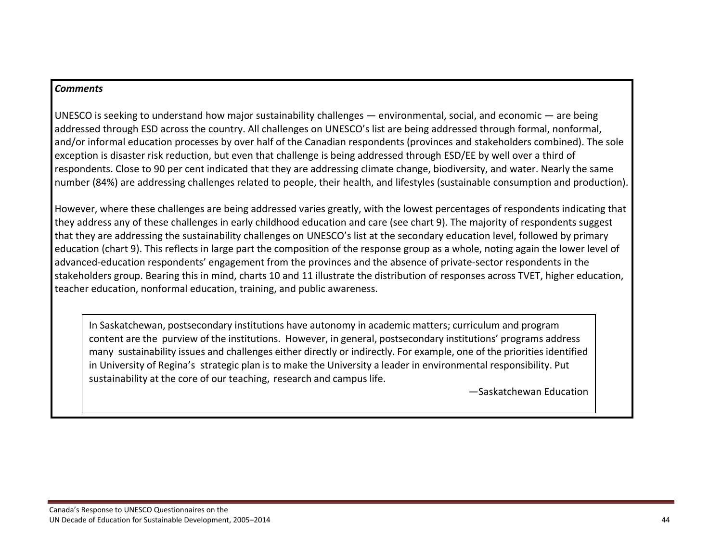#### *Comments*

UNESCO is seeking to understand how major sustainability challenges — environmental, social, and economic — are being addressed through ESD across the country. All challenges on UNESCO's list are being addressed through formal, nonformal, and/or informal education processes by over half of the Canadian respondents (provinces and stakeholders combined). The sole exception is disaster risk reduction, but even that challenge is being addressed through ESD/EE by well over <sup>a</sup> third of respondents. Close to 90 per cent indicated that they are addressing climate change, biodiversity, and water. Nearly the same number (84%) are addressing challenges related to people, their health, and lifestyles (sustainable consumption and production).

However, where these challenges are being addressed varies greatly, with the lowest percentages of respondents indicating that they address any of these challenges in early childhood education and care (see chart 9). The majority of respondents suggest that they are addressing the sustainability challenges on UNESCO's list at the secondary education level, followed by primary education (chart 9). This reflects in large part the composition of the response group as <sup>a</sup> whole, noting again the lower level of advanced‐education respondents' engagement from the provinces and the absence of private‐sector respondents in the stakeholders group. Bearing this in mind, charts 10 and 11 illustrate the distribution of responses across TVET, higher education, teacher education, nonformal education, training, and public awareness.

In Saskatchewan, postsecondary institutions have autonomy in academic matters; curriculum and program content are the purview of the institutions. However, in general, postsecondary institutions' programs address many sustainability issues and challenges either directly or indirectly. For example, one of the priorities identified in University of Regina's strategic plan is to make the University <sup>a</sup> leader in environmental responsibility. Put sustainability at the core of our teaching, research and campus life.

—Saskatchewan Education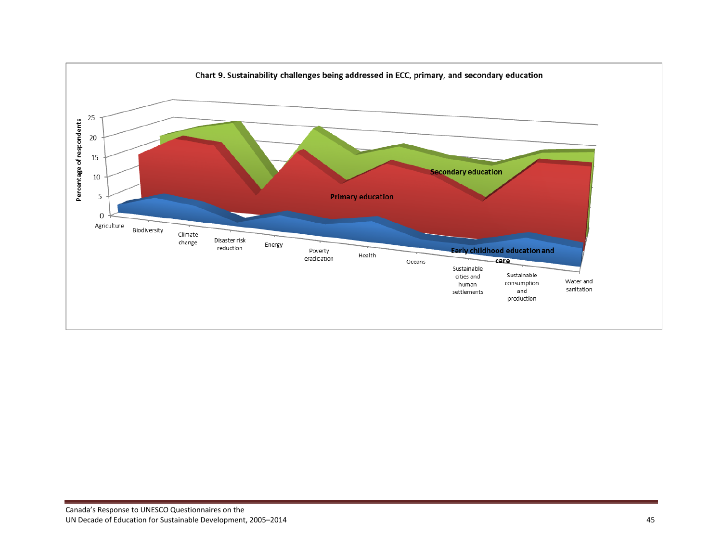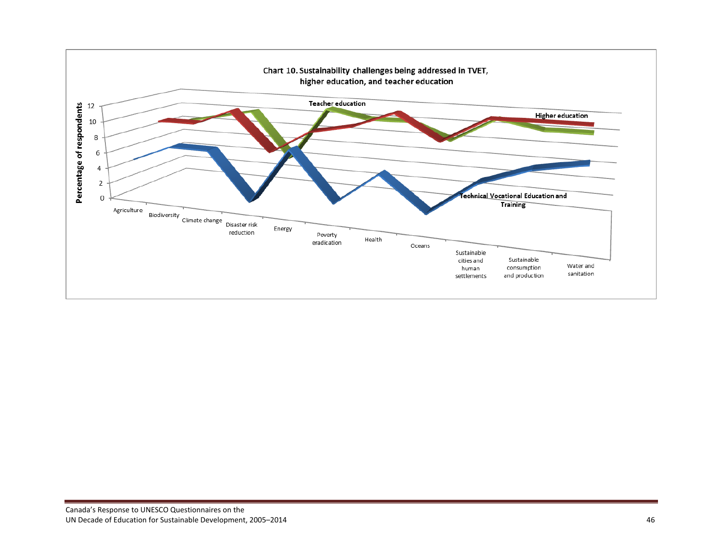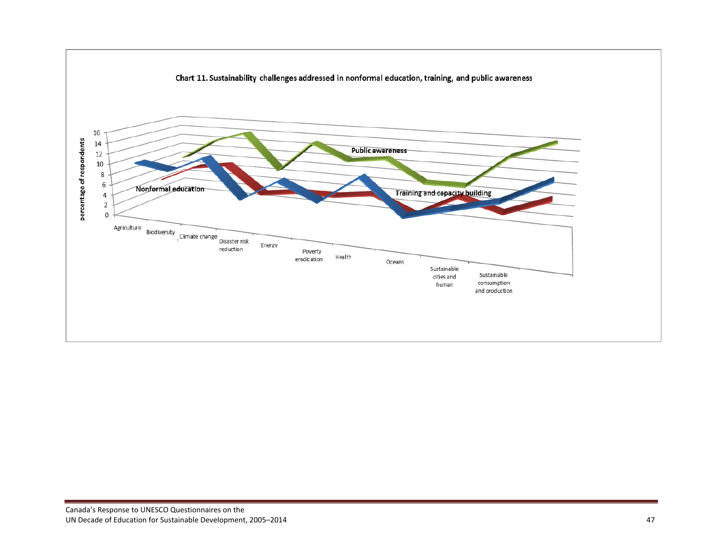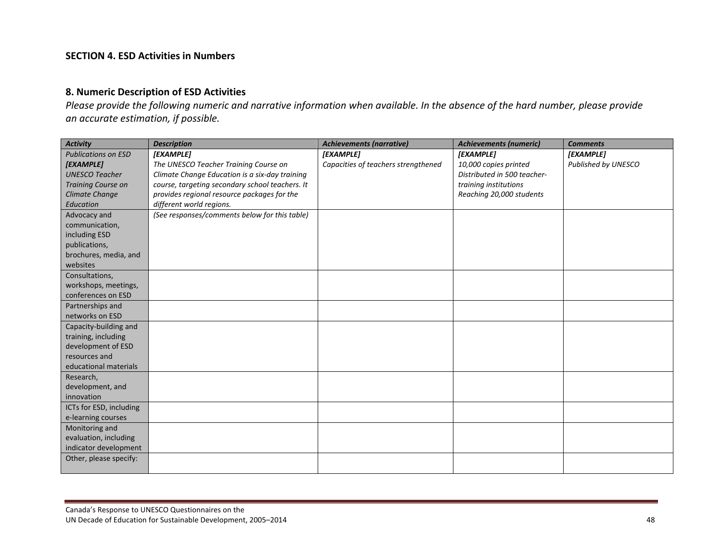#### **SECTION 4. ESD Activities in Numbers**

#### **8. Numeric Description of ESD Activities**

Please provide the following numeric and narrative information when available. In the absence of the hard number, please provide *an accurate estimation, if possible.*

| <b>Activity</b>            | <b>Description</b>                              | <b>Achievements (narrative)</b>     | <b>Achievements (numeric)</b> | <b>Comments</b>     |
|----------------------------|-------------------------------------------------|-------------------------------------|-------------------------------|---------------------|
| <b>Publications on ESD</b> | [EXAMPLE]                                       | [EXAMPLE]                           | [EXAMPLE]                     | [EXAMPLE]           |
| [EXAMPLE]                  | The UNESCO Teacher Training Course on           | Capacities of teachers strengthened | 10,000 copies printed         | Published by UNESCO |
| <b>UNESCO Teacher</b>      | Climate Change Education is a six-day training  |                                     | Distributed in 500 teacher-   |                     |
| <b>Training Course on</b>  | course, targeting secondary school teachers. It |                                     | training institutions         |                     |
| <b>Climate Change</b>      | provides regional resource packages for the     |                                     | Reaching 20,000 students      |                     |
| Education                  | different world regions.                        |                                     |                               |                     |
| Advocacy and               | (See responses/comments below for this table)   |                                     |                               |                     |
| communication,             |                                                 |                                     |                               |                     |
| including ESD              |                                                 |                                     |                               |                     |
| publications,              |                                                 |                                     |                               |                     |
| brochures, media, and      |                                                 |                                     |                               |                     |
| websites                   |                                                 |                                     |                               |                     |
| Consultations,             |                                                 |                                     |                               |                     |
| workshops, meetings,       |                                                 |                                     |                               |                     |
| conferences on ESD         |                                                 |                                     |                               |                     |
| Partnerships and           |                                                 |                                     |                               |                     |
| networks on ESD            |                                                 |                                     |                               |                     |
| Capacity-building and      |                                                 |                                     |                               |                     |
| training, including        |                                                 |                                     |                               |                     |
| development of ESD         |                                                 |                                     |                               |                     |
| resources and              |                                                 |                                     |                               |                     |
| educational materials      |                                                 |                                     |                               |                     |
| Research,                  |                                                 |                                     |                               |                     |
| development, and           |                                                 |                                     |                               |                     |
| innovation                 |                                                 |                                     |                               |                     |
| ICTs for ESD, including    |                                                 |                                     |                               |                     |
| e-learning courses         |                                                 |                                     |                               |                     |
| Monitoring and             |                                                 |                                     |                               |                     |
| evaluation, including      |                                                 |                                     |                               |                     |
| indicator development      |                                                 |                                     |                               |                     |
| Other, please specify:     |                                                 |                                     |                               |                     |
|                            |                                                 |                                     |                               |                     |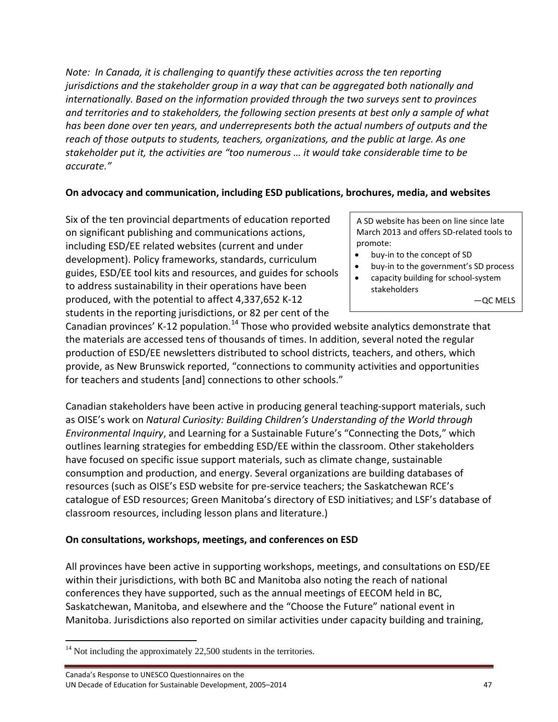*Note: In Canada, it is challenging to quantify these activities across the ten reporting jurisdictions and the stakeholder group in a way that can be aggregated both nationally and internationally. Based on the information provided through the two surveys sent to provinces and territories and to stakeholders, the following section presents at best only a sample of what has been done over ten years, and underrepresents both the actual numbers of outputs and the reach of those outputs to students, teachers, organizations, and the public at large. As one stakeholder put it, the activities are "too numerous … it would take considerable time to be accurate."*

### **On advocacy and communication, including ESD publications, brochures, media, and websites**

Six of the ten provincial departments of education reported on significant publishing and communications actions, including ESD/EE related websites (current and under development). Policy frameworks, standards, curriculum guides, ESD/EE tool kits and resources, and guides for schools to address sustainability in their operations have been produced, with the potential to affect 4,337,652 K‐12 students in the reporting jurisdictions, or 82 per cent of the

A SD website has been on line since late March 2013 and offers SD‐related tools to promote:

- buy-in to the concept of SD
- buy‐in to the government's SD process
- capacity building for school‐system stakeholders

—QC MELS

Canadian provinces' K-12 population.<sup>14</sup> Those who provided website analytics demonstrate that the materials are accessed tens of thousands of times. In addition, several noted the regular production of ESD/EE newsletters distributed to school districts, teachers, and others, which provide, as New Brunswick reported, "connections to community activities and opportunities for teachers and students [and] connections to other schools."

Canadian stakeholders have been active in producing general teaching‐support materials, such as OISE's work on *Natural Curiosity: Building Children's Understanding of the World through Environmental Inquiry*, and Learning for a Sustainable Future's "Connecting the Dots," which outlines learning strategies for embedding ESD/EE within the classroom. Other stakeholders have focused on specific issue support materials, such as climate change, sustainable consumption and production, and energy. Several organizations are building databases of resources (such as OISE's ESD website for pre‐service teachers; the Saskatchewan RCE's catalogue of ESD resources; Green Manitoba's directory of ESD initiatives; and LSF's database of classroom resources, including lesson plans and literature.)

### **On consultations, workshops, meetings, and conferences on ESD**

All provinces have been active in supporting workshops, meetings, and consultations on ESD/EE within their jurisdictions, with both BC and Manitoba also noting the reach of national conferences they have supported, such as the annual meetings of EECOM held in BC, Saskatchewan, Manitoba, and elsewhere and the "Choose the Future" national event in Manitoba. Jurisdictions also reported on similar activities under capacity building and training,

  $14$  Not including the approximately 22,500 students in the territories.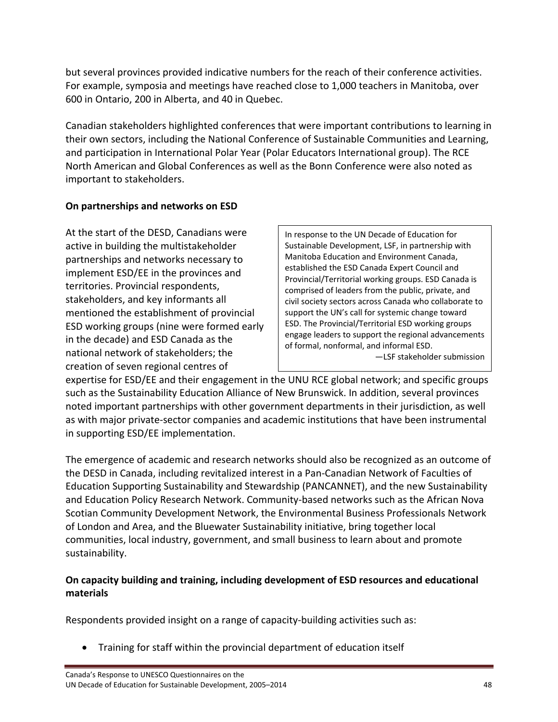but several provinces provided indicative numbers for the reach of their conference activities. For example, symposia and meetings have reached close to 1,000 teachers in Manitoba, over 600 in Ontario, 200 in Alberta, and 40 in Quebec.

Canadian stakeholders highlighted conferences that were important contributions to learning in their own sectors, including the National Conference of Sustainable Communities and Learning, and participation in International Polar Year (Polar Educators International group). The RCE North American and Global Conferences as well as the Bonn Conference were also noted as important to stakeholders.

# **On partnerships and networks on ESD**

At the start of the DESD, Canadians were active in building the multistakeholder partnerships and networks necessary to implement ESD/EE in the provinces and territories. Provincial respondents, stakeholders, and key informants all mentioned the establishment of provincial ESD working groups (nine were formed early in the decade) and ESD Canada as the national network of stakeholders; the creation of seven regional centres of

In response to the UN Decade of Education for Sustainable Development, LSF, in partnership with Manitoba Education and Environment Canada, established the ESD Canada Expert Council and Provincial/Territorial working groups. ESD Canada is comprised of leaders from the public, private, and civil society sectors across Canada who collaborate to support the UN's call for systemic change toward ESD. The Provincial/Territorial ESD working groups engage leaders to support the regional advancements of formal, nonformal, and informal ESD.

—LSF stakeholder submission

expertise for ESD/EE and their engagement in the UNU RCE global network; and specific groups such as the Sustainability Education Alliance of New Brunswick. In addition, several provinces noted important partnerships with other government departments in their jurisdiction, as well as with major private‐sector companies and academic institutions that have been instrumental in supporting ESD/EE implementation.

The emergence of academic and research networks should also be recognized as an outcome of the DESD in Canada, including revitalized interest in a Pan‐Canadian Network of Faculties of Education Supporting Sustainability and Stewardship (PANCANNET), and the new Sustainability and Education Policy Research Network. Community-based networks such as the African Nova Scotian Community Development Network, the Environmental Business Professionals Network of London and Area, and the Bluewater Sustainability initiative, bring together local communities, local industry, government, and small business to learn about and promote sustainability.

# **On capacity building and training, including development of ESD resources and educational materials**

Respondents provided insight on a range of capacity-building activities such as:

Training for staff within the provincial department of education itself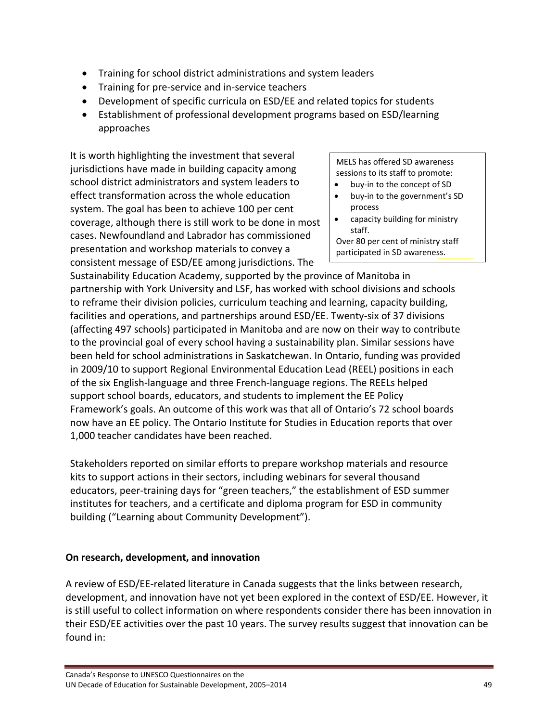- Training for school district administrations and system leaders
- Training for pre-service and in-service teachers
- Development of specific curricula on ESD/EE and related topics for students
- Establishment of professional development programs based on ESD/learning approaches

It is worth highlighting the investment that several jurisdictions have made in building capacity among school district administrators and system leaders to effect transformation across the whole education system. The goal has been to achieve 100 per cent coverage, although there is still work to be done in most cases. Newfoundland and Labrador has commissioned presentation and workshop materials to convey a consistent message of ESD/EE among jurisdictions. The

MELS has offered SD awareness sessions to its staff to promote:

- buy‐in to the concept of SD
- buy‐in to the government's SD process
- capacity building for ministry staff.
- Over 80 per cent of ministry staff participated in SD awareness.

Sustainability Education Academy, supported by the province of Manitoba in partnership with York University and LSF, has worked with school divisions and schools to reframe their division policies, curriculum teaching and learning, capacity building, facilities and operations, and partnerships around ESD/EE. Twenty‐six of 37 divisions (affecting 497 schools) participated in Manitoba and are now on their way to contribute to the provincial goal of every school having a sustainability plan. Similar sessions have been held for school administrations in Saskatchewan. In Ontario, funding was provided in 2009/10 to support Regional Environmental Education Lead (REEL) positions in each of the six English‐language and three French‐language regions. The REELs helped support school boards, educators, and students to implement the EE Policy Framework's goals. An outcome of this work was that all of Ontario's 72 school boards now have an EE policy. The Ontario Institute for Studies in Education reports that over 1,000 teacher candidates have been reached.

Stakeholders reported on similar efforts to prepare workshop materials and resource kits to support actions in their sectors, including webinars for several thousand educators, peer‐training days for "green teachers," the establishment of ESD summer institutes for teachers, and a certificate and diploma program for ESD in community building ("Learning about Community Development").

### **On research, development, and innovation**

A review of ESD/EE‐related literature in Canada suggests that the links between research, development, and innovation have not yet been explored in the context of ESD/EE. However, it is still useful to collect information on where respondents consider there has been innovation in their ESD/EE activities over the past 10 years. The survey results suggest that innovation can be found in: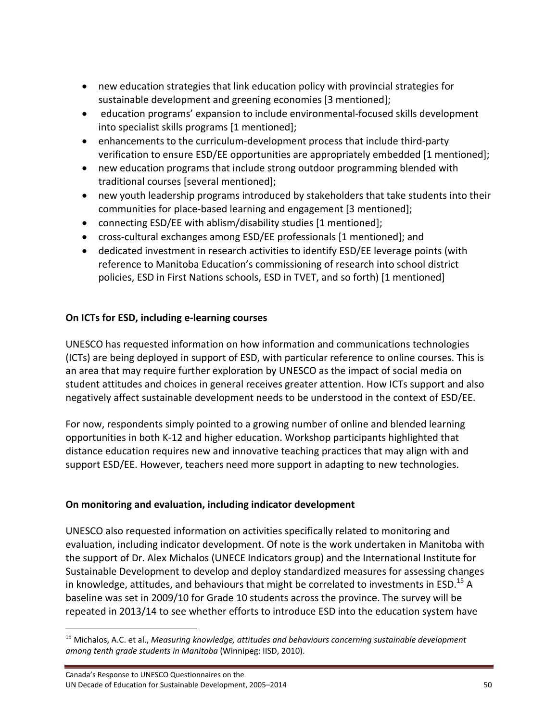- new education strategies that link education policy with provincial strategies for sustainable development and greening economies [3 mentioned];
- education programs' expansion to include environmental-focused skills development into specialist skills programs [1 mentioned];
- enhancements to the curriculum-development process that include third-party verification to ensure ESD/EE opportunities are appropriately embedded [1 mentioned];
- new education programs that include strong outdoor programming blended with traditional courses [several mentioned];
- new youth leadership programs introduced by stakeholders that take students into their communities for place‐based learning and engagement [3 mentioned];
- connecting ESD/EE with ablism/disability studies [1 mentioned];
- cross‐cultural exchanges among ESD/EE professionals [1 mentioned]; and
- dedicated investment in research activities to identify ESD/EE leverage points (with reference to Manitoba Education's commissioning of research into school district policies, ESD in First Nations schools, ESD in TVET, and so forth) [1 mentioned]

## **On ICTs for ESD, including e‐learning courses**

UNESCO has requested information on how information and communications technologies (ICTs) are being deployed in support of ESD, with particular reference to online courses. This is an area that may require further exploration by UNESCO as the impact of social media on student attitudes and choices in general receives greater attention. How ICTs support and also negatively affect sustainable development needs to be understood in the context of ESD/EE.

For now, respondents simply pointed to a growing number of online and blended learning opportunities in both K‐12 and higher education. Workshop participants highlighted that distance education requires new and innovative teaching practices that may align with and support ESD/EE. However, teachers need more support in adapting to new technologies.

### **On monitoring and evaluation, including indicator development**

UNESCO also requested information on activities specifically related to monitoring and evaluation, including indicator development. Of note is the work undertaken in Manitoba with the support of Dr. Alex Michalos (UNECE Indicators group) and the International Institute for Sustainable Development to develop and deploy standardized measures for assessing changes in knowledge, attitudes, and behaviours that might be correlated to investments in ESD.<sup>15</sup> A baseline was set in 2009/10 for Grade 10 students across the province. The survey will be repeated in 2013/14 to see whether efforts to introduce ESD into the education system have

<sup>15</sup> Michalos, A.C. et al., *Measuring knowledge, attitudes and behaviours concerning sustainable development among tenth grade students in Manitoba* (Winnipeg: IISD, 2010).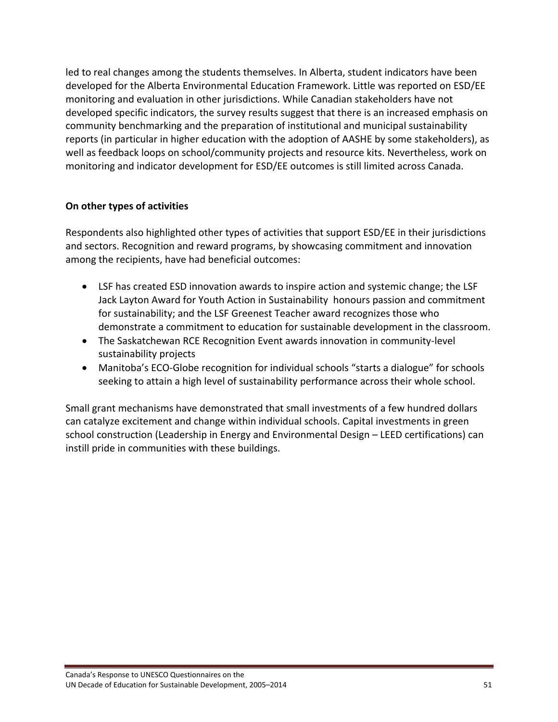led to real changes among the students themselves. In Alberta, student indicators have been developed for the Alberta Environmental Education Framework. Little was reported on ESD/EE monitoring and evaluation in other jurisdictions. While Canadian stakeholders have not developed specific indicators, the survey results suggest that there is an increased emphasis on community benchmarking and the preparation of institutional and municipal sustainability reports (in particular in higher education with the adoption of AASHE by some stakeholders), as well as feedback loops on school/community projects and resource kits. Nevertheless, work on monitoring and indicator development for ESD/EE outcomes is still limited across Canada.

## **On other types of activities**

Respondents also highlighted other types of activities that support ESD/EE in their jurisdictions and sectors. Recognition and reward programs, by showcasing commitment and innovation among the recipients, have had beneficial outcomes:

- LSF has created ESD innovation awards to inspire action and systemic change; the LSF Jack Layton Award for Youth Action in Sustainability honours passion and commitment for sustainability; and the LSF Greenest Teacher award recognizes those who demonstrate a commitment to education for sustainable development in the classroom.
- The Saskatchewan RCE Recognition Event awards innovation in community‐level sustainability projects
- Manitoba's ECO-Globe recognition for individual schools "starts a dialogue" for schools seeking to attain a high level of sustainability performance across their whole school.

Small grant mechanisms have demonstrated that small investments of a few hundred dollars can catalyze excitement and change within individual schools. Capital investments in green school construction (Leadership in Energy and Environmental Design – LEED certifications) can instill pride in communities with these buildings.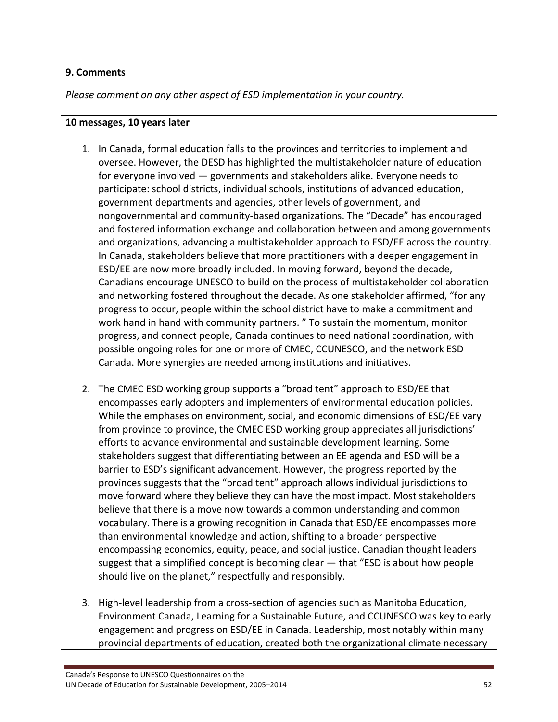#### **9. Comments**

*Please comment on any other aspect of ESD implementation in your country.*

#### **10 messages, 10 years later**

- 1. In Canada, formal education falls to the provinces and territories to implement and oversee. However, the DESD has highlighted the multistakeholder nature of education for everyone involved — governments and stakeholders alike. Everyone needs to participate: school districts, individual schools, institutions of advanced education, government departments and agencies, other levels of government, and nongovernmental and community‐based organizations. The "Decade" has encouraged and fostered information exchange and collaboration between and among governments and organizations, advancing a multistakeholder approach to ESD/EE across the country. In Canada, stakeholders believe that more practitioners with a deeper engagement in ESD/EE are now more broadly included. In moving forward, beyond the decade, Canadians encourage UNESCO to build on the process of multistakeholder collaboration and networking fostered throughout the decade. As one stakeholder affirmed, "for any progress to occur, people within the school district have to make a commitment and work hand in hand with community partners. " To sustain the momentum, monitor progress, and connect people, Canada continues to need national coordination, with possible ongoing roles for one or more of CMEC, CCUNESCO, and the network ESD Canada. More synergies are needed among institutions and initiatives.
- 2. The CMEC ESD working group supports a "broad tent" approach to ESD/EE that encompasses early adopters and implementers of environmental education policies. While the emphases on environment, social, and economic dimensions of ESD/EE vary from province to province, the CMEC ESD working group appreciates all jurisdictions' efforts to advance environmental and sustainable development learning. Some stakeholders suggest that differentiating between an EE agenda and ESD will be a barrier to ESD's significant advancement. However, the progress reported by the provinces suggests that the "broad tent" approach allows individual jurisdictions to move forward where they believe they can have the most impact. Most stakeholders believe that there is a move now towards a common understanding and common vocabulary. There is a growing recognition in Canada that ESD/EE encompasses more than environmental knowledge and action, shifting to a broader perspective encompassing economics, equity, peace, and social justice. Canadian thought leaders suggest that a simplified concept is becoming clear — that "ESD is about how people should live on the planet," respectfully and responsibly.
- 3. High‐level leadership from a cross‐section of agencies such as Manitoba Education, Environment Canada, Learning for a Sustainable Future, and CCUNESCO was key to early engagement and progress on ESD/EE in Canada. Leadership, most notably within many provincial departments of education, created both the organizational climate necessary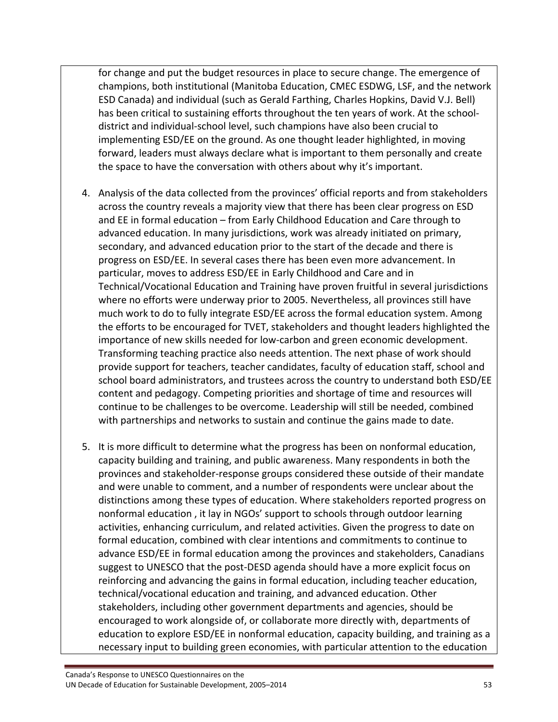for change and put the budget resources in place to secure change. The emergence of champions, both institutional (Manitoba Education, CMEC ESDWG, LSF, and the network ESD Canada) and individual (such as Gerald Farthing, Charles Hopkins, David V.J. Bell) has been critical to sustaining efforts throughout the ten years of work. At the school‐ district and individual‐school level, such champions have also been crucial to implementing ESD/EE on the ground. As one thought leader highlighted, in moving forward, leaders must always declare what is important to them personally and create the space to have the conversation with others about why it's important.

- 4. Analysis of the data collected from the provinces' official reports and from stakeholders across the country reveals a majority view that there has been clear progress on ESD and EE in formal education – from Early Childhood Education and Care through to advanced education. In many jurisdictions, work was already initiated on primary, secondary, and advanced education prior to the start of the decade and there is progress on ESD/EE. In several cases there has been even more advancement. In particular, moves to address ESD/EE in Early Childhood and Care and in Technical/Vocational Education and Training have proven fruitful in several jurisdictions where no efforts were underway prior to 2005. Nevertheless, all provinces still have much work to do to fully integrate ESD/EE across the formal education system. Among the efforts to be encouraged for TVET, stakeholders and thought leaders highlighted the importance of new skills needed for low‐carbon and green economic development. Transforming teaching practice also needs attention. The next phase of work should provide support for teachers, teacher candidates, faculty of education staff, school and school board administrators, and trustees across the country to understand both ESD/EE content and pedagogy. Competing priorities and shortage of time and resources will continue to be challenges to be overcome. Leadership will still be needed, combined with partnerships and networks to sustain and continue the gains made to date.
- 5. It is more difficult to determine what the progress has been on nonformal education, capacity building and training, and public awareness. Many respondents in both the provinces and stakeholder‐response groups considered these outside of their mandate and were unable to comment, and a number of respondents were unclear about the distinctions among these types of education. Where stakeholders reported progress on nonformal education , it lay in NGOs' support to schools through outdoor learning activities, enhancing curriculum, and related activities. Given the progress to date on formal education, combined with clear intentions and commitments to continue to advance ESD/EE in formal education among the provinces and stakeholders, Canadians suggest to UNESCO that the post‐DESD agenda should have a more explicit focus on reinforcing and advancing the gains in formal education, including teacher education, technical/vocational education and training, and advanced education. Other stakeholders, including other government departments and agencies, should be encouraged to work alongside of, or collaborate more directly with, departments of education to explore ESD/EE in nonformal education, capacity building, and training as a necessary input to building green economies, with particular attention to the education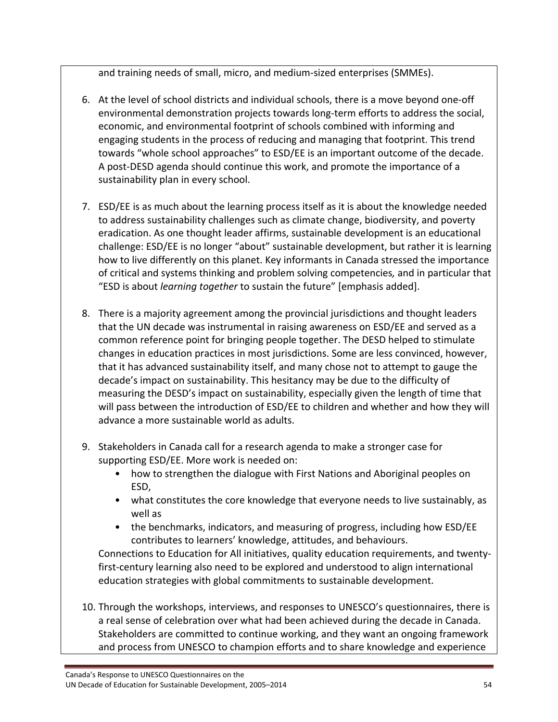and training needs of small, micro, and medium‐sized enterprises (SMMEs).

- 6. At the level of school districts and individual schools, there is a move beyond one‐off environmental demonstration projects towards long‐term efforts to address the social, economic, and environmental footprint of schools combined with informing and engaging students in the process of reducing and managing that footprint. This trend towards "whole school approaches" to ESD/EE is an important outcome of the decade. A post‐DESD agenda should continue this work, and promote the importance of a sustainability plan in every school.
- 7. ESD/EE is as much about the learning process itself as it is about the knowledge needed to address sustainability challenges such as climate change, biodiversity, and poverty eradication. As one thought leader affirms, sustainable development is an educational challenge: ESD/EE is no longer "about" sustainable development, but rather it is learning how to live differently on this planet. Key informants in Canada stressed the importance of critical and systems thinking and problem solving competencies*,* and in particular that "ESD is about *learning together* to sustain the future" [emphasis added].
- 8. There is a majority agreement among the provincial jurisdictions and thought leaders that the UN decade was instrumental in raising awareness on ESD/EE and served as a common reference point for bringing people together. The DESD helped to stimulate changes in education practices in most jurisdictions. Some are less convinced, however, that it has advanced sustainability itself, and many chose not to attempt to gauge the decade's impact on sustainability. This hesitancy may be due to the difficulty of measuring the DESD's impact on sustainability, especially given the length of time that will pass between the introduction of ESD/EE to children and whether and how they will advance a more sustainable world as adults.
- 9. Stakeholders in Canada call for a research agenda to make a stronger case for supporting ESD/EE. More work is needed on:
	- how to strengthen the dialogue with First Nations and Aboriginal peoples on ESD,
	- what constitutes the core knowledge that everyone needs to live sustainably, as well as
	- the benchmarks, indicators, and measuring of progress, including how ESD/EE contributes to learners' knowledge, attitudes, and behaviours.

Connections to Education for All initiatives, quality education requirements, and twenty‐ first-century learning also need to be explored and understood to align international education strategies with global commitments to sustainable development.

10. Through the workshops, interviews, and responses to UNESCO's questionnaires, there is a real sense of celebration over what had been achieved during the decade in Canada. Stakeholders are committed to continue working, and they want an ongoing framework and process from UNESCO to champion efforts and to share knowledge and experience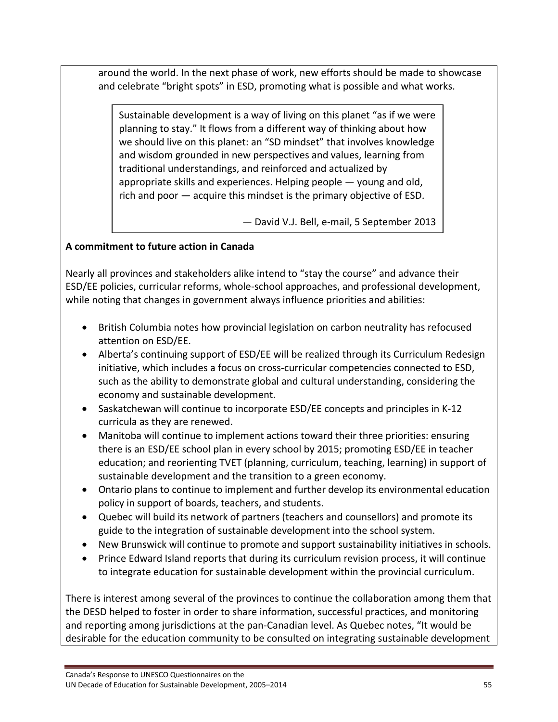around the world. In the next phase of work, new efforts should be made to showcase and celebrate "bright spots" in ESD, promoting what is possible and what works.

Sustainable development is a way of living on this planet "as if we were planning to stay." It flows from a different way of thinking about how we should live on this planet: an "SD mindset" that involves knowledge and wisdom grounded in new perspectives and values, learning from traditional understandings, and reinforced and actualized by appropriate skills and experiences. Helping people — young and old, rich and poor — acquire this mindset is the primary objective of ESD.

— David V.J. Bell, e‐mail, 5 September 2013

## **A commitment to future action in Canada**

Nearly all provinces and stakeholders alike intend to "stay the course" and advance their ESD/EE policies, curricular reforms, whole‐school approaches, and professional development, while noting that changes in government always influence priorities and abilities:

- British Columbia notes how provincial legislation on carbon neutrality has refocused attention on ESD/EE.
- Alberta's continuing support of ESD/EE will be realized through its Curriculum Redesign initiative, which includes a focus on cross‐curricular competencies connected to ESD, such as the ability to demonstrate global and cultural understanding, considering the economy and sustainable development.
- Saskatchewan will continue to incorporate ESD/EE concepts and principles in K-12 curricula as they are renewed.
- Manitoba will continue to implement actions toward their three priorities: ensuring there is an ESD/EE school plan in every school by 2015; promoting ESD/EE in teacher education; and reorienting TVET (planning, curriculum, teaching, learning) in support of sustainable development and the transition to a green economy.
- Ontario plans to continue to implement and further develop its environmental education policy in support of boards, teachers, and students.
- Quebec will build its network of partners (teachers and counsellors) and promote its guide to the integration of sustainable development into the school system.
- New Brunswick will continue to promote and support sustainability initiatives in schools.
- Prince Edward Island reports that during its curriculum revision process, it will continue to integrate education for sustainable development within the provincial curriculum.

There is interest among several of the provinces to continue the collaboration among them that the DESD helped to foster in order to share information, successful practices, and monitoring and reporting among jurisdictions at the pan-Canadian level. As Quebec notes, "It would be desirable for the education community to be consulted on integrating sustainable development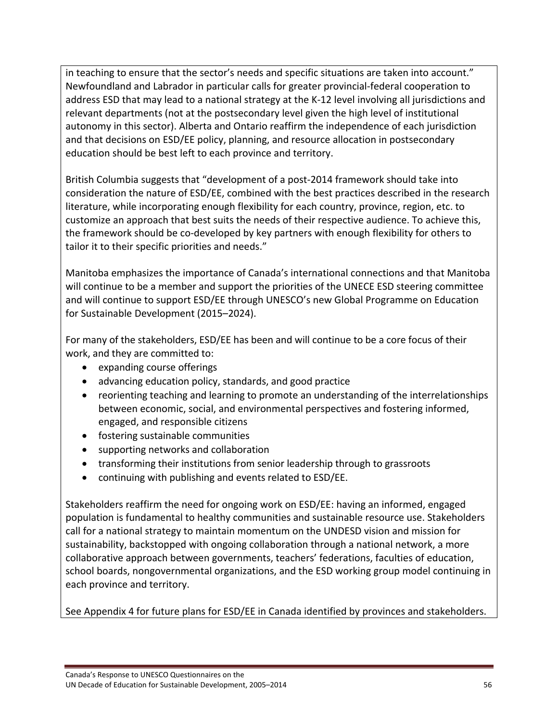in teaching to ensure that the sector's needs and specific situations are taken into account." Newfoundland and Labrador in particular calls for greater provincial‐federal cooperation to address ESD that may lead to a national strategy at the K‐12 level involving all jurisdictions and relevant departments (not at the postsecondary level given the high level of institutional autonomy in this sector). Alberta and Ontario reaffirm the independence of each jurisdiction and that decisions on ESD/EE policy, planning, and resource allocation in postsecondary education should be best left to each province and territory.

British Columbia suggests that "development of a post‐2014 framework should take into consideration the nature of ESD/EE, combined with the best practices described in the research literature, while incorporating enough flexibility for each country, province, region, etc. to customize an approach that best suits the needs of their respective audience. To achieve this, the framework should be co‐developed by key partners with enough flexibility for others to tailor it to their specific priorities and needs."

Manitoba emphasizes the importance of Canada's international connections and that Manitoba will continue to be a member and support the priorities of the UNECE ESD steering committee and will continue to support ESD/EE through UNESCO's new Global Programme on Education for Sustainable Development (2015–2024).

For many of the stakeholders, ESD/EE has been and will continue to be a core focus of their work, and they are committed to:

- expanding course offerings
- advancing education policy, standards, and good practice
- reorienting teaching and learning to promote an understanding of the interrelationships between economic, social, and environmental perspectives and fostering informed, engaged, and responsible citizens
- fostering sustainable communities
- supporting networks and collaboration
- transforming their institutions from senior leadership through to grassroots
- continuing with publishing and events related to ESD/EE.

Stakeholders reaffirm the need for ongoing work on ESD/EE: having an informed, engaged population is fundamental to healthy communities and sustainable resource use. Stakeholders call for a national strategy to maintain momentum on the UNDESD vision and mission for sustainability, backstopped with ongoing collaboration through a national network, a more collaborative approach between governments, teachers' federations, faculties of education, school boards, nongovernmental organizations, and the ESD working group model continuing in each province and territory.

See Appendix 4 for future plans for ESD/EE in Canada identified by provinces and stakeholders.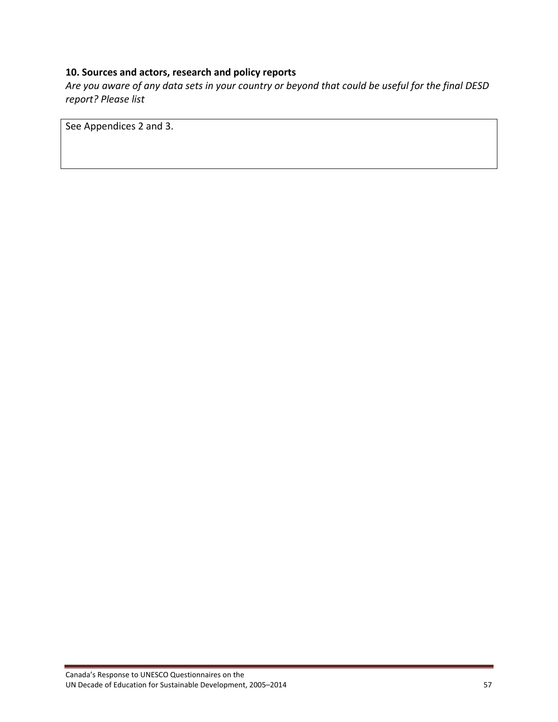## **10. Sources and actors, research and policy reports**

Are you aware of any data sets in your country or beyond that could be useful for the final DESD *report? Please list*

See Appendices 2 and 3.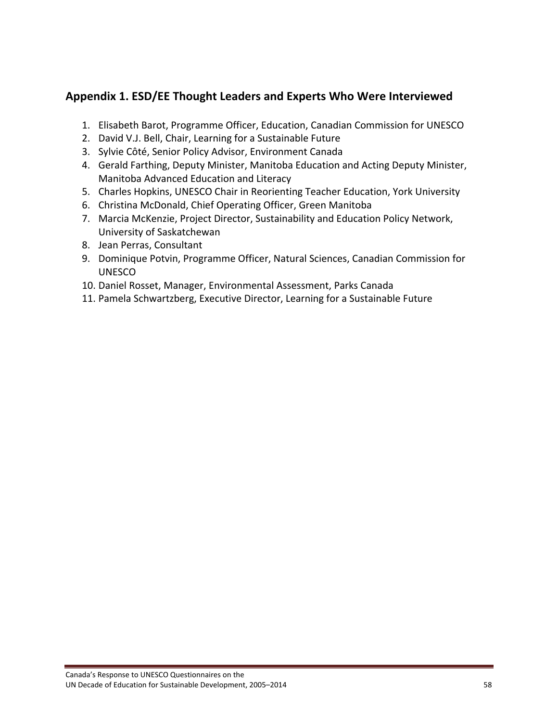# **Appendix 1. ESD/EE Thought Leaders and Experts Who Were Interviewed**

- 1. Elisabeth Barot, Programme Officer, Education, Canadian Commission for UNESCO
- 2. David V.J. Bell, Chair, Learning for a Sustainable Future
- 3. Sylvie Côté, Senior Policy Advisor, Environment Canada
- 4. Gerald Farthing, Deputy Minister, Manitoba Education and Acting Deputy Minister, Manitoba Advanced Education and Literacy
- 5. Charles Hopkins, UNESCO Chair in Reorienting Teacher Education, York University
- 6. Christina McDonald, Chief Operating Officer, Green Manitoba
- 7. Marcia McKenzie, Project Director, Sustainability and Education Policy Network, University of Saskatchewan
- 8. Jean Perras, Consultant
- 9. Dominique Potvin, Programme Officer, Natural Sciences, Canadian Commission for **UNESCO**
- 10. Daniel Rosset, Manager, Environmental Assessment, Parks Canada
- 11. Pamela Schwartzberg, Executive Director, Learning for a Sustainable Future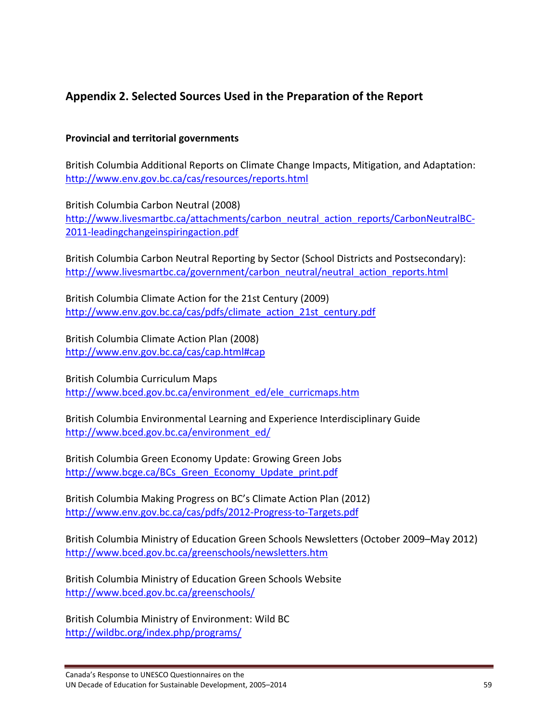# **Appendix 2. Selected Sources Used in the Preparation of the Report**

#### **Provincial and territorial governments**

British Columbia Additional Reports on Climate Change Impacts, Mitigation, and Adaptation: http://www.env.gov.bc.ca/cas/resources/reports.html

British Columbia Carbon Neutral (2008) http://www.livesmartbc.ca/attachments/carbon\_neutral\_action\_reports/CarbonNeutralBC-2011-leadingchangeinspiringaction.pdf

British Columbia Carbon Neutral Reporting by Sector (School Districts and Postsecondary): http://www.livesmartbc.ca/government/carbon\_neutral/neutral\_action\_reports.html

British Columbia Climate Action for the 21st Century (2009) http://www.env.gov.bc.ca/cas/pdfs/climate\_action\_21st\_century.pdf

British Columbia Climate Action Plan (2008) http://www.env.gov.bc.ca/cas/cap.html#cap

British Columbia Curriculum Maps http://www.bced.gov.bc.ca/environment\_ed/ele\_curricmaps.htm

British Columbia Environmental Learning and Experience Interdisciplinary Guide http://www.bced.gov.bc.ca/environment\_ed/

British Columbia Green Economy Update: Growing Green Jobs http://www.bcge.ca/BCs\_Green\_Economy\_Update\_print.pdf

British Columbia Making Progress on BC's Climate Action Plan (2012) http://www.env.gov.bc.ca/cas/pdfs/2012‐Progress‐to‐Targets.pdf

British Columbia Ministry of Education Green Schools Newsletters (October 2009–May 2012) http://www.bced.gov.bc.ca/greenschools/newsletters.htm

British Columbia Ministry of Education Green Schools Website http://www.bced.gov.bc.ca/greenschools/

British Columbia Ministry of Environment: Wild BC http://wildbc.org/index.php/programs/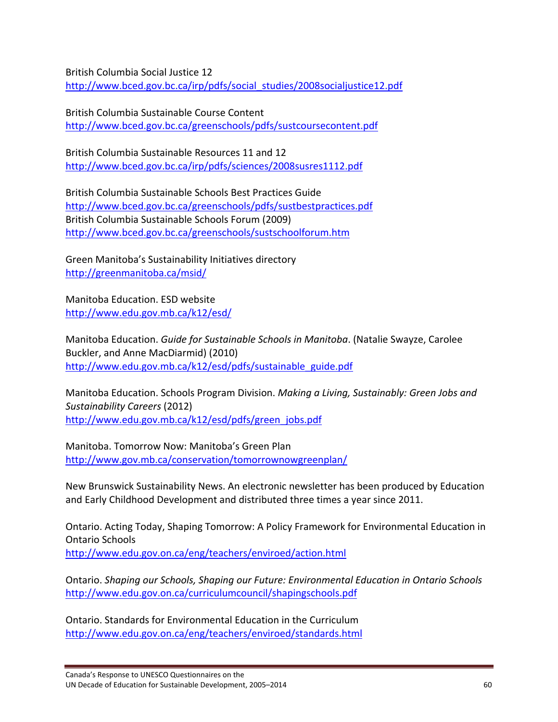British Columbia Social Justice 12 http://www.bced.gov.bc.ca/irp/pdfs/social\_studies/2008socialjustice12.pdf

British Columbia Sustainable Course Content http://www.bced.gov.bc.ca/greenschools/pdfs/sustcoursecontent.pdf

British Columbia Sustainable Resources 11 and 12 http://www.bced.gov.bc.ca/irp/pdfs/sciences/2008susres1112.pdf

British Columbia Sustainable Schools Best Practices Guide http://www.bced.gov.bc.ca/greenschools/pdfs/sustbestpractices.pdf British Columbia Sustainable Schools Forum (2009) http://www.bced.gov.bc.ca/greenschools/sustschoolforum.htm

Green Manitoba's Sustainability Initiatives directory http://greenmanitoba.ca/msid/

Manitoba Education. ESD website http://www.edu.gov.mb.ca/k12/esd/

Manitoba Education. *Guide for Sustainable Schools in Manitoba*. (Natalie Swayze, Carolee Buckler, and Anne MacDiarmid) (2010) http://www.edu.gov.mb.ca/k12/esd/pdfs/sustainable\_guide.pdf

Manitoba Education. Schools Program Division. *Making a Living, Sustainably: Green Jobs and Sustainability Careers* (2012) http://www.edu.gov.mb.ca/k12/esd/pdfs/green\_jobs.pdf

Manitoba. Tomorrow Now: Manitoba's Green Plan http://www.gov.mb.ca/conservation/tomorrownowgreenplan/

New Brunswick Sustainability News. An electronic newsletter has been produced by Education and Early Childhood Development and distributed three times a year since 2011.

Ontario. Acting Today, Shaping Tomorrow: A Policy Framework for Environmental Education in Ontario Schools http://www.edu.gov.on.ca/eng/teachers/enviroed/action.html

Ontario. *Shaping our Schools, Shaping our Future: Environmental Education in Ontario Schools* http://www.edu.gov.on.ca/curriculumcouncil/shapingschools.pdf

Ontario. Standards for Environmental Education in the Curriculum http://www.edu.gov.on.ca/eng/teachers/enviroed/standards.html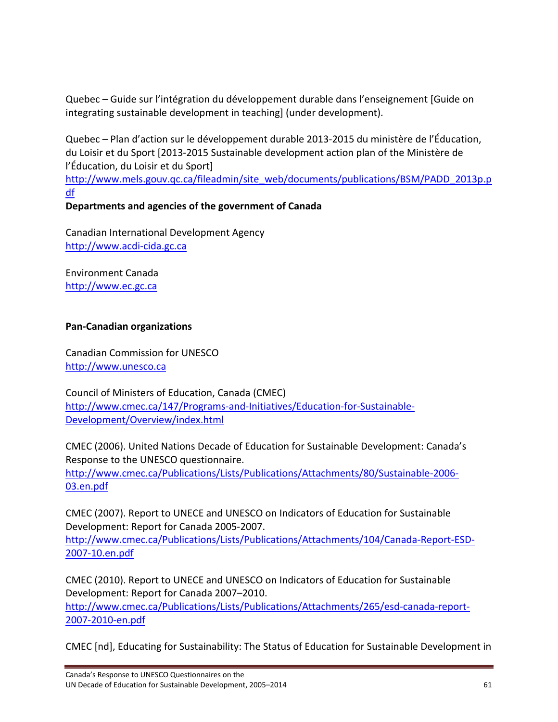Quebec – Guide sur l'intégration du développement durable dans l'enseignement [Guide on integrating sustainable development in teaching] (under development).

Quebec – Plan d'action sur le développement durable 2013‐2015 du ministère de l'Éducation, du Loisir et du Sport [2013‐2015 Sustainable development action plan of the Ministère de l'Éducation, du Loisir et du Sport]

http://www.mels.gouv.qc.ca/fileadmin/site\_web/documents/publications/BSM/PADD\_2013p.p df

# **Departments and agencies of the government of Canada**

Canadian International Development Agency http://www.acdi‐cida.gc.ca

Environment Canada http://www.ec.gc.ca

## **Pan‐Canadian organizations**

Canadian Commission for UNESCO http://www.unesco.ca

Council of Ministers of Education, Canada (CMEC) http://www.cmec.ca/147/Programs-and-Initiatives/Education-for-Sustainable-Development/Overview/index.html

CMEC (2006). United Nations Decade of Education for Sustainable Development: Canada's Response to the UNESCO questionnaire.

http://www.cmec.ca/Publications/Lists/Publications/Attachments/80/Sustainable‐2006‐ 03.en.pdf

CMEC (2007). Report to UNECE and UNESCO on Indicators of Education for Sustainable Development: Report for Canada 2005‐2007. http://www.cmec.ca/Publications/Lists/Publications/Attachments/104/Canada‐Report‐ESD‐ 2007‐10.en.pdf

CMEC (2010). Report to UNECE and UNESCO on Indicators of Education for Sustainable Development: Report for Canada 2007–2010.

http://www.cmec.ca/Publications/Lists/Publications/Attachments/265/esd-canada-report-2007‐2010‐en.pdf

CMEC [nd], Educating for Sustainability: The Status of Education for Sustainable Development in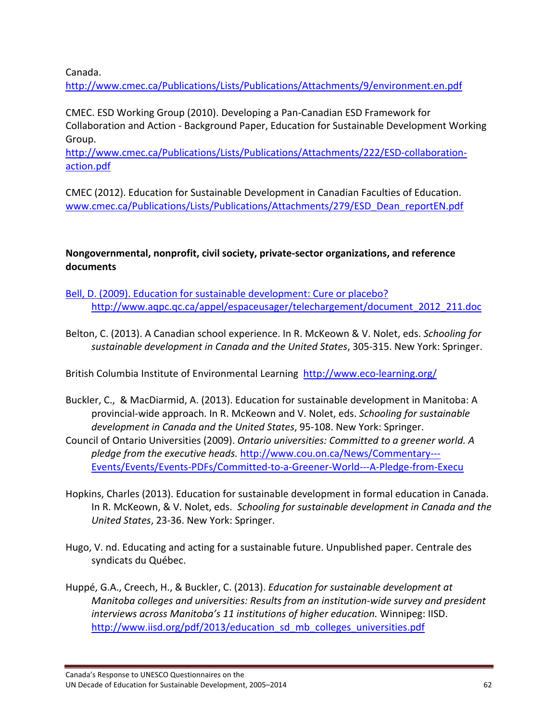Canada.

http://www.cmec.ca/Publications/Lists/Publications/Attachments/9/environment.en.pdf

CMEC. ESD Working Group (2010). Developing a Pan‐Canadian ESD Framework for Collaboration and Action ‐ Background Paper, Education for Sustainable Development Working Group.

http://www.cmec.ca/Publications/Lists/Publications/Attachments/222/ESD-collaborationaction.pdf

CMEC (2012). Education for Sustainable Development in Canadian Faculties of Education. www.cmec.ca/Publications/Lists/Publications/Attachments/279/ESD\_Dean\_reportEN.pdf

**Nongovernmental, nonprofit, civil society, private‐sector organizations, and reference documents**

Bell, D. (2009). Education for sustainable development: Cure or placebo? http://www.aqpc.qc.ca/appel/espaceusager/telechargement/document\_2012\_211.doc

Belton, C. (2013). A Canadian school experience. In R. McKeown & V. Nolet, eds. *Schooling for sustainable development in Canada and the United States*, 305‐315. New York: Springer.

British Columbia Institute of Environmental Learning http://www.eco-learning.org/

- Buckler, C., & MacDiarmid, A. (2013). Education for sustainable development in Manitoba: A provincial‐wide approach. In R. McKeown and V. Nolet, eds. *Schooling for sustainable development in Canada and the United States*, 95‐108. New York: Springer.
- Council of Ontario Universities (2009). *Ontario universities: Committed to a greener world. A pledge from the executive heads.* http://www.cou.on.ca/News/Commentary‐‐‐ Events/Events/Events‐PDFs/Committed‐to‐a‐Greener‐World‐‐‐A‐Pledge‐from‐Execu
- Hopkins, Charles (2013). Education for sustainable development in formal education in Canada. In R. McKeown, & V. Nolet, eds. *Schooling for sustainable development in Canada and the United States*, 23‐36. New York: Springer.
- Hugo, V. nd. Educating and acting for a sustainable future. Unpublished paper. Centrale des syndicats du Québec.
- Huppé, G.A., Creech, H., & Buckler, C. (2013). *Education for sustainable development at Manitoba colleges and universities: Results from an institution‐wide survey and president interviews across Manitoba's 11 institutions of higher education.* Winnipeg: IISD. http://www.iisd.org/pdf/2013/education\_sd\_mb\_colleges\_universities.pdf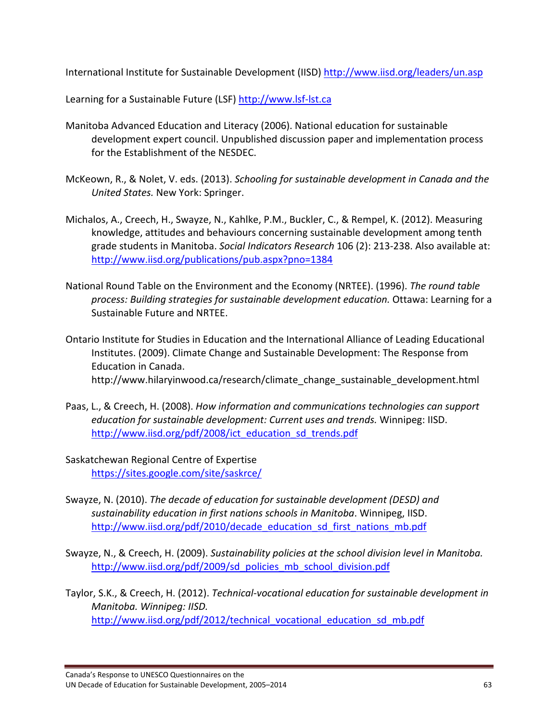International Institute for Sustainable Development (IISD) http://www.iisd.org/leaders/un.asp

Learning for a Sustainable Future (LSF) http://www.lsf‐lst.ca

- Manitoba Advanced Education and Literacy (2006). National education for sustainable development expert council. Unpublished discussion paper and implementation process for the Establishment of the NESDEC.
- McKeown, R., & Nolet, V. eds. (2013). *Schooling for sustainable development in Canada and the United States.* New York: Springer.
- Michalos, A., Creech, H., Swayze, N., Kahlke, P.M., Buckler, C., & Rempel, K. (2012). Measuring knowledge, attitudes and behaviours concerning sustainable development among tenth grade students in Manitoba. *Social Indicators Research* 106 (2): 213‐238. Also available at: http://www.iisd.org/publications/pub.aspx?pno=1384
- National Round Table on the Environment and the Economy (NRTEE). (1996). *The round table process: Building strategies for sustainable development education.* Ottawa: Learning for a Sustainable Future and NRTEE.
- Ontario Institute for Studies in Education and the International Alliance of Leading Educational Institutes. (2009). Climate Change and Sustainable Development: The Response from Education in Canada. http://www.hilaryinwood.ca/research/climate\_change\_sustainable\_development.html
- Paas, L., & Creech, H. (2008). *How information and communications technologies can support education for sustainable development: Current uses and trends.* Winnipeg: IISD. http://www.iisd.org/pdf/2008/ict\_education\_sd\_trends.pdf
- Saskatchewan Regional Centre of Expertise https://sites.google.com/site/saskrce/
- Swayze, N. (2010). *The decade of education for sustainable development (DESD) and sustainability education in first nations schools in Manitoba*. Winnipeg, IISD. http://www.iisd.org/pdf/2010/decade\_education\_sd\_first\_nations\_mb.pdf
- Swayze, N., & Creech, H. (2009). *Sustainability policies at the school division level in Manitoba.* http://www.iisd.org/pdf/2009/sd\_policies\_mb\_school\_division.pdf
- Taylor, S.K., & Creech, H. (2012). *Technical‐vocational education for sustainable development in Manitoba. Winnipeg: IISD.* http://www.iisd.org/pdf/2012/technical\_vocational\_education\_sd\_mb.pdf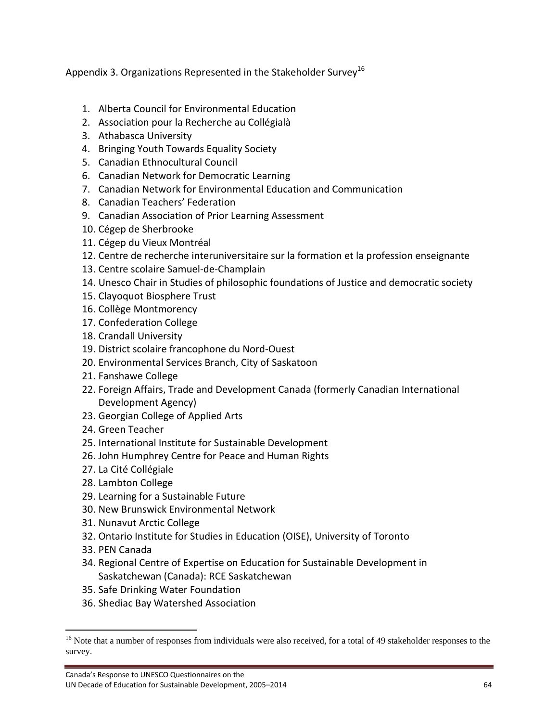Appendix 3. Organizations Represented in the Stakeholder Survey<sup>16</sup>

- 1. Alberta Council for Environmental Education
- 2. Association pour la Recherche au Collégialà
- 3. Athabasca University
- 4. Bringing Youth Towards Equality Society
- 5. Canadian Ethnocultural Council
- 6. Canadian Network for Democratic Learning
- 7. Canadian Network for Environmental Education and Communication
- 8. Canadian Teachers' Federation
- 9. Canadian Association of Prior Learning Assessment
- 10. Cégep de Sherbrooke
- 11. Cégep du Vieux Montréal
- 12. Centre de recherche interuniversitaire sur la formation et la profession enseignante
- 13. Centre scolaire Samuel‐de‐Champlain
- 14. Unesco Chair in Studies of philosophic foundations of Justice and democratic society
- 15. Clayoquot Biosphere Trust
- 16. Collège Montmorency
- 17. Confederation College
- 18. Crandall University
- 19. District scolaire francophone du Nord‐Ouest
- 20. Environmental Services Branch, City of Saskatoon
- 21. Fanshawe College
- 22. Foreign Affairs, Trade and Development Canada (formerly Canadian International Development Agency)
- 23. Georgian College of Applied Arts
- 24. Green Teacher
- 25. International Institute for Sustainable Development
- 26. John Humphrey Centre for Peace and Human Rights
- 27. La Cité Collégiale
- 28. Lambton College
- 29. Learning for a Sustainable Future
- 30. New Brunswick Environmental Network
- 31. Nunavut Arctic College

- 32. Ontario Institute for Studies in Education (OISE), University of Toronto
- 33. PEN Canada
- 34. Regional Centre of Expertise on Education for Sustainable Development in Saskatchewan (Canada): RCE Saskatchewan
- 35. Safe Drinking Water Foundation
- 36. Shediac Bay Watershed Association

<sup>&</sup>lt;sup>16</sup> Note that a number of responses from individuals were also received, for a total of 49 stakeholder responses to the survey.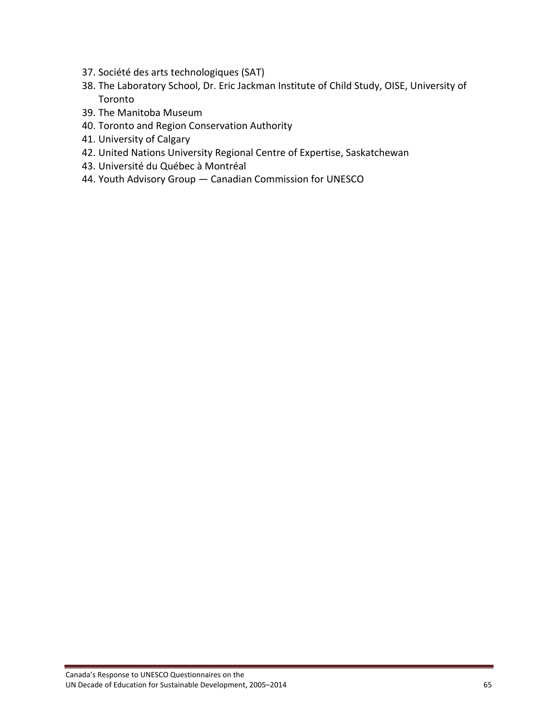- 37. Société des arts technologiques (SAT)
- 38. The Laboratory School, Dr. Eric Jackman Institute of Child Study, OISE, University of Toronto
- 39. The Manitoba Museum
- 40. Toronto and Region Conservation Authority
- 41. University of Calgary
- 42. United Nations University Regional Centre of Expertise, Saskatchewan
- 43. Université du Québec à Montréal
- 44. Youth Advisory Group Canadian Commission for UNESCO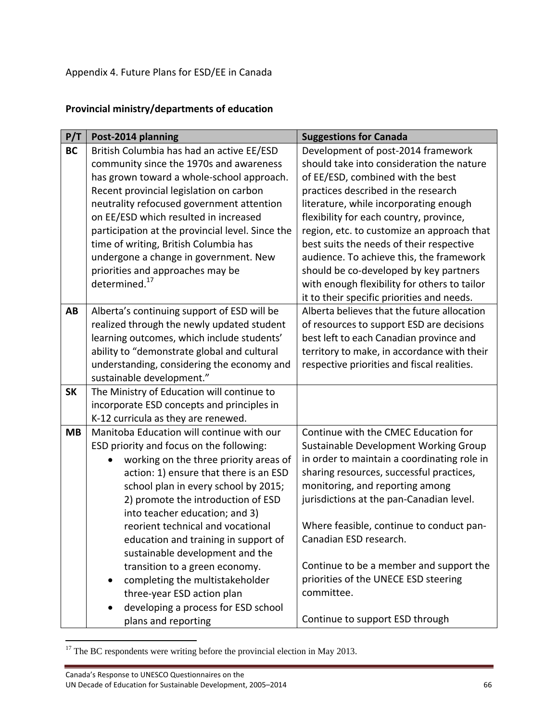Appendix 4. Future Plans for ESD/EE in Canada

# **Provincial ministry/departments of education**

| <b>BC</b><br>Development of post-2014 framework<br>British Columbia has had an active EE/ESD<br>should take into consideration the nature<br>community since the 1970s and awareness<br>has grown toward a whole-school approach.<br>of EE/ESD, combined with the best<br>Recent provincial legislation on carbon<br>practices described in the research<br>neutrality refocused government attention<br>literature, while incorporating enough<br>on EE/ESD which resulted in increased<br>flexibility for each country, province,<br>participation at the provincial level. Since the<br>region, etc. to customize an approach that<br>time of writing, British Columbia has<br>best suits the needs of their respective<br>audience. To achieve this, the framework<br>undergone a change in government. New<br>priorities and approaches may be<br>should be co-developed by key partners<br>determined. <sup>17</sup><br>with enough flexibility for others to tailor<br>it to their specific priorities and needs.<br>Alberta believes that the future allocation<br>Alberta's continuing support of ESD will be<br>AB<br>realized through the newly updated student<br>of resources to support ESD are decisions<br>learning outcomes, which include students'<br>best left to each Canadian province and<br>ability to "demonstrate global and cultural<br>territory to make, in accordance with their<br>understanding, considering the economy and<br>respective priorities and fiscal realities.<br>sustainable development."<br>The Ministry of Education will continue to<br><b>SK</b><br>incorporate ESD concepts and principles in | P/T | Post-2014 planning | <b>Suggestions for Canada</b> |  |  |
|---------------------------------------------------------------------------------------------------------------------------------------------------------------------------------------------------------------------------------------------------------------------------------------------------------------------------------------------------------------------------------------------------------------------------------------------------------------------------------------------------------------------------------------------------------------------------------------------------------------------------------------------------------------------------------------------------------------------------------------------------------------------------------------------------------------------------------------------------------------------------------------------------------------------------------------------------------------------------------------------------------------------------------------------------------------------------------------------------------------------------------------------------------------------------------------------------------------------------------------------------------------------------------------------------------------------------------------------------------------------------------------------------------------------------------------------------------------------------------------------------------------------------------------------------------------------------------------------------------------------------------------------------|-----|--------------------|-------------------------------|--|--|
|                                                                                                                                                                                                                                                                                                                                                                                                                                                                                                                                                                                                                                                                                                                                                                                                                                                                                                                                                                                                                                                                                                                                                                                                                                                                                                                                                                                                                                                                                                                                                                                                                                                   |     |                    |                               |  |  |
|                                                                                                                                                                                                                                                                                                                                                                                                                                                                                                                                                                                                                                                                                                                                                                                                                                                                                                                                                                                                                                                                                                                                                                                                                                                                                                                                                                                                                                                                                                                                                                                                                                                   |     |                    |                               |  |  |
|                                                                                                                                                                                                                                                                                                                                                                                                                                                                                                                                                                                                                                                                                                                                                                                                                                                                                                                                                                                                                                                                                                                                                                                                                                                                                                                                                                                                                                                                                                                                                                                                                                                   |     |                    |                               |  |  |
|                                                                                                                                                                                                                                                                                                                                                                                                                                                                                                                                                                                                                                                                                                                                                                                                                                                                                                                                                                                                                                                                                                                                                                                                                                                                                                                                                                                                                                                                                                                                                                                                                                                   |     |                    |                               |  |  |
|                                                                                                                                                                                                                                                                                                                                                                                                                                                                                                                                                                                                                                                                                                                                                                                                                                                                                                                                                                                                                                                                                                                                                                                                                                                                                                                                                                                                                                                                                                                                                                                                                                                   |     |                    |                               |  |  |
|                                                                                                                                                                                                                                                                                                                                                                                                                                                                                                                                                                                                                                                                                                                                                                                                                                                                                                                                                                                                                                                                                                                                                                                                                                                                                                                                                                                                                                                                                                                                                                                                                                                   |     |                    |                               |  |  |
|                                                                                                                                                                                                                                                                                                                                                                                                                                                                                                                                                                                                                                                                                                                                                                                                                                                                                                                                                                                                                                                                                                                                                                                                                                                                                                                                                                                                                                                                                                                                                                                                                                                   |     |                    |                               |  |  |
|                                                                                                                                                                                                                                                                                                                                                                                                                                                                                                                                                                                                                                                                                                                                                                                                                                                                                                                                                                                                                                                                                                                                                                                                                                                                                                                                                                                                                                                                                                                                                                                                                                                   |     |                    |                               |  |  |
|                                                                                                                                                                                                                                                                                                                                                                                                                                                                                                                                                                                                                                                                                                                                                                                                                                                                                                                                                                                                                                                                                                                                                                                                                                                                                                                                                                                                                                                                                                                                                                                                                                                   |     |                    |                               |  |  |
|                                                                                                                                                                                                                                                                                                                                                                                                                                                                                                                                                                                                                                                                                                                                                                                                                                                                                                                                                                                                                                                                                                                                                                                                                                                                                                                                                                                                                                                                                                                                                                                                                                                   |     |                    |                               |  |  |
|                                                                                                                                                                                                                                                                                                                                                                                                                                                                                                                                                                                                                                                                                                                                                                                                                                                                                                                                                                                                                                                                                                                                                                                                                                                                                                                                                                                                                                                                                                                                                                                                                                                   |     |                    |                               |  |  |
|                                                                                                                                                                                                                                                                                                                                                                                                                                                                                                                                                                                                                                                                                                                                                                                                                                                                                                                                                                                                                                                                                                                                                                                                                                                                                                                                                                                                                                                                                                                                                                                                                                                   |     |                    |                               |  |  |
|                                                                                                                                                                                                                                                                                                                                                                                                                                                                                                                                                                                                                                                                                                                                                                                                                                                                                                                                                                                                                                                                                                                                                                                                                                                                                                                                                                                                                                                                                                                                                                                                                                                   |     |                    |                               |  |  |
|                                                                                                                                                                                                                                                                                                                                                                                                                                                                                                                                                                                                                                                                                                                                                                                                                                                                                                                                                                                                                                                                                                                                                                                                                                                                                                                                                                                                                                                                                                                                                                                                                                                   |     |                    |                               |  |  |
|                                                                                                                                                                                                                                                                                                                                                                                                                                                                                                                                                                                                                                                                                                                                                                                                                                                                                                                                                                                                                                                                                                                                                                                                                                                                                                                                                                                                                                                                                                                                                                                                                                                   |     |                    |                               |  |  |
|                                                                                                                                                                                                                                                                                                                                                                                                                                                                                                                                                                                                                                                                                                                                                                                                                                                                                                                                                                                                                                                                                                                                                                                                                                                                                                                                                                                                                                                                                                                                                                                                                                                   |     |                    |                               |  |  |
|                                                                                                                                                                                                                                                                                                                                                                                                                                                                                                                                                                                                                                                                                                                                                                                                                                                                                                                                                                                                                                                                                                                                                                                                                                                                                                                                                                                                                                                                                                                                                                                                                                                   |     |                    |                               |  |  |
|                                                                                                                                                                                                                                                                                                                                                                                                                                                                                                                                                                                                                                                                                                                                                                                                                                                                                                                                                                                                                                                                                                                                                                                                                                                                                                                                                                                                                                                                                                                                                                                                                                                   |     |                    |                               |  |  |
|                                                                                                                                                                                                                                                                                                                                                                                                                                                                                                                                                                                                                                                                                                                                                                                                                                                                                                                                                                                                                                                                                                                                                                                                                                                                                                                                                                                                                                                                                                                                                                                                                                                   |     |                    |                               |  |  |
|                                                                                                                                                                                                                                                                                                                                                                                                                                                                                                                                                                                                                                                                                                                                                                                                                                                                                                                                                                                                                                                                                                                                                                                                                                                                                                                                                                                                                                                                                                                                                                                                                                                   |     |                    |                               |  |  |
| K-12 curricula as they are renewed.                                                                                                                                                                                                                                                                                                                                                                                                                                                                                                                                                                                                                                                                                                                                                                                                                                                                                                                                                                                                                                                                                                                                                                                                                                                                                                                                                                                                                                                                                                                                                                                                               |     |                    |                               |  |  |
| Manitoba Education will continue with our<br>Continue with the CMEC Education for<br><b>MB</b>                                                                                                                                                                                                                                                                                                                                                                                                                                                                                                                                                                                                                                                                                                                                                                                                                                                                                                                                                                                                                                                                                                                                                                                                                                                                                                                                                                                                                                                                                                                                                    |     |                    |                               |  |  |
| ESD priority and focus on the following:<br>Sustainable Development Working Group                                                                                                                                                                                                                                                                                                                                                                                                                                                                                                                                                                                                                                                                                                                                                                                                                                                                                                                                                                                                                                                                                                                                                                                                                                                                                                                                                                                                                                                                                                                                                                 |     |                    |                               |  |  |
| in order to maintain a coordinating role in<br>working on the three priority areas of                                                                                                                                                                                                                                                                                                                                                                                                                                                                                                                                                                                                                                                                                                                                                                                                                                                                                                                                                                                                                                                                                                                                                                                                                                                                                                                                                                                                                                                                                                                                                             |     |                    |                               |  |  |
| sharing resources, successful practices,<br>action: 1) ensure that there is an ESD                                                                                                                                                                                                                                                                                                                                                                                                                                                                                                                                                                                                                                                                                                                                                                                                                                                                                                                                                                                                                                                                                                                                                                                                                                                                                                                                                                                                                                                                                                                                                                |     |                    |                               |  |  |
| monitoring, and reporting among<br>school plan in every school by 2015;                                                                                                                                                                                                                                                                                                                                                                                                                                                                                                                                                                                                                                                                                                                                                                                                                                                                                                                                                                                                                                                                                                                                                                                                                                                                                                                                                                                                                                                                                                                                                                           |     |                    |                               |  |  |
| jurisdictions at the pan-Canadian level.<br>2) promote the introduction of ESD<br>into teacher education; and 3)                                                                                                                                                                                                                                                                                                                                                                                                                                                                                                                                                                                                                                                                                                                                                                                                                                                                                                                                                                                                                                                                                                                                                                                                                                                                                                                                                                                                                                                                                                                                  |     |                    |                               |  |  |
| Where feasible, continue to conduct pan-<br>reorient technical and vocational                                                                                                                                                                                                                                                                                                                                                                                                                                                                                                                                                                                                                                                                                                                                                                                                                                                                                                                                                                                                                                                                                                                                                                                                                                                                                                                                                                                                                                                                                                                                                                     |     |                    |                               |  |  |
| Canadian ESD research.<br>education and training in support of                                                                                                                                                                                                                                                                                                                                                                                                                                                                                                                                                                                                                                                                                                                                                                                                                                                                                                                                                                                                                                                                                                                                                                                                                                                                                                                                                                                                                                                                                                                                                                                    |     |                    |                               |  |  |
|                                                                                                                                                                                                                                                                                                                                                                                                                                                                                                                                                                                                                                                                                                                                                                                                                                                                                                                                                                                                                                                                                                                                                                                                                                                                                                                                                                                                                                                                                                                                                                                                                                                   |     |                    |                               |  |  |
| sustainable development and the<br>Continue to be a member and support the<br>transition to a green economy.                                                                                                                                                                                                                                                                                                                                                                                                                                                                                                                                                                                                                                                                                                                                                                                                                                                                                                                                                                                                                                                                                                                                                                                                                                                                                                                                                                                                                                                                                                                                      |     |                    |                               |  |  |
| priorities of the UNECE ESD steering<br>completing the multistakeholder                                                                                                                                                                                                                                                                                                                                                                                                                                                                                                                                                                                                                                                                                                                                                                                                                                                                                                                                                                                                                                                                                                                                                                                                                                                                                                                                                                                                                                                                                                                                                                           |     |                    |                               |  |  |
| $\bullet$<br>committee.<br>three-year ESD action plan                                                                                                                                                                                                                                                                                                                                                                                                                                                                                                                                                                                                                                                                                                                                                                                                                                                                                                                                                                                                                                                                                                                                                                                                                                                                                                                                                                                                                                                                                                                                                                                             |     |                    |                               |  |  |
|                                                                                                                                                                                                                                                                                                                                                                                                                                                                                                                                                                                                                                                                                                                                                                                                                                                                                                                                                                                                                                                                                                                                                                                                                                                                                                                                                                                                                                                                                                                                                                                                                                                   |     |                    |                               |  |  |
| developing a process for ESD school<br>$\bullet$<br>Continue to support ESD through<br>plans and reporting                                                                                                                                                                                                                                                                                                                                                                                                                                                                                                                                                                                                                                                                                                                                                                                                                                                                                                                                                                                                                                                                                                                                                                                                                                                                                                                                                                                                                                                                                                                                        |     |                    |                               |  |  |

  $17$  The BC respondents were writing before the provincial election in May 2013.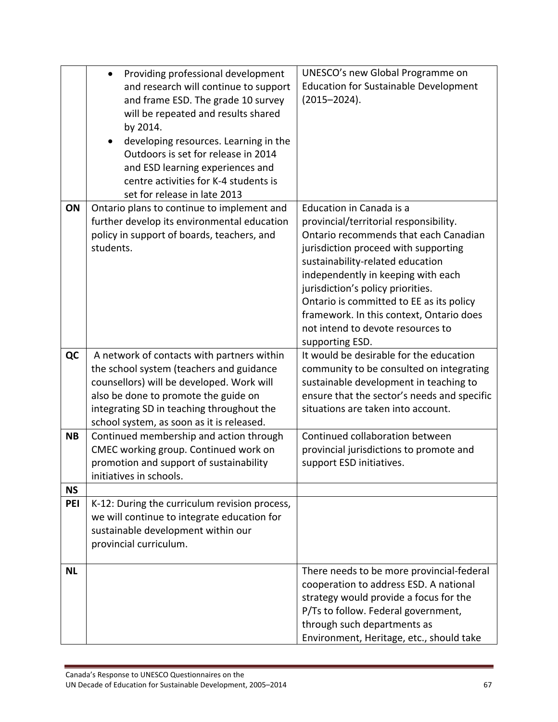| UNESCO's new Global Programme on             |
|----------------------------------------------|
| <b>Education for Sustainable Development</b> |
|                                              |
|                                              |
|                                              |
|                                              |
|                                              |
|                                              |
|                                              |
|                                              |
|                                              |
|                                              |
| provincial/territorial responsibility.       |
| Ontario recommends that each Canadian        |
| jurisdiction proceed with supporting         |
| sustainability-related education             |
| independently in keeping with each           |
|                                              |
| Ontario is committed to EE as its policy     |
| framework. In this context, Ontario does     |
| not intend to devote resources to            |
|                                              |
| It would be desirable for the education      |
| community to be consulted on integrating     |
| sustainable development in teaching to       |
| ensure that the sector's needs and specific  |
| situations are taken into account.           |
|                                              |
|                                              |
| Continued collaboration between              |
|                                              |
| provincial jurisdictions to promote and      |
|                                              |
|                                              |
|                                              |
|                                              |
|                                              |
|                                              |
|                                              |
| There needs to be more provincial-federal    |
| cooperation to address ESD. A national       |
|                                              |
| strategy would provide a focus for the       |
| P/Ts to follow. Federal government,          |
|                                              |

÷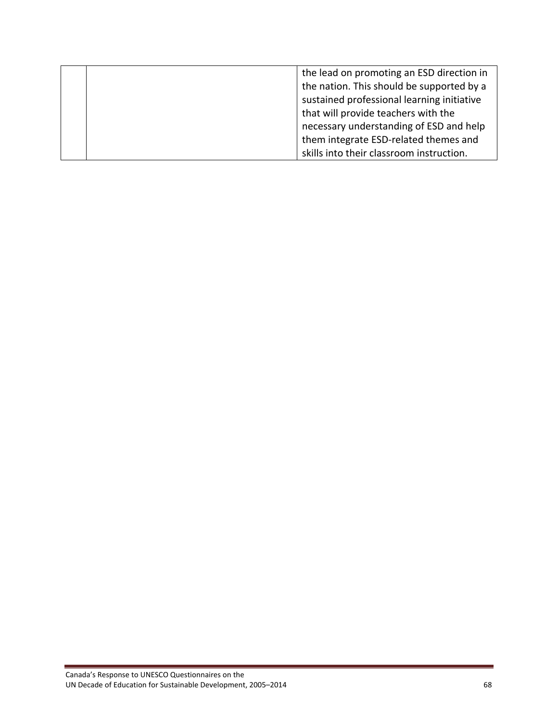|  | the lead on promoting an ESD direction in  |
|--|--------------------------------------------|
|  | the nation. This should be supported by a  |
|  | sustained professional learning initiative |
|  | that will provide teachers with the        |
|  | necessary understanding of ESD and help    |
|  | them integrate ESD-related themes and      |
|  | skills into their classroom instruction.   |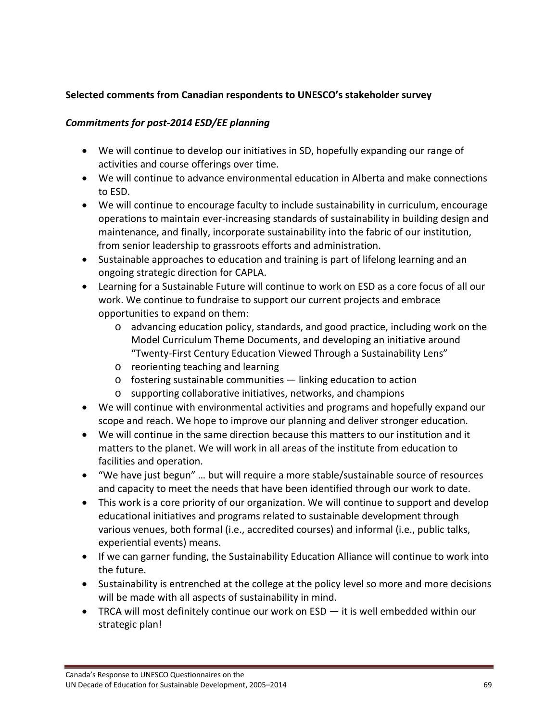## **Selected comments from Canadian respondents to UNESCO's stakeholder survey**

## *Commitments for post‐2014 ESD/EE planning*

- We will continue to develop our initiatives in SD, hopefully expanding our range of activities and course offerings over time.
- We will continue to advance environmental education in Alberta and make connections to ESD.
- We will continue to encourage faculty to include sustainability in curriculum, encourage operations to maintain ever‐increasing standards of sustainability in building design and maintenance, and finally, incorporate sustainability into the fabric of our institution, from senior leadership to grassroots efforts and administration.
- Sustainable approaches to education and training is part of lifelong learning and an ongoing strategic direction for CAPLA.
- Learning for a Sustainable Future will continue to work on ESD as a core focus of all our work. We continue to fundraise to support our current projects and embrace opportunities to expand on them:
	- o advancing education policy, standards, and good practice, including work on the Model Curriculum Theme Documents, and developing an initiative around "Twenty‐First Century Education Viewed Through a Sustainability Lens"
	- o reorienting teaching and learning
	- o fostering sustainable communities linking education to action
	- o supporting collaborative initiatives, networks, and champions
- We will continue with environmental activities and programs and hopefully expand our scope and reach. We hope to improve our planning and deliver stronger education.
- We will continue in the same direction because this matters to our institution and it matters to the planet. We will work in all areas of the institute from education to facilities and operation.
- "We have just begun" … but will require a more stable/sustainable source of resources and capacity to meet the needs that have been identified through our work to date.
- This work is a core priority of our organization. We will continue to support and develop educational initiatives and programs related to sustainable development through various venues, both formal (i.e., accredited courses) and informal (i.e., public talks, experiential events) means.
- If we can garner funding, the Sustainability Education Alliance will continue to work into the future.
- Sustainability is entrenched at the college at the policy level so more and more decisions will be made with all aspects of sustainability in mind.
- TRCA will most definitely continue our work on ESD it is well embedded within our strategic plan!